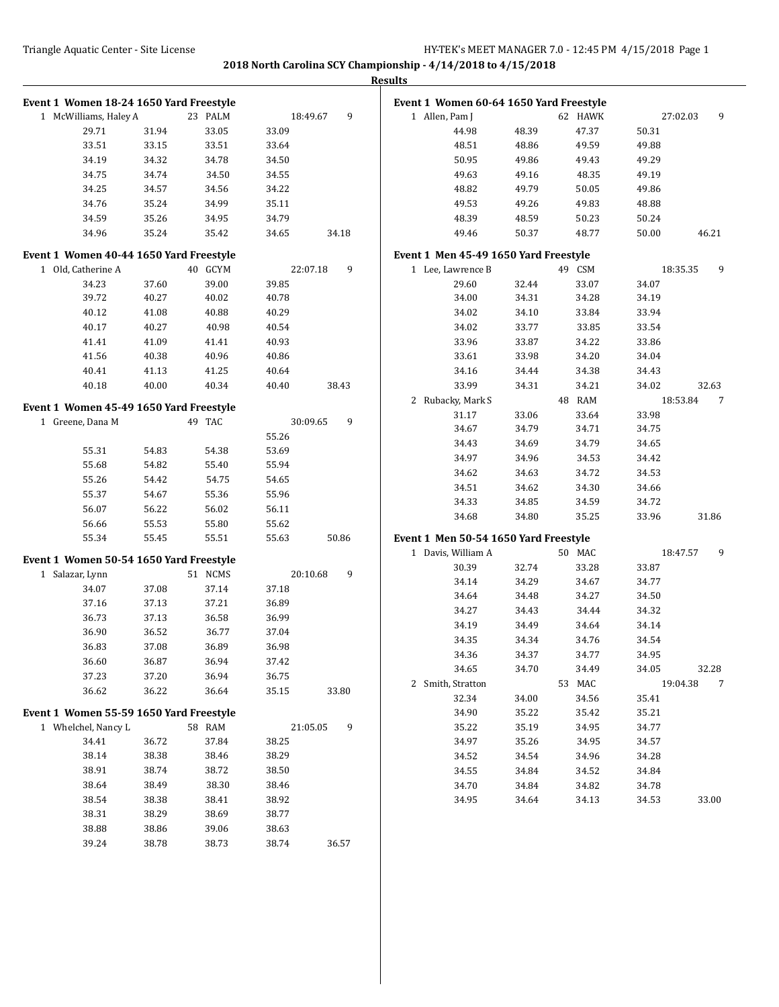|                                         |       |         |       |               | <b>Results</b>                          |       |         |       |               |
|-----------------------------------------|-------|---------|-------|---------------|-----------------------------------------|-------|---------|-------|---------------|
| Event 1 Women 18-24 1650 Yard Freestyle |       |         |       |               | Event 1 Women 60-64 1650 Yard Freestyle |       |         |       |               |
| 1 McWilliams, Haley A                   |       | 23 PALM |       | 18:49.67<br>9 | 1 Allen, Pam J                          |       | 62 HAWK |       | 27:02.03<br>9 |
| 29.71                                   | 31.94 | 33.05   | 33.09 |               | 44.98                                   | 48.39 | 47.37   | 50.31 |               |
| 33.51                                   | 33.15 | 33.51   | 33.64 |               | 48.51                                   | 48.86 | 49.59   | 49.88 |               |
| 34.19                                   | 34.32 | 34.78   | 34.50 |               | 50.95                                   | 49.86 | 49.43   | 49.29 |               |
| 34.75                                   | 34.74 | 34.50   | 34.55 |               | 49.63                                   | 49.16 | 48.35   | 49.19 |               |
| 34.25                                   | 34.57 | 34.56   | 34.22 |               | 48.82                                   | 49.79 | 50.05   | 49.86 |               |
| 34.76                                   | 35.24 | 34.99   | 35.11 |               | 49.53                                   | 49.26 | 49.83   | 48.88 |               |
| 34.59                                   | 35.26 | 34.95   | 34.79 |               | 48.39                                   | 48.59 | 50.23   | 50.24 |               |
| 34.96                                   | 35.24 | 35.42   | 34.65 | 34.18         | 49.46                                   | 50.37 | 48.77   | 50.00 | 46.21         |
| Event 1 Women 40-44 1650 Yard Freestyle |       |         |       |               | Event 1 Men 45-49 1650 Yard Freestyle   |       |         |       |               |
| 1 Old, Catherine A                      |       | 40 GCYM |       | 22:07.18<br>9 | 1 Lee, Lawrence B                       |       | 49 CSM  |       | 18:35.35<br>9 |
| 34.23                                   | 37.60 | 39.00   | 39.85 |               | 29.60                                   | 32.44 | 33.07   | 34.07 |               |
| 39.72                                   | 40.27 | 40.02   | 40.78 |               | 34.00                                   | 34.31 | 34.28   | 34.19 |               |
| 40.12                                   | 41.08 | 40.88   | 40.29 |               | 34.02                                   | 34.10 | 33.84   | 33.94 |               |
| 40.17                                   | 40.27 | 40.98   | 40.54 |               | 34.02                                   | 33.77 | 33.85   | 33.54 |               |
| 41.41                                   | 41.09 | 41.41   | 40.93 |               | 33.96                                   | 33.87 | 34.22   | 33.86 |               |
| 41.56                                   | 40.38 | 40.96   | 40.86 |               | 33.61                                   | 33.98 | 34.20   | 34.04 |               |
| 40.41                                   | 41.13 | 41.25   | 40.64 |               | 34.16                                   | 34.44 | 34.38   | 34.43 |               |
| 40.18                                   | 40.00 | 40.34   | 40.40 | 38.43         | 33.99                                   | 34.31 | 34.21   | 34.02 | 32.63         |
| Event 1 Women 45-49 1650 Yard Freestyle |       |         |       |               | 2 Rubacky, Mark S                       |       | 48 RAM  |       | 18:53.84<br>7 |
| 1 Greene, Dana M                        |       | 49 TAC  |       | 30:09.65<br>9 | 31.17                                   | 33.06 | 33.64   | 33.98 |               |
|                                         |       |         | 55.26 |               | 34.67                                   | 34.79 | 34.71   | 34.75 |               |
| 55.31                                   | 54.83 | 54.38   | 53.69 |               | 34.43                                   | 34.69 | 34.79   | 34.65 |               |
| 55.68                                   | 54.82 | 55.40   | 55.94 |               | 34.97                                   | 34.96 | 34.53   | 34.42 |               |
| 55.26                                   | 54.42 | 54.75   | 54.65 |               | 34.62                                   | 34.63 | 34.72   | 34.53 |               |
| 55.37                                   | 54.67 | 55.36   | 55.96 |               | 34.51                                   | 34.62 | 34.30   | 34.66 |               |
| 56.07                                   | 56.22 | 56.02   | 56.11 |               | 34.33                                   | 34.85 | 34.59   | 34.72 |               |
| 56.66                                   | 55.53 | 55.80   | 55.62 |               | 34.68                                   | 34.80 | 35.25   | 33.96 | 31.86         |
| 55.34                                   | 55.45 | 55.51   | 55.63 | 50.86         | Event 1 Men 50-54 1650 Yard Freestyle   |       |         |       |               |
|                                         |       |         |       |               | 1 Davis, William A                      |       | 50 MAC  |       | 9<br>18:47.57 |
| Event 1 Women 50-54 1650 Yard Freestyle |       |         |       |               | 30.39                                   | 32.74 | 33.28   | 33.87 |               |
| 1 Salazar, Lynn                         |       | 51 NCMS |       | 20:10.68<br>9 | 34.14                                   | 34.29 | 34.67   | 34.77 |               |
| 34.07                                   | 37.08 | 37.14   | 37.18 |               | 34.64                                   | 34.48 | 34.27   | 34.50 |               |
| 37.16                                   | 37.13 | 37.21   | 36.89 |               | 34.27                                   | 34.43 | 34.44   | 34.32 |               |
| 36.73                                   | 37.13 | 36.58   | 36.99 |               | 34.19                                   | 34.49 | 34.64   | 34.14 |               |
| 36.90                                   | 36.52 | 36.77   | 37.04 |               | 34.35                                   | 34.34 | 34.76   | 34.54 |               |
| 36.83                                   | 37.08 | 36.89   | 36.98 |               | 34.36                                   | 34.37 | 34.77   | 34.95 |               |
| 36.60                                   | 36.87 | 36.94   | 37.42 |               | 34.65                                   | 34.70 | 34.49   | 34.05 | 32.28         |
| 37.23                                   | 37.20 | 36.94   | 36.75 |               | 2 Smith, Stratton                       |       | 53 MAC  |       | 19:04.38<br>7 |
| 36.62                                   | 36.22 | 36.64   | 35.15 | 33.80         | 32.34                                   | 34.00 | 34.56   | 35.41 |               |
| Event 1 Women 55-59 1650 Yard Freestyle |       |         |       |               | 34.90                                   | 35.22 | 35.42   | 35.21 |               |
| 1 Whelchel, Nancy L                     |       | 58 RAM  |       | 21:05.05<br>9 | 35.22                                   | 35.19 | 34.95   | 34.77 |               |
| 34.41                                   | 36.72 | 37.84   | 38.25 |               | 34.97                                   | 35.26 | 34.95   | 34.57 |               |
| 38.14                                   | 38.38 | 38.46   | 38.29 |               | 34.52                                   | 34.54 | 34.96   | 34.28 |               |
| 38.91                                   | 38.74 | 38.72   | 38.50 |               | 34.55                                   | 34.84 | 34.52   | 34.84 |               |
| 38.64                                   | 38.49 | 38.30   | 38.46 |               | 34.70                                   | 34.84 | 34.82   | 34.78 |               |
| 38.54                                   | 38.38 | 38.41   | 38.92 |               | 34.95                                   | 34.64 | 34.13   | 34.53 | 33.00         |
| 38.31                                   | 38.29 | 38.69   | 38.77 |               |                                         |       |         |       |               |
| 38.88                                   | 38.86 | 39.06   | 38.63 |               |                                         |       |         |       |               |
| 39.24                                   | 38.78 | 38.73   | 38.74 | 36.57         |                                         |       |         |       |               |
|                                         |       |         |       |               |                                         |       |         |       |               |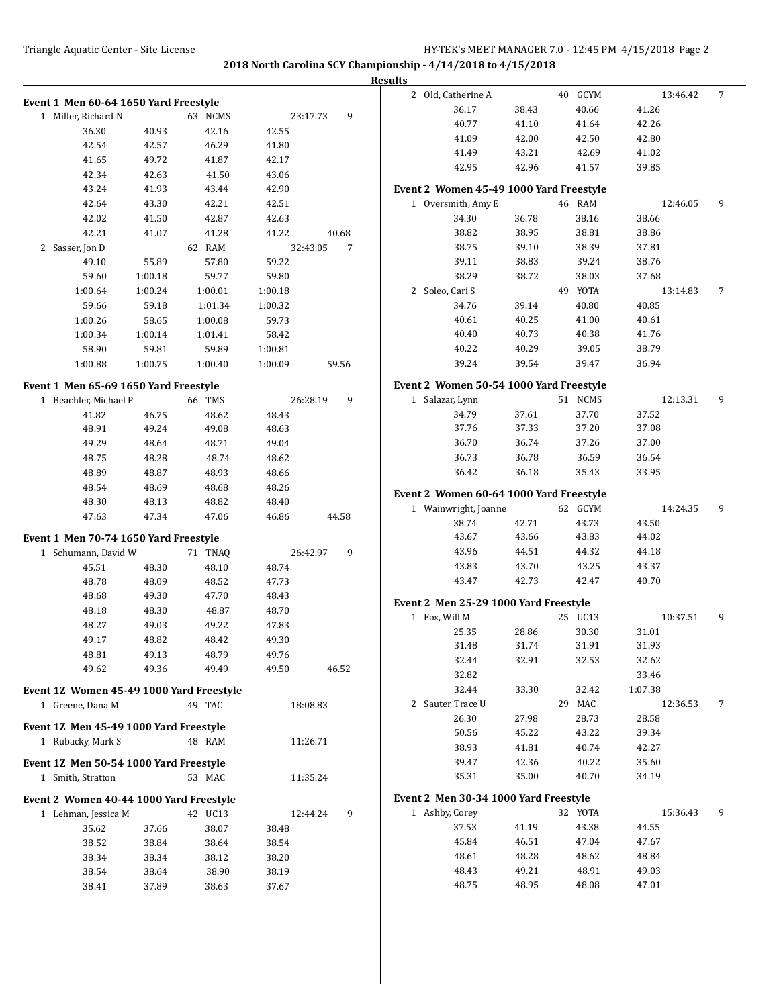|                                          |                |                |                |               | <b>Results</b>                          |       |                  |                   |   |
|------------------------------------------|----------------|----------------|----------------|---------------|-----------------------------------------|-------|------------------|-------------------|---|
| Event 1 Men 60-64 1650 Yard Freestyle    |                |                |                |               | 2 Old, Catherine A                      |       | 40 GCYM          | 13:46.42          | 7 |
| 1 Miller, Richard N                      |                | 63 NCMS        |                | 9<br>23:17.73 | 36.17                                   | 38.43 | 40.66            | 41.26             |   |
| 36.30                                    | 40.93          | 42.16          | 42.55          |               | 40.77                                   | 41.10 | 41.64            | 42.26             |   |
| 42.54                                    | 42.57          | 46.29          | 41.80          |               | 41.09                                   | 42.00 | 42.50            | 42.80             |   |
| 41.65                                    | 49.72          | 41.87          | 42.17          |               | 41.49                                   | 43.21 | 42.69            | 41.02             |   |
| 42.34                                    | 42.63          | 41.50          | 43.06          |               | 42.95                                   | 42.96 | 41.57            | 39.85             |   |
| 43.24                                    | 41.93          | 43.44          | 42.90          |               | Event 2 Women 45-49 1000 Yard Freestyle |       |                  |                   |   |
| 42.64                                    | 43.30          | 42.21          | 42.51          |               | 1 Oversmith, Amy E                      |       | 46 RAM           | 12:46.05          | 9 |
| 42.02                                    | 41.50          | 42.87          | 42.63          |               | 34.30                                   | 36.78 | 38.16            | 38.66             |   |
| 42.21                                    | 41.07          | 41.28          | 41.22          | 40.68         | 38.82                                   | 38.95 | 38.81            | 38.86             |   |
| 2 Sasser, Jon D                          |                | 62 RAM         |                | 7<br>32:43.05 | 38.75                                   | 39.10 | 38.39            | 37.81             |   |
| 49.10                                    | 55.89          | 57.80          | 59.22          |               | 39.11                                   | 38.83 | 39.24            | 38.76             |   |
| 59.60                                    | 1:00.18        | 59.77          | 59.80          |               | 38.29                                   | 38.72 | 38.03            | 37.68             |   |
| 1:00.64                                  | 1:00.24        | 1:00.01        | 1:00.18        |               | 2 Soleo, Cari S                         |       | 49 YOTA          | 13:14.83          | 7 |
| 59.66                                    | 59.18          | 1:01.34        | 1:00.32        |               | 34.76                                   | 39.14 | 40.80            | 40.85             |   |
| 1:00.26                                  | 58.65          | 1:00.08        | 59.73          |               | 40.61                                   | 40.25 | 41.00            | 40.61             |   |
| 1:00.34                                  | 1:00.14        | 1:01.41        | 58.42          |               | 40.40                                   | 40.73 | 40.38            | 41.76             |   |
| 58.90                                    | 59.81          | 59.89          | 1:00.81        |               | 40.22                                   | 40.29 | 39.05            | 38.79             |   |
| 1:00.88                                  | 1:00.75        | 1:00.40        | 1:00.09        | 59.56         | 39.24                                   | 39.54 | 39.47            | 36.94             |   |
| Event 1 Men 65-69 1650 Yard Freestyle    |                |                |                |               | Event 2 Women 50-54 1000 Yard Freestyle |       |                  |                   |   |
| 1 Beachler, Michael P                    |                | 66 TMS         |                | 9<br>26:28.19 | 1 Salazar, Lynn                         |       | 51 NCMS          | 12:13.31          | 9 |
| 41.82                                    | 46.75          | 48.62          | 48.43          |               | 34.79                                   | 37.61 | 37.70            | 37.52             |   |
| 48.91                                    | 49.24          | 49.08          | 48.63          |               | 37.76                                   | 37.33 | 37.20            | 37.08             |   |
| 49.29                                    | 48.64          | 48.71          | 49.04          |               | 36.70                                   | 36.74 | 37.26            | 37.00             |   |
| 48.75                                    | 48.28          | 48.74          | 48.62          |               | 36.73                                   | 36.78 | 36.59            | 36.54             |   |
| 48.89                                    | 48.87          | 48.93          | 48.66          |               | 36.42                                   | 36.18 | 35.43            | 33.95             |   |
| 48.54                                    | 48.69          | 48.68          | 48.26          |               | Event 2 Women 60-64 1000 Yard Freestyle |       |                  |                   |   |
| 48.30                                    | 48.13          | 48.82          | 48.40          |               | 1 Wainwright, Joanne                    |       | 62 GCYM          | 14:24.35          | 9 |
| 47.63                                    | 47.34          | 47.06          | 46.86          | 44.58         | 38.74                                   | 42.71 | 43.73            | 43.50             |   |
| Event 1 Men 70-74 1650 Yard Freestyle    |                |                |                |               | 43.67                                   | 43.66 | 43.83            | 44.02             |   |
| 1 Schumann, David W                      |                | 71 TNAQ        |                | 9<br>26:42.97 | 43.96                                   | 44.51 | 44.32            | 44.18             |   |
| 45.51                                    | 48.30          | 48.10          | 48.74          |               | 43.83                                   | 43.70 | 43.25            | 43.37             |   |
| 48.78                                    | 48.09          | 48.52          | 47.73          |               | 43.47                                   | 42.73 | 42.47            | 40.70             |   |
| 48.68                                    | 49.30          | 47.70          | 48.43          |               |                                         |       |                  |                   |   |
| 48.18                                    | 48.30          | 48.87          | 48.70          |               | Event 2 Men 25-29 1000 Yard Freestyle   |       |                  |                   |   |
| 48.27                                    | 49.03          | 49.22          | 47.83          |               | 1 Fox, Will M                           |       | 25 UC13          | 10:37.51          | 9 |
| 49.17                                    | 48.82          | 48.42          | 49.30          |               | 25.35                                   | 28.86 | 30.30            | 31.01             |   |
| 48.81                                    | 49.13          | 48.79          | 49.76          |               | 31.48                                   | 31.74 | 31.91            | 31.93             |   |
| 49.62                                    | 49.36          | 49.49          | 49.50          | 46.52         | 32.44<br>32.82                          | 32.91 | 32.53            | 32.62             |   |
|                                          |                |                |                |               | 32.44                                   | 33.30 | 32.42            | 33.46<br>1:07.38  |   |
| Event 1Z Women 45-49 1000 Yard Freestyle |                |                |                |               | 2 Sauter, Trace U                       |       | 29 MAC           | 12:36.53          | 7 |
| 1 Greene, Dana M                         |                | 49 TAC         |                | 18:08.83      | 26.30                                   | 27.98 | 28.73            | 28.58             |   |
| Event 1Z Men 45-49 1000 Yard Freestyle   |                |                |                |               | 50.56                                   | 45.22 | 43.22            | 39.34             |   |
| 1 Rubacky, Mark S                        |                | 48 RAM         |                | 11:26.71      | 38.93                                   | 41.81 | 40.74            | 42.27             |   |
| Event 1Z Men 50-54 1000 Yard Freestyle   |                |                |                |               | 39.47                                   | 42.36 | 40.22            | 35.60             |   |
| 1 Smith, Stratton                        |                | 53 MAC         |                | 11:35.24      | 35.31                                   | 35.00 | 40.70            | 34.19             |   |
|                                          |                |                |                |               |                                         |       |                  |                   |   |
| Event 2 Women 40-44 1000 Yard Freestyle  |                |                |                |               | Event 2 Men 30-34 1000 Yard Freestyle   |       |                  |                   |   |
| 1 Lehman, Jessica M                      |                | 42 UC13        |                | 12:44.24<br>9 | 1 Ashby, Corey<br>37.53                 | 41.19 | 32 YOTA<br>43.38 | 15:36.43<br>44.55 | 9 |
| 35.62                                    | 37.66          | 38.07          | 38.48          |               | 45.84                                   | 46.51 | 47.04            | 47.67             |   |
| 38.52<br>38.34                           | 38.84<br>38.34 | 38.64<br>38.12 | 38.54<br>38.20 |               | 48.61                                   | 48.28 | 48.62            | 48.84             |   |
| 38.54                                    | 38.64          | 38.90          | 38.19          |               | 48.43                                   | 49.21 | 48.91            | 49.03             |   |
| 38.41                                    | 37.89          | 38.63          | 37.67          |               | 48.75                                   | 48.95 | 48.08            | 47.01             |   |
|                                          |                |                |                |               |                                         |       |                  |                   |   |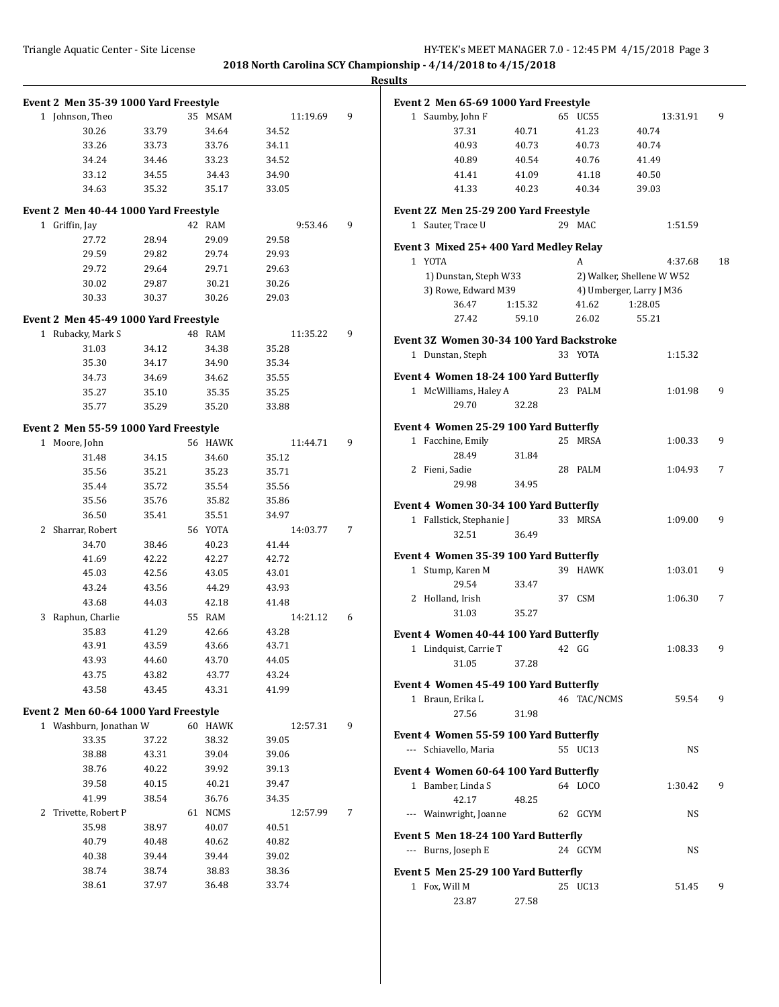**Results**

| Event 2 Men 35-39 1000 Yard Freestyle |       |         |          |   | Event 2 Men 65-69 1000 Yard Freestyle                               |    |
|---------------------------------------|-------|---------|----------|---|---------------------------------------------------------------------|----|
| 1 Johnson, Theo                       |       | 35 MSAM | 11:19.69 | 9 | 1 Saumby, John F<br>65 UC55<br>13:31.91                             | 9  |
| 30.26                                 | 33.79 | 34.64   | 34.52    |   | 41.23<br>40.74<br>37.31<br>40.71                                    |    |
| 33.26                                 | 33.73 | 33.76   | 34.11    |   | 40.93<br>40.73<br>40.73<br>40.74                                    |    |
| 34.24                                 | 34.46 | 33.23   | 34.52    |   | 40.89<br>40.54<br>40.76<br>41.49                                    |    |
| 33.12                                 | 34.55 | 34.43   | 34.90    |   | 41.18<br>40.50<br>41.41<br>41.09                                    |    |
| 34.63                                 | 35.32 | 35.17   | 33.05    |   | 40.23<br>39.03<br>41.33<br>40.34                                    |    |
| Event 2 Men 40-44 1000 Yard Freestyle |       |         |          |   | Event 2Z Men 25-29 200 Yard Freestyle                               |    |
| 1 Griffin, Jay                        |       | 42 RAM  | 9:53.46  | 9 | 1 Sauter, Trace U<br>29 MAC<br>1:51.59                              |    |
| 27.72                                 | 28.94 | 29.09   | 29.58    |   |                                                                     |    |
| 29.59                                 | 29.82 | 29.74   | 29.93    |   | Event 3 Mixed 25+400 Yard Medley Relay                              |    |
| 29.72                                 | 29.64 | 29.71   | 29.63    |   | 1 YOTA<br>A<br>4:37.68                                              | 18 |
| 30.02                                 | 29.87 | 30.21   | 30.26    |   | 1) Dunstan, Steph W33<br>2) Walker, Shellene W W52                  |    |
|                                       |       |         |          |   | 3) Rowe, Edward M39<br>4) Umberger, Larry J M36                     |    |
| 30.33                                 | 30.37 | 30.26   | 29.03    |   | 1:28.05<br>36.47<br>1:15.32<br>41.62                                |    |
| Event 2 Men 45-49 1000 Yard Freestyle |       |         |          |   | 27.42<br>26.02<br>55.21<br>59.10                                    |    |
| 1 Rubacky, Mark S                     |       | 48 RAM  | 11:35.22 | 9 | Event 3Z Women 30-34 100 Yard Backstroke                            |    |
| 31.03                                 | 34.12 | 34.38   | 35.28    |   | 33 YOTA<br>1 Dunstan, Steph                                         |    |
| 35.30                                 | 34.17 | 34.90   | 35.34    |   | 1:15.32                                                             |    |
| 34.73                                 | 34.69 | 34.62   | 35.55    |   | Event 4 Women 18-24 100 Yard Butterfly                              |    |
| 35.27                                 | 35.10 | 35.35   | 35.25    |   | 1 McWilliams, Haley A<br>23 PALM<br>1:01.98                         | 9  |
| 35.77                                 | 35.29 | 35.20   | 33.88    |   | 29.70<br>32.28                                                      |    |
| Event 2 Men 55-59 1000 Yard Freestyle |       |         |          |   | Event 4 Women 25-29 100 Yard Butterfly                              |    |
| 1 Moore, John                         |       | 56 HAWK | 11:44.71 | 9 | 1 Facchine, Emily<br>25 MRSA<br>1:00.33                             | 9  |
| 31.48                                 | 34.15 | 34.60   | 35.12    |   | 28.49<br>31.84                                                      |    |
| 35.56                                 | 35.21 | 35.23   | 35.71    |   | 2 Fieni, Sadie<br>28 PALM<br>1:04.93                                | 7  |
|                                       |       |         |          |   | 29.98<br>34.95                                                      |    |
| 35.44                                 | 35.72 | 35.54   | 35.56    |   |                                                                     |    |
| 35.56                                 | 35.76 | 35.82   | 35.86    |   | Event 4 Women 30-34 100 Yard Butterfly                              |    |
| 36.50                                 | 35.41 | 35.51   | 34.97    |   | 33 MRSA<br>1 Fallstick, Stephanie J<br>1:09.00                      | 9  |
| 2 Sharrar, Robert                     |       | 56 YOTA | 14:03.77 | 7 | 32.51<br>36.49                                                      |    |
| 34.70                                 | 38.46 | 40.23   | 41.44    |   | Event 4 Women 35-39 100 Yard Butterfly                              |    |
| 41.69                                 | 42.22 | 42.27   | 42.72    |   | 1 Stump, Karen M<br>39 HAWK<br>1:03.01                              | 9  |
| 45.03                                 | 42.56 | 43.05   | 43.01    |   | 29.54<br>33.47                                                      |    |
| 43.24                                 | 43.56 | 44.29   | 43.93    |   | 2 Holland, Irish<br>37 CSM<br>1:06.30                               | 7  |
| 43.68                                 | 44.03 | 42.18   | 41.48    |   | 35.27<br>31.03                                                      |    |
| 3 Raphun, Charlie                     |       | 55 RAM  | 14:21.12 | 6 |                                                                     |    |
| 35.83                                 | 41.29 | 42.66   | 43.28    |   | Event 4 Women 40-44 100 Yard Butterfly                              |    |
| 43.91                                 | 43.59 | 43.66   | 43.71    |   | 1 Lindquist, Carrie T<br>42 GG<br>1:08.33                           | 9  |
| 43.93                                 | 44.60 | 43.70   | 44.05    |   | 37.28<br>31.05                                                      |    |
| 43.75                                 | 43.82 | 43.77   | 43.24    |   |                                                                     |    |
| 43.58                                 | 43.45 | 43.31   | 41.99    |   | Event 4 Women 45-49 100 Yard Butterfly<br>59.54<br>1 Braun, Erika L | 9  |
| Event 2 Men 60-64 1000 Yard Freestyle |       |         |          |   | 46 TAC/NCMS                                                         |    |
| 1 Washburn, Jonathan W                |       | 60 HAWK | 12:57.31 | 9 | 27.56<br>31.98                                                      |    |
| 33.35                                 | 37.22 | 38.32   | 39.05    |   | Event 4 Women 55-59 100 Yard Butterfly                              |    |
| 38.88                                 | 43.31 | 39.04   | 39.06    |   | --- Schiavello, Maria<br>55 UC13<br>NS                              |    |
| 38.76                                 | 40.22 | 39.92   | 39.13    |   |                                                                     |    |
| 39.58                                 | 40.15 | 40.21   | 39.47    |   | Event 4 Women 60-64 100 Yard Butterfly                              |    |
| 41.99                                 | 38.54 | 36.76   | 34.35    |   | 1 Bamber, Linda S<br>64 LOCO<br>1:30.42                             | 9  |
|                                       |       |         |          |   | 42.17<br>48.25                                                      |    |
| 2 Trivette, Robert P                  |       | 61 NCMS | 12:57.99 | 7 | --- Wainwright, Joanne<br>62 GCYM<br>NS                             |    |
| 35.98                                 | 38.97 | 40.07   | 40.51    |   | Event 5 Men 18-24 100 Yard Butterfly                                |    |
| 40.79                                 | 40.48 | 40.62   | 40.82    |   | --- Burns, Joseph E<br>24 GCYM<br>NS                                |    |
| 40.38                                 | 39.44 | 39.44   | 39.02    |   |                                                                     |    |
| 38.74                                 | 38.74 | 38.83   | 38.36    |   | Event 5 Men 25-29 100 Yard Butterfly                                |    |
| 38.61                                 | 37.97 | 36.48   | 33.74    |   | 1 Fox, Will M<br>25 UC13<br>51.45<br>23.87<br>27.58                 | 9  |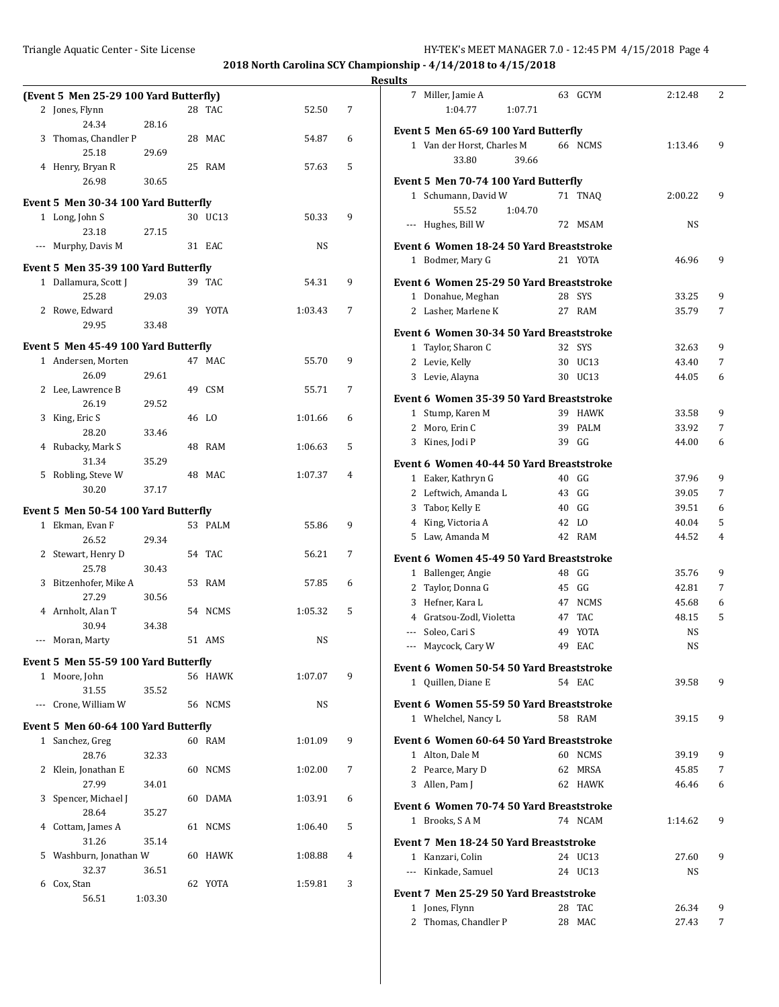|   |                                        |         |         |         |   | <b>Results</b>           |
|---|----------------------------------------|---------|---------|---------|---|--------------------------|
|   | (Event 5 Men 25-29 100 Yard Butterfly) |         |         |         |   |                          |
|   | 2 Jones, Flynn                         |         | 28 TAC  | 52.50   | 7 |                          |
|   | 24.34                                  | 28.16   |         |         |   | Eve                      |
|   | 3 Thomas, Chandler P                   |         | 28 MAC  | 54.87   | 6 |                          |
|   | 25.18                                  | 29.69   |         |         |   |                          |
|   | 4 Henry, Bryan R                       |         | 25 RAM  | 57.63   | 5 |                          |
|   | 26.98                                  | 30.65   |         |         |   | Eve                      |
|   |                                        |         |         |         |   |                          |
|   | Event 5 Men 30-34 100 Yard Butterfly   |         |         |         |   |                          |
|   | 1 Long, John S                         |         | 30 UC13 | 50.33   | 9 |                          |
|   | 23.18                                  | 27.15   |         |         |   |                          |
|   | --- Murphy, Davis M                    |         | 31 EAC  | NS      |   | Eve                      |
|   | Event 5 Men 35-39 100 Yard Butterfly   |         |         |         |   |                          |
|   | 1 Dallamura, Scott J                   |         | 39 TAC  | 54.31   | 9 |                          |
|   |                                        |         |         |         |   | Eve                      |
|   | 25.28                                  | 29.03   |         |         |   |                          |
|   | 2 Rowe, Edward                         |         | 39 YOTA | 1:03.43 | 7 |                          |
|   | 29.95                                  | 33.48   |         |         |   | Eve                      |
|   | Event 5 Men 45-49 100 Yard Butterfly   |         |         |         |   |                          |
|   | 1 Andersen, Morten                     |         | 47 MAC  | 55.70   | 9 |                          |
|   | 26.09                                  | 29.61   |         |         |   |                          |
|   | 2 Lee, Lawrence B                      |         | 49 CSM  | 55.71   | 7 |                          |
|   |                                        |         |         |         |   | Eve                      |
|   | 26.19                                  | 29.52   |         |         |   |                          |
| 3 | King, Eric S                           |         | 46 LO   | 1:01.66 | 6 |                          |
|   | 28.20                                  | 33.46   |         |         |   |                          |
|   | 4 Rubacky, Mark S                      |         | 48 RAM  | 1:06.63 | 5 |                          |
|   | 31.34                                  | 35.29   |         |         |   | Eve                      |
|   | 5 Robling, Steve W                     |         | 48 MAC  | 1:07.37 | 4 |                          |
|   | 30.20                                  | 37.17   |         |         |   |                          |
|   | Event 5 Men 50-54 100 Yard Butterfly   |         |         |         |   |                          |
|   | 1 Ekman, Evan F                        |         | 53 PALM | 55.86   | 9 |                          |
|   | 26.52                                  |         |         |         |   |                          |
|   |                                        | 29.34   |         |         |   |                          |
|   | 2 Stewart, Henry D                     |         | 54 TAC  | 56.21   | 7 | Eve                      |
|   | 25.78                                  | 30.43   |         |         |   |                          |
|   | 3 Bitzenhofer, Mike A                  |         | 53 RAM  | 57.85   | 6 |                          |
|   | 27.29                                  | 30.56   |         |         |   |                          |
|   | 4 Arnholt, Alan T                      |         | 54 NCMS | 1:05.32 | 5 |                          |
|   | 30.94                                  | 34.38   |         |         |   |                          |
|   | --- Moran, Marty                       |         | 51 AMS  | NS      |   | $\overline{\phantom{a}}$ |
|   | Event 5 Men 55-59 100 Yard Butterfly   |         |         |         |   |                          |
|   | 1 Moore, John                          |         | 56 HAWK | 1:07.07 | 9 | Eve                      |
|   | 31.55                                  | 35.52   |         |         |   |                          |
|   | --- Crone, William W                   |         | 56 NCMS | NS      |   | Eve                      |
|   |                                        |         |         |         |   |                          |
|   | Event 5 Men 60-64 100 Yard Butterfly   |         |         |         |   |                          |
|   | 1 Sanchez, Greg                        |         | 60 RAM  | 1:01.09 | 9 | Eve                      |
|   | 28.76                                  | 32.33   |         |         |   |                          |
|   | 2 Klein, Jonathan E                    |         | 60 NCMS | 1:02.00 | 7 |                          |
|   | 27.99                                  | 34.01   |         |         |   |                          |
|   | 3 Spencer, Michael J                   |         | 60 DAMA | 1:03.91 | 6 |                          |
|   | 28.64                                  | 35.27   |         |         |   | Eve                      |
|   | 4 Cottam, James A                      |         | 61 NCMS | 1:06.40 | 5 |                          |
|   | 31.26                                  | 35.14   |         |         |   | Eve                      |
|   |                                        |         | 60 HAWK | 1:08.88 | 4 |                          |
|   | 5 Washburn, Jonathan W                 |         |         |         |   |                          |
|   | 32.37                                  | 36.51   |         |         |   |                          |
|   | 6 Cox, Stan                            |         | 62 YOTA | 1:59.81 | 3 | Eve                      |
|   | 56.51                                  | 1:03.30 |         |         |   |                          |

| 7              | Miller, Jamie A<br>1:04.77                | 1:07.71 | 63    | GCYM        | 2:12.48   | 2 |
|----------------|-------------------------------------------|---------|-------|-------------|-----------|---|
|                | Event 5 Men 65-69 100 Yard Butterfly      |         |       |             |           |   |
|                | 1 Van der Horst, Charles M<br>33.80       | 39.66   |       | 66 NCMS     | 1:13.46   | 9 |
|                | Event 5 Men 70-74 100 Yard Butterfly      |         |       |             |           |   |
| 1              | Schumann, David W                         |         |       | 71 TNAQ     | 2:00.22   | 9 |
|                | 55.52                                     | 1:04.70 |       |             |           |   |
| $---$          | Hughes, Bill W                            |         | 72    | <b>MSAM</b> | <b>NS</b> |   |
|                | Event 6  Women 18-24 50 Yard Breaststroke |         |       |             |           |   |
| $\mathbf{1}$   | Bodmer, Mary G                            |         |       | 21 YOTA     | 46.96     | 9 |
|                |                                           |         |       |             |           |   |
|                | Event 6  Women 25-29 50 Yard Breaststroke |         |       |             |           |   |
|                | 1 Donahue, Meghan                         |         |       | 28 SYS      | 33.25     | 9 |
|                | 2 Lasher, Marlene K                       |         |       | 27 RAM      | 35.79     | 7 |
|                | Event 6  Women 30-34 50 Yard Breaststroke |         |       |             |           |   |
|                | 1 Taylor, Sharon C                        |         |       | 32 SYS      | 32.63     | 9 |
|                | 2 Levie, Kelly                            |         |       | 30 UC13     | 43.40     | 7 |
|                | 3 Levie, Alayna                           |         |       | 30 UC13     | 44.05     | 6 |
|                |                                           |         |       |             |           |   |
|                | Event 6  Women 35-39 50 Yard Breaststroke |         |       |             |           |   |
| $\mathbf{1}$   | Stump, Karen M                            |         |       | 39 HAWK     | 33.58     | 9 |
| 2              | Moro, Erin C                              |         |       | 39 PALM     | 33.92     | 7 |
| 3              | Kines, Jodi P                             |         | 39    | GG          | 44.00     | 6 |
|                | Event 6 Women 40-44 50 Yard Breaststroke  |         |       |             |           |   |
|                | 1 Eaker, Kathryn G                        |         |       | 40 GG       | 37.96     | 9 |
|                | 2 Leftwich, Amanda L                      |         | 43    | GG          | 39.05     | 7 |
| 3              | Tabor, Kelly E                            |         | 40    | GG          | 39.51     | 6 |
|                | 4 King, Victoria A                        |         | 42 LO |             | 40.04     | 5 |
|                | 5 Law, Amanda M                           |         |       | 42 RAM      | 44.52     | 4 |
|                |                                           |         |       |             |           |   |
|                | Event 6  Women 45-49 50 Yard Breaststroke |         |       |             |           |   |
| $\mathbf{1}$   | Ballenger, Angie                          |         | 48    | GG          | 35.76     | 9 |
| 2              | Taylor, Donna G                           |         | 45    | GG          | 42.81     | 7 |
| 3              | Hefner, Kara L                            |         |       | 47 NCMS     | 45.68     | 6 |
|                | 4 Gratsou-Zodl, Violetta                  |         |       | 47 TAC      | 48.15     | 5 |
|                | --- Soleo, Cari S                         |         | 49    | YOTA        | <b>NS</b> |   |
|                | --- Maycock, Cary W                       |         | 49    | EAC         | NS        |   |
|                |                                           |         |       |             |           |   |
|                | Event 6 Women 50-54 50 Yard Breaststroke  |         |       |             |           |   |
| 1              | Quillen, Diane E                          |         |       | 54 EAC      | 39.58     | 9 |
|                | Event 6  Women 55-59 50 Yard Breaststroke |         |       |             |           |   |
|                | 1 Whelchel, Nancy L                       |         |       | 58 RAM      | 39.15     | 9 |
|                |                                           |         |       |             |           |   |
|                | Event 6  Women 60-64 50 Yard Breaststroke |         |       |             |           |   |
|                | 1 Alton, Dale M                           |         |       | 60 NCMS     | 39.19     | 9 |
| $\overline{2}$ | Pearce, Mary D                            |         | 62    | MRSA        | 45.85     | 7 |
|                | 3 Allen, Pam J                            |         | 62    | <b>HAWK</b> | 46.46     | 6 |
|                | Event 6  Women 70-74 50 Yard Breaststroke |         |       |             |           |   |
| $1\,$          | Brooks, SAM                               |         |       | 74 NCAM     | 1:14.62   | 9 |
|                |                                           |         |       |             |           |   |
|                | Event 7 Men 18-24 50 Yard Breaststroke    |         |       |             |           |   |
|                | 1 Kanzari, Colin                          |         | 24    | UC13        | 27.60     | 9 |
| $---$          | Kinkade, Samuel                           |         |       | 24 UC13     | NS        |   |
|                | Event 7 Men 25-29 50 Yard Breaststroke    |         |       |             |           |   |
|                | 1 Jones, Flynn                            |         | 28    | TAC         | 26.34     | 9 |
| 2              | Thomas, Chandler P                        |         | 28    | MAC         | 27.43     | 7 |
|                |                                           |         |       |             |           |   |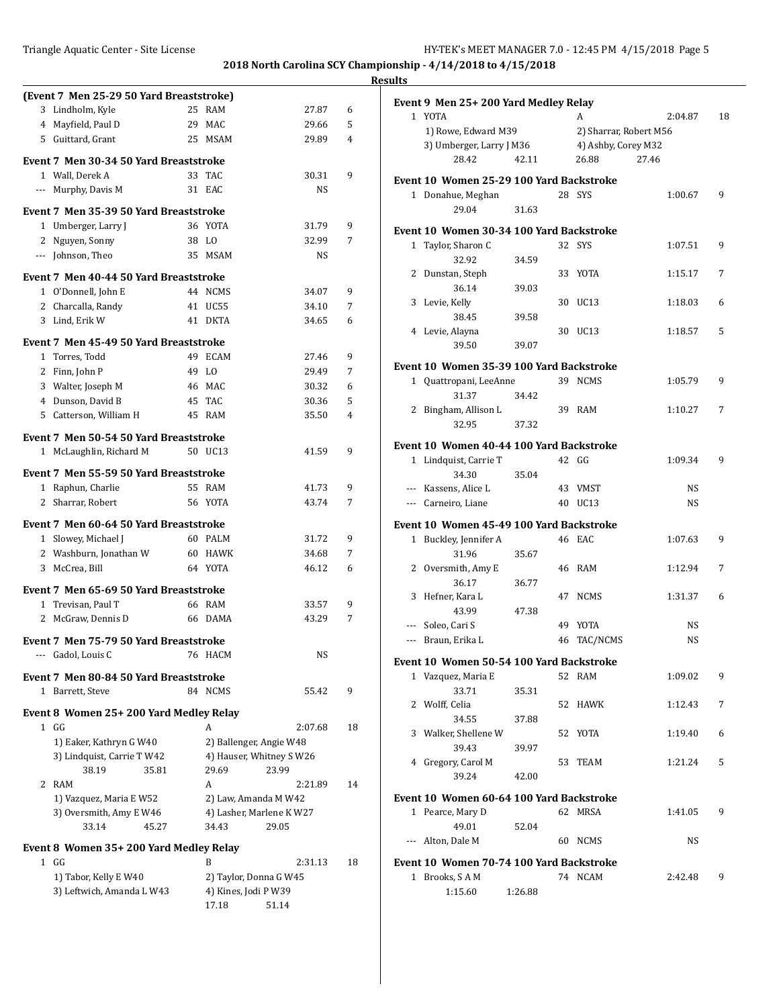|                                                  |                          |           |                | <b>Results</b>                                         |    |
|--------------------------------------------------|--------------------------|-----------|----------------|--------------------------------------------------------|----|
| (Event 7 Men 25-29 50 Yard Breaststroke)         |                          |           |                | Event 9 Men 25+200 Yard Medley Relay                   |    |
| 3 Lindholm, Kyle                                 | 25 RAM                   | 27.87     | 6              | 1 YOTA<br>2:04.87<br>A                                 | 18 |
| 4 Mayfield, Paul D                               | 29 MAC                   | 29.66     | 5              | 1) Rowe, Edward M39<br>2) Sharrar, Robert M56          |    |
| 5 Guittard, Grant                                | 25 MSAM                  | 29.89     | 4              | 3) Umberger, Larry J M36<br>4) Ashby, Corey M32        |    |
| Event 7 Men 30-34 50 Yard Breaststroke           |                          |           |                | 28.42<br>42.11<br>26.88<br>27.46                       |    |
| 1 Wall, Derek A                                  | 33 TAC                   | 30.31     | 9              | Event 10 Women 25-29 100 Yard Backstroke               |    |
| --- Murphy, Davis M                              | 31 EAC                   | NS        |                | 1 Donahue, Meghan<br>28 SYS<br>1:00.67                 | 9  |
| Event 7 Men 35-39 50 Yard Breaststroke           |                          |           |                | 29.04<br>31.63                                         |    |
| 1 Umberger, Larry J                              | 36 YOTA                  | 31.79     | 9              |                                                        |    |
| 2 Nguyen, Sonny                                  | 38 LO                    | 32.99     | 7              | Event 10 Women 30-34 100 Yard Backstroke               |    |
| --- Johnson, Theo                                | 35 MSAM                  | <b>NS</b> |                | 32 SYS<br>1 Taylor, Sharon C<br>1:07.51                | 9  |
|                                                  |                          |           |                | 32.92<br>34.59                                         |    |
| Event 7 Men 40-44 50 Yard Breaststroke           |                          |           |                | 2 Dunstan, Steph<br>33 YOTA<br>1:15.17                 | 7  |
| 1 O'Donnell, John E                              | 44 NCMS                  | 34.07     | 9              | 36.14<br>39.03<br>3 Levie, Kelly<br>30 UC13<br>1:18.03 | 6  |
| 2 Charcalla, Randy                               | 41 UC55                  | 34.10     | 7              | 38.45<br>39.58                                         |    |
| 3 Lind, Erik W                                   | 41 DKTA                  | 34.65     | 6              | 30 UC13<br>4 Levie, Alayna<br>1:18.57                  | 5  |
| Event 7 Men 45-49 50 Yard Breaststroke           |                          |           |                | 39.07<br>39.50                                         |    |
| 1 Torres, Todd                                   | 49 ECAM                  | 27.46     | 9              |                                                        |    |
| 2 Finn, John P                                   | 49 I.O                   | 29.49     | 7              | Event 10 Women 35-39 100 Yard Backstroke               |    |
| 3 Walter, Joseph M                               | 46 MAC                   | 30.32     | 6              | 39 NCMS<br>1 Quattropani, LeeAnne<br>1:05.79           | 9  |
| 4 Dunson, David B                                | 45 TAC                   | 30.36     | 5              | 31.37<br>34.42                                         |    |
| 5 Catterson, William H                           | 45 RAM                   | 35.50     | $\overline{4}$ | 2 Bingham, Allison L<br>39 RAM<br>1:10.27              | 7  |
| Event 7 Men 50-54 50 Yard Breaststroke           |                          |           |                | 32.95<br>37.32                                         |    |
| 1 McLaughlin, Richard M                          | 50 UC13                  | 41.59     | 9              | Event 10 Women 40-44 100 Yard Backstroke               |    |
|                                                  |                          |           |                | 42 GG<br>1 Lindquist, Carrie T<br>1:09.34              | 9  |
| Event 7 Men 55-59 50 Yard Breaststroke           |                          |           |                | 34.30<br>35.04                                         |    |
| 1 Raphun, Charlie                                | 55 RAM                   | 41.73     | 9              | --- Kassens, Alice L<br>43 VMST<br><b>NS</b>           |    |
| 2 Sharrar, Robert                                | 56 YOTA                  | 43.74     | 7              | 40 UC13<br><b>NS</b><br>--- Carneiro, Liane            |    |
| Event 7 Men 60-64 50 Yard Breaststroke           |                          |           |                | Event 10 Women 45-49 100 Yard Backstroke               |    |
| 1 Slowey, Michael J                              | 60 PALM                  | 31.72     | 9              | 1 Buckley, Jennifer A<br>46 EAC<br>1:07.63             | 9  |
| 2 Washburn, Jonathan W                           | 60 HAWK                  | 34.68     | 7              | 31.96<br>35.67                                         |    |
| 3 McCrea, Bill                                   | 64 YOTA                  | 46.12     | 6              | 2 Oversmith, Amy E<br>46 RAM<br>1:12.94                | 7  |
| Event 7 Men 65-69 50 Yard Breaststroke           |                          |           |                | 36.17<br>36.77                                         |    |
| 1 Trevisan, Paul T                               | 66 RAM                   | 33.57     | 9              | 3 Hefner, Kara L<br>47 NCMS<br>1:31.37                 | 6  |
| 2 McGraw, Dennis D                               | 66 DAMA                  | 43.29     | 7              | 43.99<br>47.38                                         |    |
|                                                  |                          |           |                | --- Soleo, Cari S<br>49 YOTA<br><b>NS</b>              |    |
| Event 7 Men 75-79 50 Yard Breaststroke           |                          |           |                | <b>NS</b><br>--- Braun, Erika L<br>46 TAC/NCMS         |    |
| --- Gadol, Louis C                               | 76 HACM                  | NS        |                | Event 10 Women 50-54 100 Yard Backstroke               |    |
| Event 7 Men 80-84 50 Yard Breaststroke           |                          |           |                | 1 Vazquez, Maria E<br>1:09.02<br>52 RAM                | 9  |
| 1 Barrett, Steve                                 | 84 NCMS                  | 55.42     | 9              | 33.71<br>35.31                                         |    |
|                                                  |                          |           |                | 2 Wolff, Celia<br>52 HAWK<br>1:12.43                   | 7  |
| Event 8 Women 25+200 Yard Medley Relay<br>$1$ GG | A                        | 2:07.68   | 18             | 34.55<br>37.88                                         |    |
| 1) Eaker, Kathryn G W40                          | 2) Ballenger, Angie W48  |           |                | 3 Walker, Shellene W<br>52 YOTA<br>1:19.40             | 6  |
| 3) Lindquist, Carrie T W42                       | 4) Hauser, Whitney S W26 |           |                | 39.43<br>39.97                                         |    |
| 35.81<br>38.19                                   | 29.69                    | 23.99     |                | 4 Gregory, Carol M<br>53 TEAM<br>1:21.24               | 5  |
| 2 RAM                                            | A                        | 2:21.89   | 14             | 39.24<br>42.00                                         |    |
| 1) Vazquez, Maria E W52                          | 2) Law, Amanda M W42     |           |                | Event 10 Women 60-64 100 Yard Backstroke               |    |
| 3) Oversmith, Amy E W46                          | 4) Lasher, Marlene K W27 |           |                | 1 Pearce, Mary D<br>62 MRSA<br>1:41.05                 | 9  |
| 33.14<br>45.27                                   | 34.43                    | 29.05     |                | 49.01<br>52.04                                         |    |
| Event 8 Women 35+200 Yard Medley Relay           |                          |           |                | --- Alton, Dale M<br>NS<br>60 NCMS                     |    |
| $1$ GG                                           | B                        | 2:31.13   | 18             | Event 10 Women 70-74 100 Yard Backstroke               |    |
| 1) Tabor, Kelly E W40                            | 2) Taylor, Donna G W45   |           |                | 74 NCAM<br>1 Brooks, SAM<br>2:42.48                    | 9  |
| 3) Leftwich, Amanda L W43                        | 4) Kines, Jodi P W39     |           |                | 1:15.60<br>1:26.88                                     |    |
|                                                  | 17.18                    | 51.14     |                |                                                        |    |
|                                                  |                          |           |                |                                                        |    |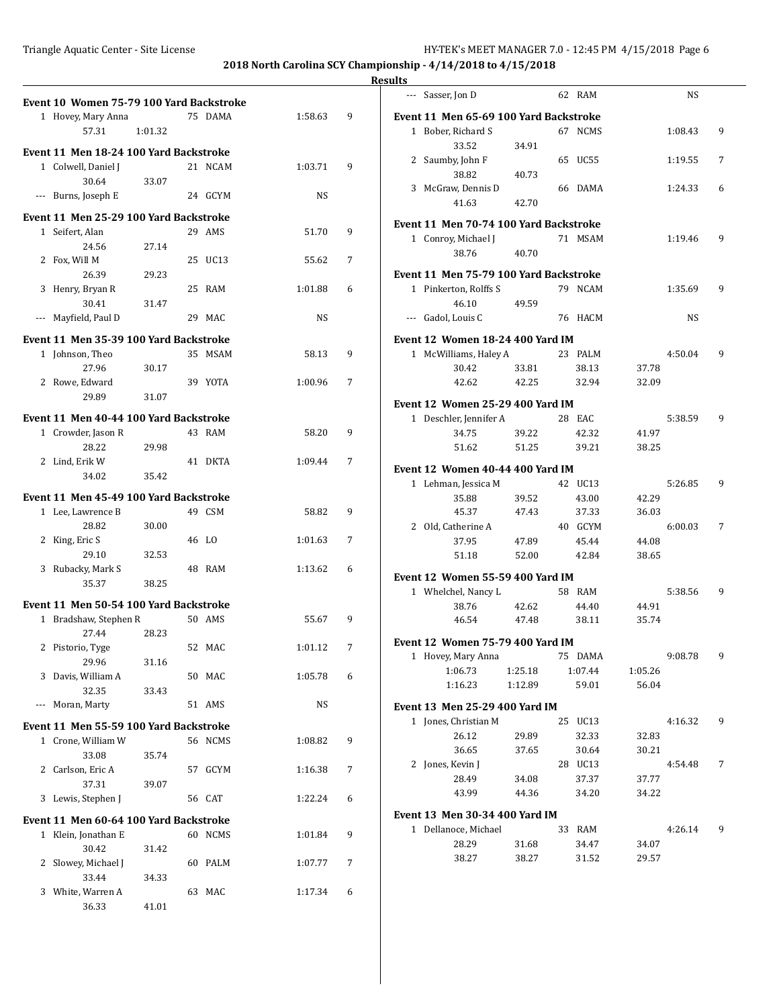|                                          |         |         |         |   | <b>Results</b>                        |
|------------------------------------------|---------|---------|---------|---|---------------------------------------|
| Event 10 Women 75-79 100 Yard Backstroke |         |         |         |   | --- Sasser, Jon D                     |
| 1 Hovey, Mary Anna                       |         | 75 DAMA | 1:58.63 | 9 | Event 11 Men 65-69 100 Yard Ba        |
| 57.31                                    | 1:01.32 |         |         |   | 1 Bober, Richard S                    |
| Event 11 Men 18-24 100 Yard Backstroke   |         |         |         |   | 33.52<br>34.91                        |
| 1 Colwell, Daniel J                      |         | 21 NCAM | 1:03.71 | 9 | 2 Saumby, John F                      |
| 30.64                                    | 33.07   |         |         |   | 38.82<br>40.73                        |
| --- Burns, Joseph E                      |         | 24 GCYM | NS      |   | 3 McGraw, Dennis D<br>41.63<br>42.70  |
| Event 11 Men 25-29 100 Yard Backstroke   |         |         |         |   |                                       |
| 1 Seifert, Alan                          |         | 29 AMS  | 51.70   | 9 | Event 11 Men 70-74 100 Yard Ba        |
| 24.56                                    | 27.14   |         |         |   | 1 Conroy, Michael J                   |
| 2 Fox, Will M                            |         | 25 UC13 | 55.62   | 7 | 38.76<br>40.70                        |
| 26.39                                    | 29.23   |         |         |   | Event 11 Men 75-79 100 Yard Ba        |
| 3 Henry, Bryan R                         |         | 25 RAM  | 1:01.88 | 6 | 1 Pinkerton, Rolffs S                 |
| 30.41                                    | 31.47   |         |         |   | 46.10<br>49.59                        |
| --- Mayfield, Paul D                     |         | 29 MAC  | NS      |   | --- Gadol, Louis C                    |
| Event 11 Men 35-39 100 Yard Backstroke   |         |         |         |   | <b>Event 12 Women 18-24 400 Yard</b>  |
| 1 Johnson, Theo                          |         | 35 MSAM | 58.13   | 9 | 1 McWilliams, Haley A                 |
| 27.96                                    | 30.17   |         |         |   | 30.42<br>33.81                        |
| 2 Rowe, Edward                           |         | 39 YOTA | 1:00.96 | 7 | 42.62<br>42.25                        |
| 29.89                                    | 31.07   |         |         |   | Event 12 Women 25-29 400 Yard         |
| Event 11 Men 40-44 100 Yard Backstroke   |         |         |         |   | 1 Deschler, Jennifer A                |
| 1 Crowder, Jason R                       |         | 43 RAM  | 58.20   | 9 | 34.75<br>39.22                        |
| 28.22                                    | 29.98   |         |         |   | 51.62<br>51.25                        |
| 2 Lind, Erik W                           |         | 41 DKTA | 1:09.44 | 7 | Event 12 Women 40-44 400 Yard         |
| 34.02                                    | 35.42   |         |         |   | 1 Lehman, Jessica M                   |
| Event 11 Men 45-49 100 Yard Backstroke   |         |         |         |   | 35.88<br>39.52                        |
| 1 Lee, Lawrence B                        |         | 49 CSM  | 58.82   | 9 | 45.37<br>47.43                        |
| 28.82                                    | 30.00   |         |         |   | 2 Old, Catherine A                    |
| 2 King, Eric S                           |         | 46 LO   | 1:01.63 | 7 | 37.95<br>47.89                        |
| 29.10                                    | 32.53   |         |         |   | 51.18<br>52.00                        |
| 3 Rubacky, Mark S                        |         | 48 RAM  | 1:13.62 | 6 | Event 12 Women 55-59 400 Yard         |
| 35.37                                    | 38.25   |         |         |   | 1 Whelchel, Nancy L                   |
| Event 11 Men 50-54 100 Yard Backstroke   |         |         |         |   | 38.76<br>42.62                        |
| 1 Bradshaw, Stephen R                    |         | 50 AMS  | 55.67   | 9 | 46.54<br>47.48                        |
| 27.44                                    | 28.23   |         |         |   | Event 12 Women 75-79 400 Yard         |
| 2 Pistorio, Tyge                         |         | 52 MAC  | 1:01.12 | 7 | 1 Hovey, Mary Anna                    |
| 29.96<br>3 Davis, William A              | 31.16   | 50 MAC  | 1:05.78 |   | 1:06.73<br>1:25.18                    |
| 32.35                                    | 33.43   |         |         | 6 | 1:16.23<br>1:12.89                    |
| --- Moran, Marty                         |         | 51 AMS  | NS      |   | Event 13 Men 25-29 400 Yard IM        |
|                                          |         |         |         |   | 1 Jones, Christian M                  |
| Event 11 Men 55-59 100 Yard Backstroke   |         |         |         |   | 26.12<br>29.89                        |
| 1 Crone, William W                       |         | 56 NCMS | 1:08.82 | 9 | 36.65<br>37.65                        |
| 33.08<br>2 Carlson, Eric A               | 35.74   | 57 GCYM | 1:16.38 | 7 | 2 Jones, Kevin J                      |
| 37.31                                    | 39.07   |         |         |   | 28.49<br>34.08                        |
| 3 Lewis, Stephen J                       |         | 56 CAT  | 1:22.24 | 6 | 43.99<br>44.36                        |
|                                          |         |         |         |   | <b>Event 13 Men 30-34 400 Yard IM</b> |
| Event 11 Men 60-64 100 Yard Backstroke   |         |         |         |   | 1 Dellanoce, Michael                  |
| 1 Klein, Jonathan E<br>30.42             |         | 60 NCMS | 1:01.84 | 9 | 28.29<br>31.68                        |
| 2 Slowey, Michael J                      | 31.42   | 60 PALM | 1:07.77 | 7 | 38.27<br>38.27                        |
| 33.44                                    | 34.33   |         |         |   |                                       |
| 3 White, Warren A                        |         | 63 MAC  | 1:17.34 | 6 |                                       |
| 36.33                                    | 41.01   |         |         |   |                                       |

| . |              |                                         |         |         |         |         |   |
|---|--------------|-----------------------------------------|---------|---------|---------|---------|---|
|   |              | --- Sasser, Jon D                       |         | 62 RAM  |         | NS      |   |
|   |              | Event 11 Men 65-69 100 Yard Backstroke  |         |         |         |         |   |
|   |              | 1 Bober, Richard S                      |         | 67 NCMS |         | 1:08.43 | 9 |
|   |              | 33.52                                   | 34.91   |         |         |         |   |
|   |              | 2 Saumby, John F                        |         | 65 UC55 |         | 1:19.55 | 7 |
|   |              | 38.82                                   | 40.73   |         |         |         |   |
|   |              | 3 McGraw, Dennis D                      |         | 66 DAMA |         | 1:24.33 | 6 |
|   |              | 41.63                                   | 42.70   |         |         |         |   |
|   |              | Event 11 Men 70-74 100 Yard Backstroke  |         |         |         |         |   |
|   |              | 1 Conroy, Michael J                     |         | 71 MSAM |         | 1:19.46 | 9 |
|   |              | 38.76                                   | 40.70   |         |         |         |   |
|   |              | Event 11  Men 75-79 100 Yard Backstroke |         |         |         |         |   |
|   |              | 1 Pinkerton, Rolffs S                   |         | 79 NCAM |         | 1:35.69 | 9 |
|   |              | 46.10                                   | 49.59   |         |         |         |   |
|   |              | --- Gadol, Louis C                      |         | 76 HACM |         | NS      |   |
|   |              |                                         |         |         |         |         |   |
|   |              | Event 12 Women 18-24 400 Yard IM        |         |         |         |         |   |
|   |              | 1 McWilliams, Haley A                   |         | 23 PALM |         | 4:50.04 | 9 |
|   |              | 30.42                                   | 33.81   | 38.13   | 37.78   |         |   |
|   |              | 42.62                                   | 42.25   | 32.94   | 32.09   |         |   |
|   |              | Event 12 Women 25-29 400 Yard IM        |         |         |         |         |   |
|   | $\mathbf{1}$ | Deschler, Jennifer A                    |         | 28 EAC  |         | 5:38.59 | 9 |
|   |              | 34.75                                   | 39.22   | 42.32   | 41.97   |         |   |
|   |              | 51.62                                   | 51.25   | 39.21   | 38.25   |         |   |
|   |              | Event 12 Women 40-44 400 Yard IM        |         |         |         |         |   |
|   |              | 1 Lehman, Jessica M                     |         | 42 UC13 |         | 5:26.85 | 9 |
|   |              | 35.88                                   | 39.52   | 43.00   | 42.29   |         |   |
|   |              | 45.37                                   | 47.43   | 37.33   | 36.03   |         |   |
|   |              | 2 Old, Catherine A                      |         | 40 GCYM |         | 6:00.03 | 7 |
|   |              | 37.95                                   | 47.89   | 45.44   | 44.08   |         |   |
|   |              | 51.18                                   | 52.00   | 42.84   | 38.65   |         |   |
|   |              |                                         |         |         |         |         |   |
|   |              | Event 12 Women 55-59 400 Yard IM        |         |         |         |         |   |
|   |              | 1 Whelchel, Nancy L                     |         | 58 RAM  |         | 5:38.56 | 9 |
|   |              | 38.76                                   | 42.62   | 44.40   | 44.91   |         |   |
|   |              | 46.54                                   | 47.48   | 38.11   | 35.74   |         |   |
|   |              | Event 12 Women 75-79 400 Yard IM        |         |         |         |         |   |
|   | 1            | Hovey, Mary Anna                        |         | 75 DAMA |         | 9:08.78 | 9 |
|   |              | 1:06.73                                 | 1:25.18 | 1:07.44 | 1:05.26 |         |   |
|   |              | 1:16.23                                 | 1:12.89 | 59.01   | 56.04   |         |   |
|   |              | Event 13 Men 25-29 400 Yard IM          |         |         |         |         |   |
|   |              | 1 Jones, Christian M                    |         | 25 UC13 |         | 4:16.32 | 9 |
|   |              | 26.12                                   | 29.89   | 32.33   | 32.83   |         |   |
|   |              | 36.65                                   | 37.65   | 30.64   | 30.21   |         |   |
|   |              | 2 Jones, Kevin J                        |         | 28 UC13 |         | 4:54.48 | 7 |
|   |              | 28.49                                   | 34.08   | 37.37   | 37.77   |         |   |
|   |              | 43.99                                   | 44.36   | 34.20   | 34.22   |         |   |
|   |              | Event 13  Men 30-34 400 Yard IM         |         |         |         |         |   |
|   |              | 1 Dellanoce, Michael                    |         | 33 RAM  |         | 4:26.14 | 9 |
|   |              | 28.29                                   | 31.68   | 34.47   | 34.07   |         |   |
|   |              | 38.27                                   | 38.27   | 31.52   | 29.57   |         |   |
|   |              |                                         |         |         |         |         |   |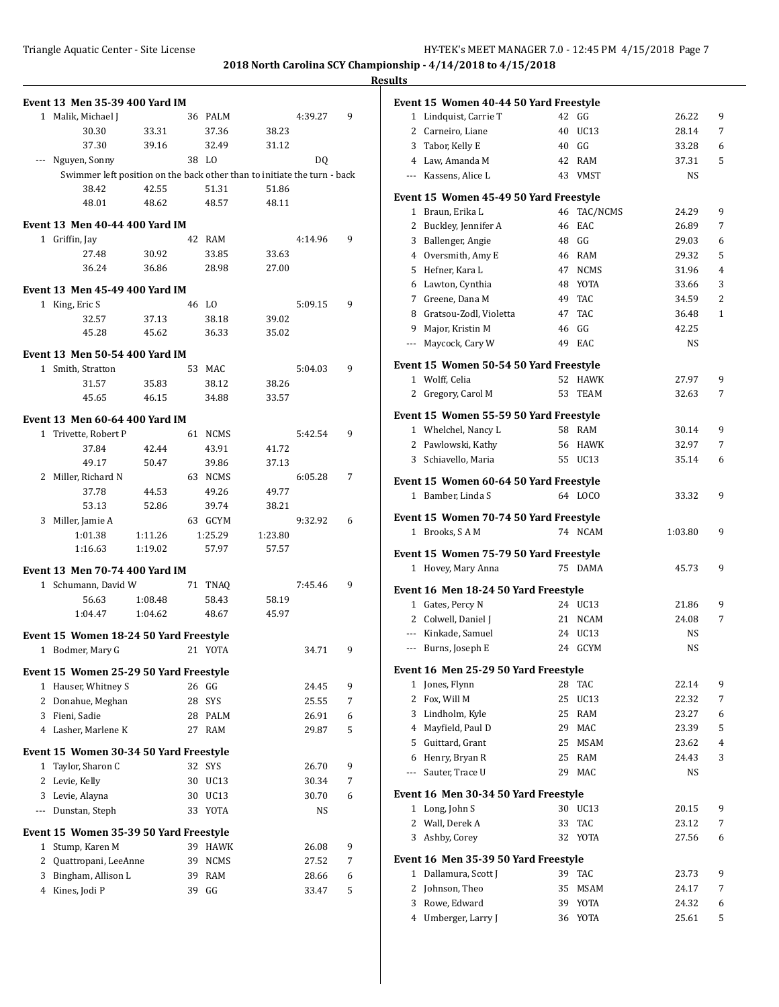| Event 13 Men 35-39 400 Yard IM                                           |                    |          |                          |         |             |   |
|--------------------------------------------------------------------------|--------------------|----------|--------------------------|---------|-------------|---|
| Malik, Michael J<br>1                                                    |                    |          | 36 PALM                  |         | 4:39.27     | 9 |
| 30.30                                                                    | 33.31              |          | 37.36                    | 38.23   |             |   |
| 37.30                                                                    | 39.16              |          | 32.49                    | 31.12   |             |   |
| Nguyen, Sonny<br>$\cdots$                                                |                    |          | 38 LO                    |         | DQ          |   |
| Swimmer left position on the back other than to initiate the turn - back |                    |          |                          |         |             |   |
| 38.42                                                                    | 42.55              |          | 51.31                    | 51.86   |             |   |
| 48.01                                                                    | 48.62              |          | 48.57                    | 48.11   |             |   |
| Event 13 Men 40-44 400 Yard IM                                           |                    |          |                          |         |             |   |
| 1 Griffin, Jay                                                           |                    |          | 42 RAM                   |         | 4:14.96     | 9 |
| 27.48                                                                    | 30.92              |          | 33.85                    | 33.63   |             |   |
| 36.24                                                                    | 36.86              |          | 28.98                    | 27.00   |             |   |
|                                                                          |                    |          |                          |         |             |   |
| Event 13 Men 45-49 400 Yard IM                                           |                    |          |                          |         |             |   |
| King, Eric S<br>$\mathbf{1}$                                             |                    |          | 46 LO                    |         | 5:09.15     | 9 |
| 32.57                                                                    | 37.13              |          | 38.18                    | 39.02   |             |   |
| 45.28                                                                    | 45.62              |          | 36.33                    | 35.02   |             |   |
| <b>Event 13 Men 50-54 400 Yard IM</b>                                    |                    |          |                          |         |             |   |
| 1 Smith, Stratton                                                        |                    |          | 53 MAC                   |         | 5:04.03     | 9 |
| 31.57                                                                    | 35.83              |          | 38.12                    | 38.26   |             |   |
| 45.65                                                                    | 46.15              |          | 34.88                    | 33.57   |             |   |
| Event 13 Men 60-64 400 Yard IM                                           |                    |          |                          |         |             |   |
| Trivette, Robert P<br>$\mathbf{1}$                                       |                    | 61       | <b>NCMS</b>              |         | 5:42.54     | 9 |
| 37.84                                                                    | 42.44              |          | 43.91                    | 41.72   |             |   |
| 49.17                                                                    | 50.47              |          | 39.86                    | 37.13   |             |   |
| Miller, Richard N<br>2                                                   |                    |          | 63 NCMS                  |         | 6:05.28     | 7 |
| 37.78                                                                    | 44.53              |          | 49.26                    | 49.77   |             |   |
| 53.13                                                                    | 52.86              |          | 39.74                    | 38.21   |             |   |
| Miller, Jamie A<br>3                                                     |                    |          | 63 GCYM                  |         | 9:32.92     | 6 |
| 1:01.38                                                                  | 1:11.26            |          | 1:25.29                  | 1:23.80 |             |   |
| 1:16.63                                                                  | 1:19.02            |          | 57.97                    | 57.57   |             |   |
|                                                                          |                    |          |                          |         |             |   |
| Event 13 Men 70-74 400 Yard IM                                           |                    |          |                          |         |             |   |
| Schumann, David W<br>$\mathbf{1}$                                        |                    | 71       | TNAQ                     |         | 7:45.46     | 9 |
| 56.63<br>1:04.47                                                         | 1:08.48<br>1:04.62 |          | 58.43                    | 58.19   |             |   |
|                                                                          |                    |          | 48.67                    | 45.97   |             |   |
| Event 15 Women 18-24 50 Yard Freestyle                                   |                    |          |                          |         |             |   |
| 1 Bodmer, Mary G                                                         |                    |          | 21 YOTA                  |         | 34.71       | 9 |
| Event 15 Women 25-29 50 Yard Freestyle                                   |                    |          |                          |         |             |   |
| Hauser, Whitney S<br>$\mathbf{1}$                                        |                    | 26       | GG                       |         | 24.45       | 9 |
| $\mathbf{2}$<br>Donahue, Meghan                                          |                    | 28       | SYS                      |         | 25.55       | 7 |
| 3 Fieni, Sadie                                                           |                    | 28       | PALM                     |         | 26.91       | 6 |
| 4 Lasher, Marlene K                                                      |                    | 27       | RAM                      |         | 29.87       | 5 |
|                                                                          |                    |          |                          |         |             |   |
| Event 15 Women 30-34 50 Yard Freestyle                                   |                    |          |                          |         |             |   |
| Taylor, Sharon C<br>1                                                    |                    | 32       | SYS                      |         | 26.70       | 9 |
| $\overline{2}$<br>Levie, Kelly                                           |                    | 30       | UC <sub>13</sub>         |         | 30.34       | 7 |
| 3<br>Levie, Alayna<br>Dunstan, Steph                                     |                    | 30<br>33 | UC <sub>13</sub><br>YOTA |         | 30.70<br>NS | 6 |
| $\cdots$                                                                 |                    |          |                          |         |             |   |
| Event 15 Women 35-39 50 Yard Freestyle                                   |                    |          |                          |         |             |   |
| Stump, Karen M<br>1                                                      |                    | 39       | <b>HAWK</b>              |         | 26.08       | 9 |
| 2<br>Quattropani, LeeAnne                                                |                    | 39       | <b>NCMS</b>              |         | 27.52       | 7 |
| Bingham, Allison L<br>3                                                  |                    | 39       | <b>RAM</b>               |         | 28.66       | 6 |
| 4 Kines, Jodi P                                                          |                    | 39       | GG                       |         | 33.47       | 5 |

|              | Event 15 Women 40-44 50 Yard Freestyle |          |              |                |              |
|--------------|----------------------------------------|----------|--------------|----------------|--------------|
|              | 1 Lindquist, Carrie T                  |          | 42 GG        | 26.22          | 9            |
|              | 2 Carneiro, Liane                      | 40       | UC13         | 28.14          | 7            |
|              | 3 Tabor, Kelly E                       |          | 40 GG        | 33.28          | 6            |
|              | 4 Law, Amanda M                        |          | 42 RAM       | 37.31          | 5            |
|              | --- Kassens. Alice L                   |          | 43 VMST      | NS             |              |
|              | Event 15 Women 45-49 50 Yard Freestyle |          |              |                |              |
|              | 1 Braun, Erika L                       | 46       | TAC/NCMS     | 24.29          | 9            |
|              | 2 Buckley, Jennifer A                  | 46       | EAC          | 26.89          | 7            |
| 3            | Ballenger, Angie                       |          | 48 GG        | 29.03          | 6            |
|              | 4 Oversmith, Amy E                     |          | 46 RAM       | 29.32          | 5            |
|              | 5 Hefner, Kara L                       |          | 47 NCMS      | 31.96          | 4            |
|              | 6 Lawton, Cynthia                      |          | 48 YOTA      | 33.66          | 3            |
|              | 7 Greene, Dana M                       |          | 49 TAC       | 34.59          | 2            |
|              | 8 Gratsou-Zodl, Violetta               |          | 47 TAC       | 36.48          | $\mathbf{1}$ |
|              | 9 Major, Kristin M                     |          | 46 GG        | 42.25          |              |
|              | --- Maycock, Cary W                    |          | 49 EAC       | NS             |              |
|              | Event 15 Women 50-54 50 Yard Freestyle |          |              |                |              |
|              | 1 Wolff, Celia                         | 52       | <b>HAWK</b>  | 27.97          | 9            |
|              | 2 Gregory, Carol M                     | 53       | <b>TEAM</b>  | 32.63          | 7            |
|              | Event 15 Women 55-59 50 Yard Freestyle |          |              |                |              |
|              | 1 Whelchel, Nancy L                    |          | 58 RAM       | 30.14          | 9            |
|              | 2 Pawlowski, Kathy                     |          | 56 HAWK      | 32.97          | 7            |
|              | 3 Schiavello, Maria                    |          | 55 UC13      | 35.14          | 6            |
|              | Event 15 Women 60-64 50 Yard Freestyle |          |              |                |              |
|              | 1 Bamber, Linda S                      |          | 64 LOCO      | 33.32          | 9            |
|              |                                        |          |              |                |              |
|              | Event 15 Women 70-74 50 Yard Freestyle |          |              |                |              |
|              | 1 Brooks, SAM                          |          | 74 NCAM      | 1:03.80        | 9            |
|              | Event 15 Women 75-79 50 Yard Freestyle |          |              |                |              |
|              | 1 Hovey, Mary Anna                     |          | 75 DAMA      | 45.73          | 9            |
|              | Event 16 Men 18-24 50 Yard Freestyle   |          |              |                |              |
|              | 1 Gates, Percy N                       |          | 24 UC13      | 21.86          | 9            |
|              | 2 Colwell, Daniel J                    |          | 21 NCAM      | 24.08          | 7            |
|              | --- Kinkade, Samuel                    |          | 24 UC13      | NS             |              |
|              | --- Burns, Joseph E                    |          | 24 GCYM      | NS             |              |
|              | Event 16 Men 25-29 50 Yard Freestyle   |          |              |                |              |
| 1            | Jones, Flynn                           | 28       | TAC          | 22.14          | 9            |
| 2            | Fox, Will M                            | 25       | UC13         | 22.32          | 7            |
| 3            | Lindholm, Kyle                         | 25       | RAM          | 23.27          | 6            |
| 4            | Mayfield, Paul D                       | 29       | <b>MAC</b>   | 23.39          | 5            |
| 5            | Guittard, Grant                        | 25       | MSAM         | 23.62          | 4            |
| 6            | Henry, Bryan R                         | 25       | RAM          | 24.43          | 3            |
| ---          | Sauter, Trace U                        | 29       | MAC          | NS             |              |
|              | Event 16 Men 30-34 50 Yard Freestyle   |          |              |                |              |
| $\mathbf{1}$ | Long, John S                           | 30       | UC13         | 20.15          | 9            |
| 2            | Wall, Derek A                          | 33       | TAC          | 23.12          | 7            |
| 3            | Ashby, Corey                           | 32       | YOTA         | 27.56          | 6            |
|              |                                        |          |              |                |              |
| 1            | Event 16 Men 35-39 50 Yard Freestyle   |          |              |                | 9            |
|              |                                        |          |              |                |              |
|              | Dallamura, Scott J                     | 39       | TAC          | 23.73          |              |
| 2            | Johnson, Theo                          | 35       | <b>MSAM</b>  | 24.17          | 7            |
| 3<br>4       | Rowe, Edward<br>Umberger, Larry J      | 39<br>36 | YOTA<br>YOTA | 24.32<br>25.61 | 6<br>5       |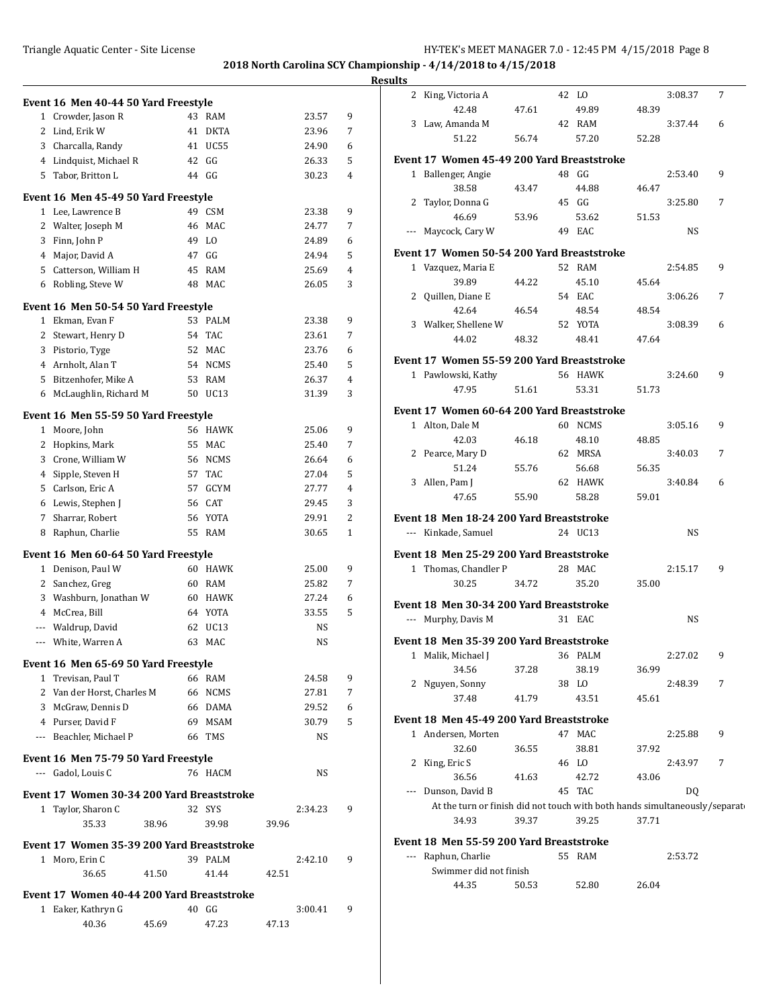|   |                                                                  |       |          |                |       |                 |                     | <b>Results</b> |                                                                            |       |                |       |           |                |
|---|------------------------------------------------------------------|-------|----------|----------------|-------|-----------------|---------------------|----------------|----------------------------------------------------------------------------|-------|----------------|-------|-----------|----------------|
|   | Event 16 Men 40-44 50 Yard Freestyle                             |       |          |                |       |                 |                     |                | 2 King, Victoria A                                                         |       | 42 LO          |       | 3:08.37   | $\overline{7}$ |
|   | 1 Crowder, Jason R                                               |       |          | 43 RAM         |       | 23.57           | 9                   |                | 42.48                                                                      | 47.61 | 49.89          | 48.39 |           |                |
|   | 2 Lind, Erik W                                                   |       |          | 41 DKTA        |       | 23.96           | 7                   |                | 3 Law, Amanda M                                                            |       | 42 RAM         |       | 3:37.44   | 6              |
|   | 3 Charcalla, Randy                                               |       |          | 41 UC55        |       | 24.90           | 6                   |                | 51.22                                                                      | 56.74 | 57.20          | 52.28 |           |                |
|   | 4 Lindquist, Michael R                                           |       |          | 42 GG          |       | 26.33           | 5                   |                | Event 17 Women 45-49 200 Yard Breaststroke                                 |       |                |       |           |                |
|   | 5 Tabor, Britton L                                               |       |          | 44 GG          |       | 30.23           | $\overline{4}$      |                | 1 Ballenger, Angie                                                         |       | 48 GG          |       | 2:53.40   | 9              |
|   |                                                                  |       |          |                |       |                 |                     |                | 38.58                                                                      | 43.47 | 44.88          | 46.47 |           |                |
|   | Event 16 Men 45-49 50 Yard Freestyle<br>1 Lee, Lawrence B        |       |          | 49 CSM         |       | 23.38           | 9                   |                | 2 Taylor, Donna G                                                          |       | 45 GG          |       | 3:25.80   | 7              |
|   | 2 Walter, Joseph M                                               |       | 46       | MAC            |       | 24.77           | 7                   |                | 46.69                                                                      | 53.96 | 53.62          | 51.53 |           |                |
|   | 3 Finn, John P                                                   |       | 49       | L <sub>0</sub> |       | 24.89           | 6                   |                | --- Maycock, Cary W                                                        |       | 49 EAC         |       | NS        |                |
|   | 4 Major, David A                                                 |       | 47       | GG             |       | 24.94           | 5                   |                | Event 17 Women 50-54 200 Yard Breaststroke                                 |       |                |       |           |                |
|   | 5 Catterson, William H                                           |       |          | 45 RAM         |       | 25.69           | 4                   |                | 1 Vazquez, Maria E                                                         |       | 52 RAM         |       | 2:54.85   | 9              |
|   | 6 Robling, Steve W                                               |       |          | 48 MAC         |       | 26.05           | 3                   |                | 39.89                                                                      | 44.22 | 45.10          | 45.64 |           |                |
|   |                                                                  |       |          |                |       |                 |                     |                | 2 Quillen, Diane E                                                         |       | 54 EAC         |       | 3:06.26   | 7              |
|   | Event 16 Men 50-54 50 Yard Freestyle                             |       |          |                |       |                 |                     |                | 42.64                                                                      | 46.54 | 48.54          | 48.54 |           |                |
|   | 1 Ekman, Evan F                                                  |       |          | 53 PALM        |       | 23.38           | 9                   |                | 3 Walker, Shellene W                                                       |       | 52 YOTA        |       | 3:08.39   | 6              |
|   | 2 Stewart, Henry D                                               |       |          | 54 TAC         |       | 23.61           | 7                   |                | 44.02                                                                      | 48.32 | 48.41          | 47.64 |           |                |
|   | 3 Pistorio, Tyge                                                 |       |          | 52 MAC         |       | 23.76           | 6                   |                | Event 17 Women 55-59 200 Yard Breaststroke                                 |       |                |       |           |                |
|   | 4 Arnholt. Alan T<br>Bitzenhofer, Mike A                         |       | 53       | 54 NCMS<br>RAM |       | 25.40<br>26.37  | 5<br>4              |                | 1 Pawlowski, Kathy                                                         |       | 56 HAWK        |       | 3:24.60   | 9              |
| 5 | 6 McLaughlin, Richard M                                          |       | 50       | UC13           |       | 31.39           | 3                   |                | 47.95                                                                      | 51.61 | 53.31          | 51.73 |           |                |
|   |                                                                  |       |          |                |       |                 |                     |                | Event 17 Women 60-64 200 Yard Breaststroke                                 |       |                |       |           |                |
|   | Event 16 Men 55-59 50 Yard Freestyle                             |       |          |                |       |                 |                     |                | 1 Alton, Dale M                                                            |       | 60 NCMS        |       | 3:05.16   | 9              |
|   | 1 Moore, John                                                    |       |          | 56 HAWK        |       | 25.06           | 9                   |                | 42.03                                                                      | 46.18 | 48.10          | 48.85 |           |                |
|   | 2 Hopkins, Mark                                                  |       |          | 55 MAC         |       | 25.40           | 7                   |                | 2 Pearce, Mary D                                                           |       | 62 MRSA        |       | 3:40.03   | 7              |
|   | 3 Crone, William W                                               |       |          | 56 NCMS        |       | 26.64           | 6                   |                | 51.24                                                                      | 55.76 | 56.68          | 56.35 |           |                |
|   | 4 Sipple, Steven H                                               |       |          | 57 TAC         |       | 27.04           | 5                   |                | 3 Allen, Pam J                                                             |       | 62 HAWK        |       | 3:40.84   | 6              |
| 5 | Carlson, Eric A                                                  |       | 57       | GCYM           |       | 27.77           | 4                   |                | 47.65                                                                      | 55.90 | 58.28          | 59.01 |           |                |
|   | 6 Lewis, Stephen J                                               |       | 56<br>56 | CAT<br>YOTA    |       | 29.45<br>29.91  | 3<br>$\overline{c}$ |                |                                                                            |       |                |       |           |                |
|   | 7 Sharrar, Robert<br>8 Raphun, Charlie                           |       |          | 55 RAM         |       | 30.65           | $\mathbf{1}$        |                | Event 18 Men 18-24 200 Yard Breaststroke<br>--- Kinkade, Samuel            |       | 24 UC13        |       | <b>NS</b> |                |
|   |                                                                  |       |          |                |       |                 |                     |                |                                                                            |       |                |       |           |                |
|   | Event 16 Men 60-64 50 Yard Freestyle                             |       |          |                |       |                 |                     |                | Event 18 Men 25-29 200 Yard Breaststroke                                   |       |                |       |           |                |
|   | 1 Denison, Paul W                                                |       |          | 60 HAWK        |       | 25.00           | 9                   |                | 1 Thomas, Chandler P                                                       |       | 28 MAC         |       | 2:15.17   | 9              |
|   | 2 Sanchez, Greg                                                  |       |          | 60 RAM         |       | 25.82           | 7                   |                | 30.25                                                                      | 34.72 | 35.20          | 35.00 |           |                |
| 3 | Washburn, Jonathan W                                             |       |          | 60 HAWK        |       | 27.24           | 6                   |                | Event 18 Men 30-34 200 Yard Breaststroke                                   |       |                |       |           |                |
|   | 4 McCrea, Bill                                                   |       |          | 64 YOTA        |       | 33.55           | 5                   |                | --- Murphy, Davis M                                                        |       | 31 EAC         |       | <b>NS</b> |                |
|   | Waldrup, David                                                   |       | 62       | UC13<br>63 MAC |       | NS<br><b>NS</b> |                     |                | Event 18 Men 35-39 200 Yard Breaststroke                                   |       |                |       |           |                |
|   | --- White, Warren A                                              |       |          |                |       |                 |                     |                | 1 Malik, Michael J                                                         |       | 36 PALM        |       | 2:27.02   | 9              |
|   | Event 16 Men 65-69 50 Yard Freestyle                             |       |          |                |       |                 |                     |                | 34.56                                                                      | 37.28 | 38.19          | 36.99 |           |                |
|   | 1 Trevisan, Paul T                                               |       |          | 66 RAM         |       | 24.58           | 9                   |                | 2 Nguyen, Sonny                                                            |       | 38 LO          |       | 2:48.39   | 7              |
|   | 2 Van der Horst, Charles M                                       |       |          | 66 NCMS        |       | 27.81           | 7                   |                | 37.48                                                                      | 41.79 | 43.51          | 45.61 |           |                |
|   | 3 McGraw, Dennis D                                               |       |          | 66 DAMA        |       | 29.52           | 6                   |                |                                                                            |       |                |       |           |                |
|   | 4 Purser, David F                                                |       | 69       | MSAM           |       | 30.79           | 5                   |                | Event 18 Men 45-49 200 Yard Breaststroke                                   |       |                |       |           |                |
|   | --- Beachler, Michael P                                          |       |          | 66 TMS         |       | <b>NS</b>       |                     |                | 1 Andersen, Morten                                                         |       | 47 MAC         |       | 2:25.88   | 9              |
|   | Event 16 Men 75-79 50 Yard Freestyle                             |       |          |                |       |                 |                     |                | 32.60<br>2 King, Eric S                                                    | 36.55 | 38.81<br>46 LO | 37.92 | 2:43.97   | 7              |
|   | --- Gadol, Louis C                                               |       |          | 76 HACM        |       | NS              |                     |                | 36.56                                                                      | 41.63 | 42.72          | 43.06 |           |                |
|   |                                                                  |       |          |                |       |                 |                     |                | --- Dunson, David B                                                        |       | 45 TAC         |       | DQ        |                |
|   | Event 17 Women 30-34 200 Yard Breaststroke<br>1 Taylor, Sharon C |       |          | 32 SYS         |       | 2:34.23         | 9                   |                | At the turn or finish did not touch with both hands simultaneously/separat |       |                |       |           |                |
|   | 35.33                                                            | 38.96 |          | 39.98          | 39.96 |                 |                     |                | 34.93                                                                      | 39.37 | 39.25          | 37.71 |           |                |
|   |                                                                  |       |          |                |       |                 |                     |                |                                                                            |       |                |       |           |                |
|   | Event 17 Women 35-39 200 Yard Breaststroke                       |       |          |                |       |                 |                     |                | Event 18 Men 55-59 200 Yard Breaststroke                                   |       |                |       |           |                |
|   | 1 Moro, Erin C                                                   |       |          | 39 PALM        |       | 2:42.10         | 9                   |                | --- Raphun, Charlie<br>Swimmer did not finish                              |       | 55 RAM         |       | 2:53.72   |                |
|   | 36.65                                                            | 41.50 |          | 41.44          | 42.51 |                 |                     |                | 44.35                                                                      | 50.53 | 52.80          | 26.04 |           |                |
|   | Event 17 Women 40-44 200 Yard Breaststroke                       |       |          |                |       |                 |                     |                |                                                                            |       |                |       |           |                |
|   |                                                                  |       |          |                |       |                 |                     |                |                                                                            |       |                |       |           |                |
|   | 1 Eaker, Kathryn G                                               |       |          | 40 GG          |       | 3:00.41         | 9                   |                |                                                                            |       |                |       |           |                |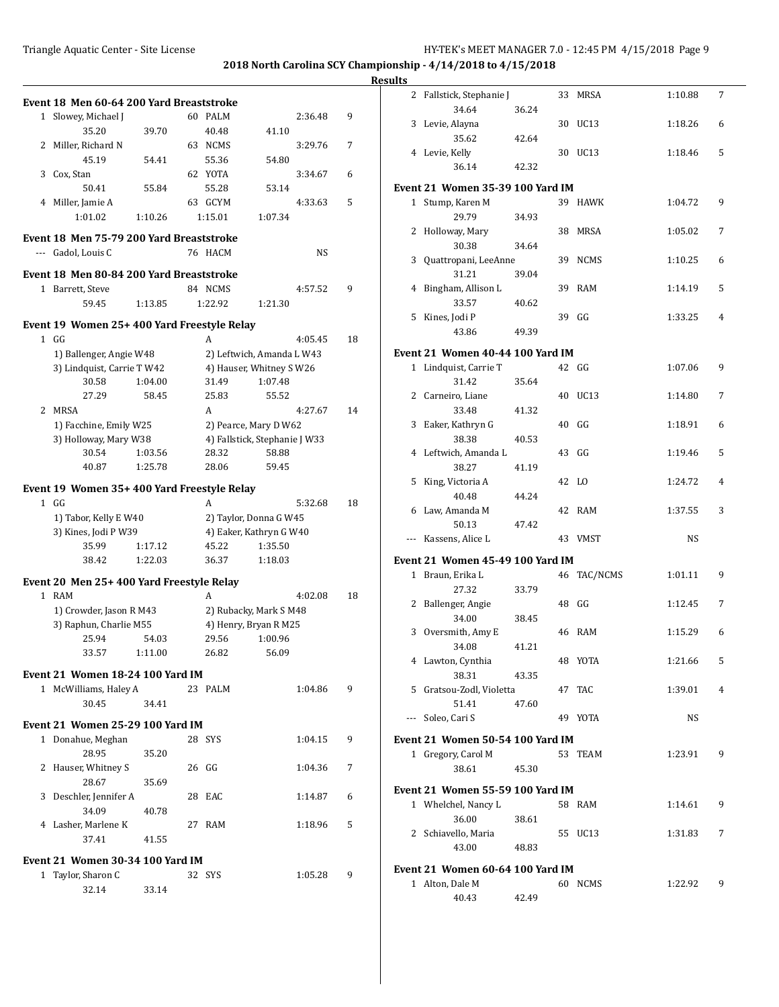## **Event 18 Men 60-64 200 Yard Breaststroke** 1 Slowey, Michael J 60 PALM 2:36.48 9 35.20 39.70 40.48 41.10 2 Miller, Richard N 63 NCMS 3:29.76 7 45.19 54.41 55.36 54.80 3 Cox, Stan 62 YOTA 3:34.67 6 50.41 55.84 55.28 53.14 4 Miller, Jamie A 63 GCYM 4:33.63 5 1:01.02 1:10.26 1:15.01 1:07.34 **Event 18 Men 75-79 200 Yard Breaststroke** --- Gadol, Louis C 76 HACM NS **Event 18 Men 80-84 200 Yard Breaststroke** 1 Barrett, Steve 84 NCMS 4:57.52 9 59.45 1:13.85 1:22.92 1:21.30 **Event 19 Women 25+ 400 Yard Freestyle Relay** 1 GG A 4:05.45 18 1) Ballenger, Angie W48 2) Leftwich, Amanda L W43 3) Lindquist, Carrie T W42 4) Hauser, Whitney S W26 30.58 1:04.00 31.49 1:07.48 27.29 58.45 25.83 55.52 2 MRSA 2 - A 4:27.67 2 MRSA 1) Facchine, Emily W25 2) Pearce, Mary D W62 3) Holloway, Mary W38 4) Fallstick, Stephanie J W33 30.54 1:03.56 28.32 58.88 40.87 1:25.78 28.06 59.45 **Event 19 Women 35+ 400 Yard Freestyle Relay** 1 GG A 5:32.68 18 1) Tabor, Kelly E W40 2) Taylor, Donna G W45 3) Kines, Jodi P W39 4) Eaker, Kathryn G W40 35.99 1:17.12 45.22 1:35.50 38.42 1:22.03 36.37 1:18.03 **Event 20 Men 25+ 400 Yard Freestyle Relay** 1 RAM A 4:02.08 18 1) Crowder, Jason R M43 2) Rubacky, Mark S M48 3) Raphun, Charlie M55 4) Henry, Bryan R M25 25.94 54.03 29.56 1:00.96 33.57 1:11.00 26.82 56.09 **Event 21 Women 18-24 100 Yard IM** 1 McWilliams, Haley A 23 PALM 1:04.86 9 30.45 34.41 **Event 21 Women 25-29 100 Yard IM** 1 Donahue, Meghan 28 SYS 1:04.15 9 28.95 35.20 2 Hauser, Whitney S 26 GG 1:04.36 7 28.67 35.69 3 Deschler, Jennifer A 28 EAC 1:14.87 6 34.09 40.78 4 Lasher, Marlene K 27 RAM 1:18.96 5 37.41 41.55 **Event 21 Women 30-34 100 Yard IM** 1 Taylor, Sharon C 32 SYS 1:05.28 9 32.14 33.14

| <b>Results</b> |                                         |       |       |              |         |                |
|----------------|-----------------------------------------|-------|-------|--------------|---------|----------------|
|                | 2 Fallstick, Stephanie J<br>34.64       | 36.24 |       | 33 MRSA      | 1:10.88 | 7              |
|                | 3 Levie, Alayna                         |       |       | 30 UC13      | 1:18.26 | 6              |
|                | 35.62                                   | 42.64 |       |              |         |                |
|                | 4 Levie, Kelly                          |       |       | 30 UC13      | 1:18.46 | 5              |
|                | 36.14                                   | 42.32 |       |              |         |                |
|                | <b>Event 21 Women 35-39 100 Yard IM</b> |       |       |              |         |                |
|                | 1 Stump, Karen M                        |       |       | 39 HAWK      | 1:04.72 | 9              |
|                | 29.79                                   | 34.93 |       |              |         |                |
|                | 2 Holloway, Mary                        |       |       | 38 MRSA      | 1:05.02 | 7              |
|                | 30.38                                   | 34.64 |       |              |         |                |
|                | 3 Quattropani, LeeAnne                  |       |       | 39 NCMS      | 1:10.25 | 6              |
|                | 31.21                                   | 39.04 |       |              |         |                |
|                | 4 Bingham, Allison L                    |       |       | 39 RAM       | 1:14.19 | 5              |
|                | 33.57                                   | 40.62 |       |              |         |                |
|                | 5 Kines, Jodi P                         |       |       | 39 GG        | 1:33.25 | $\overline{4}$ |
|                | 43.86                                   | 49.39 |       |              |         |                |
|                | Event 21 Women 40-44 100 Yard IM        |       |       |              |         |                |
|                | 1 Lindquist, Carrie T                   |       |       | $42 \quad G$ | 1:07.06 | 9              |
|                | 31.42                                   | 35.64 |       |              |         |                |
|                | 2 Carneiro, Liane                       |       |       | 40 UC13      | 1:14.80 | 7              |
|                | 33.48                                   | 41.32 |       |              |         |                |
|                | 3 Eaker, Kathryn G                      |       | 40 GG |              | 1:18.91 | 6              |
|                | 38.38                                   | 40.53 |       |              |         |                |
|                | 4 Leftwich, Amanda L                    |       | 43 GG |              | 1:19.46 | 5              |
|                | 38.27                                   | 41.19 |       |              |         |                |
|                | 5 King, Victoria A                      |       | 42 LO |              | 1:24.72 | 4              |
|                | 40.48                                   | 44.24 |       |              |         |                |
|                | 6 Law, Amanda M                         |       |       | 42 RAM       | 1:37.55 | 3              |
|                | 50.13                                   | 47.42 |       |              |         |                |
|                | --- Kassens, Alice L                    |       |       | 43 VMST      | NS      |                |
|                | Event 21 Women 45-49 100 Yard IM        |       |       |              |         |                |
|                | 1 Braun, Erika L                        |       |       | 46 TAC/NCMS  | 1:01.11 | 9              |
|                | 27.32                                   | 33.79 |       |              |         |                |
|                | 2 Ballenger, Angie                      |       | 48 GG |              | 1:12.45 | 7              |
|                | 34.00                                   | 38.45 |       |              |         |                |
|                | 3 Oversmith, Amy E                      |       |       | 46 RAM       | 1:15.29 | 6              |
|                | 34.08                                   | 41.21 |       |              |         |                |
|                | 4 Lawton, Cynthia                       |       |       | 48 YOTA      | 1:21.66 | 5              |
|                | 38.31                                   | 43.35 |       |              |         |                |
|                | 5 Gratsou-Zodl, Violetta                |       |       | 47 TAC       | 1:39.01 | 4              |
|                | 51.41                                   | 47.60 |       |              |         |                |
|                | --- Soleo, Cari S                       |       |       | 49 YOTA      | NS      |                |
|                | <b>Event 21 Women 50-54 100 Yard IM</b> |       |       |              |         |                |
|                | 1 Gregory, Carol M                      |       |       | 53 TEAM      | 1:23.91 | 9              |
|                | 38.61                                   | 45.30 |       |              |         |                |
|                |                                         |       |       |              |         |                |
|                | Event 21 Women 55-59 100 Yard IM        |       |       |              |         |                |
|                | 1 Whelchel, Nancy L                     |       |       | 58 RAM       | 1:14.61 | 9              |
|                | 36.00                                   | 38.61 |       |              |         |                |
|                | 2 Schiavello, Maria                     |       |       | 55 UC13      | 1:31.83 | 7              |
|                | 43.00                                   | 48.83 |       |              |         |                |
|                | Event 21 Women 60-64 100 Yard IM        |       |       |              |         |                |
|                | 1 Alton, Dale M                         |       |       | 60 NCMS      | 1:22.92 | 9              |
|                | 40.43                                   | 42.49 |       |              |         |                |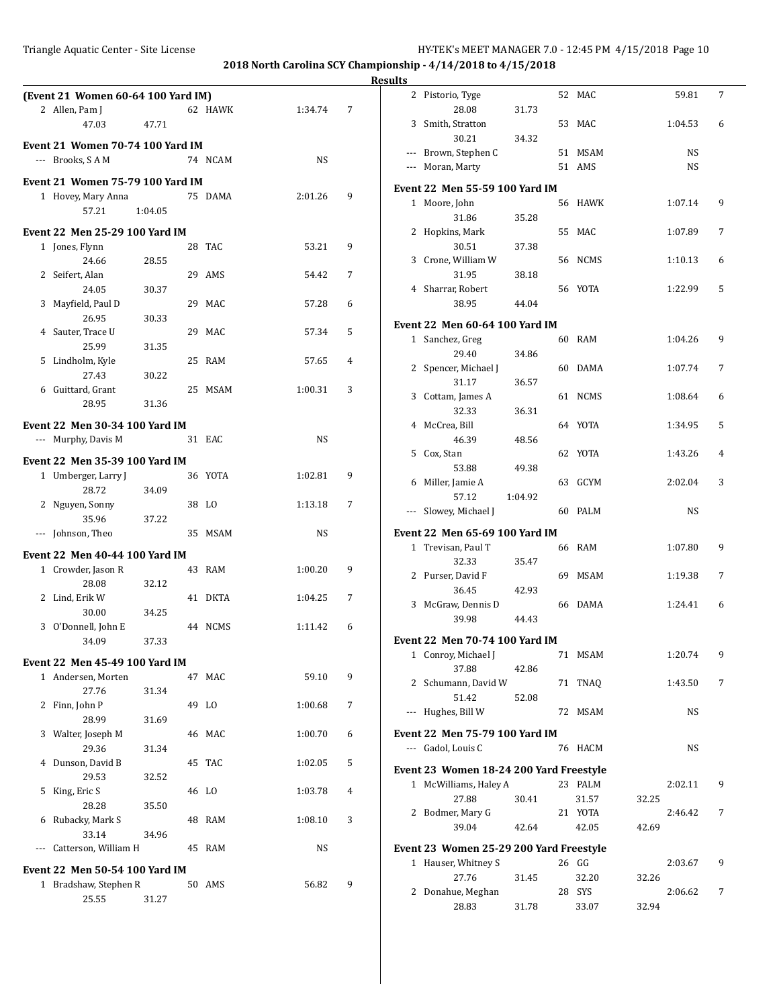|                                         |         |         |   | <b>Results</b>                                                |
|-----------------------------------------|---------|---------|---|---------------------------------------------------------------|
| (Event 21 Women 60-64 100 Yard IM)      |         |         |   | 2 Pistorio, Tyge<br>52 MAC<br>59.81<br>7                      |
| 2 Allen, Pam J                          | 62 HAWK | 1:34.74 | 7 | 28.08<br>31.73                                                |
| 47.03<br>47.71                          |         |         |   | 3 Smith, Stratton<br>53 MAC<br>1:04.53<br>6<br>30.21<br>34.32 |
| <b>Event 21 Women 70-74 100 Yard IM</b> |         |         |   | --- Brown, Stephen C<br>51 MSAM<br>NS                         |
| --- Brooks, SAM                         | 74 NCAM | NS      |   | --- Moran, Marty<br>51 AMS<br>NS                              |
| <b>Event 21 Women 75-79 100 Yard IM</b> |         |         |   |                                                               |
| 1 Hovey, Mary Anna                      | 75 DAMA | 2:01.26 | 9 | <b>Event 22 Men 55-59 100 Yard IM</b>                         |
| 57.21<br>1:04.05                        |         |         |   | 1 Moore, John<br>56 HAWK<br>9<br>1:07.14                      |
| <b>Event 22 Men 25-29 100 Yard IM</b>   |         |         |   | 31.86<br>35.28<br>2 Hopkins, Mark<br>55 MAC<br>7<br>1:07.89   |
| 1 Jones, Flynn                          | 28 TAC  | 53.21   | 9 | 30.51<br>37.38                                                |
| 28.55<br>24.66                          |         |         |   | 3 Crone, William W<br>56 NCMS<br>1:10.13<br>6                 |
| 2 Seifert, Alan                         | 29 AMS  | 54.42   | 7 | 31.95<br>38.18                                                |
| 24.05<br>30.37                          |         |         |   | 4 Sharrar, Robert<br>56 YOTA<br>1:22.99<br>5                  |
| 3 Mayfield, Paul D                      | 29 MAC  | 57.28   | 6 | 38.95<br>44.04                                                |
| 26.95<br>30.33                          |         |         |   |                                                               |
| 4 Sauter, Trace U                       | 29 MAC  | 57.34   | 5 | <b>Event 22 Men 60-64 100 Yard IM</b><br>9                    |
| 25.99<br>31.35                          |         |         |   | 1 Sanchez, Greg<br>60 RAM<br>1:04.26<br>29.40<br>34.86        |
| 5 Lindholm, Kyle                        | 25 RAM  | 57.65   | 4 | 2 Spencer, Michael J<br>60 DAMA<br>7<br>1:07.74               |
| 27.43<br>30.22                          |         |         |   | 31.17<br>36.57                                                |
| 6 Guittard, Grant                       | 25 MSAM | 1:00.31 | 3 | 3 Cottam, James A<br>61 NCMS<br>1:08.64<br>6                  |
| 28.95<br>31.36                          |         |         |   | 32.33<br>36.31                                                |
| <b>Event 22 Men 30-34 100 Yard IM</b>   |         |         |   | 64 YOTA<br>5<br>4 McCrea, Bill<br>1:34.95                     |
| --- Murphy, Davis M                     | 31 EAC  | NS      |   | 46.39<br>48.56                                                |
| Event 22 Men 35-39 100 Yard IM          |         |         |   | 62 YOTA<br>5 Cox, Stan<br>1:43.26<br>4                        |
| 1 Umberger, Larry J                     | 36 YOTA | 1:02.81 | 9 | 53.88<br>49.38                                                |
| 28.72<br>34.09                          |         |         |   | 63 GCYM<br>6 Miller, Jamie A<br>2:02.04<br>3                  |
| 2 Nguyen, Sonny                         | 38 LO   | 1:13.18 | 7 | 57.12<br>1:04.92                                              |
| 35.96<br>37.22                          |         |         |   | --- Slowey, Michael J<br>60 PALM<br><b>NS</b>                 |
| --- Johnson, Theo                       | 35 MSAM | NS      |   | <b>Event 22 Men 65-69 100 Yard IM</b>                         |
| Event 22 Men 40-44 100 Yard IM          |         |         |   | 1 Trevisan, Paul T<br>66 RAM<br>9<br>1:07.80                  |
| 1 Crowder, Jason R                      | 43 RAM  | 1:00.20 | 9 | 32.33<br>35.47                                                |
| 28.08<br>32.12                          |         |         |   | 69 MSAM<br>2 Purser, David F<br>7<br>1:19.38                  |
| 2 Lind, Erik W                          | 41 DKTA | 1:04.25 | 7 | 36.45<br>42.93                                                |
| 30.00<br>34.25                          |         |         |   | 3 McGraw, Dennis D<br>66 DAMA<br>1:24.41<br>6                 |
| 3 O'Donnell, John E                     | 44 NCMS | 1:11.42 | 6 | 39.98<br>44.43                                                |
| 37.33<br>34.09                          |         |         |   | Event 22 Men 70-74 100 Yard IM                                |
| <b>Event 22 Men 45-49 100 Yard IM</b>   |         |         |   | 71 MSAM<br>1:20.74<br>1 Conroy, Michael J<br>9                |
| 1 Andersen, Morten                      | 47 MAC  | 59.10   | 9 | 37.88<br>42.86                                                |
| 27.76<br>31.34                          |         |         |   | 2 Schumann, David W<br>1:43.50<br>71 TNAQ<br>7                |
| 2 Finn, John P                          | 49 LO   | 1:00.68 | 7 | 51.42<br>52.08                                                |
| 28.99<br>31.69                          |         |         |   | --- Hughes, Bill W<br>72 MSAM<br>NS                           |
| 3 Walter, Joseph M                      | 46 MAC  | 1:00.70 | 6 | Event 22 Men 75-79 100 Yard IM                                |
| 29.36<br>31.34                          |         |         |   | --- Gadol, Louis C<br>76 HACM<br>NS                           |
| 4 Dunson, David B                       | 45 TAC  | 1:02.05 | 5 | Event 23 Women 18-24 200 Yard Freestyle                       |
| 29.53<br>32.52                          |         |         |   | 1 McWilliams, Haley A<br>2:02.11<br>23 PALM<br>9              |
| 5 King, Eric S                          | 46 LO   | 1:03.78 | 4 | 27.88<br>31.57<br>30.41<br>32.25                              |
| 28.28<br>35.50                          |         |         |   | 2 Bodmer, Mary G<br>21 YOTA<br>2:46.42<br>7                   |
| 6 Rubacky, Mark S<br>33.14<br>34.96     | 48 RAM  | 1:08.10 | 3 | 42.05<br>39.04<br>42.64<br>42.69                              |
| --- Catterson, William H                | 45 RAM  | NS      |   | Event 23 Women 25-29 200 Yard Freestyle                       |
|                                         |         |         |   | 1 Hauser, Whitney S<br>26 GG<br>2:03.67<br>9                  |
| Event 22 Men 50-54 100 Yard IM          |         |         |   | 27.76<br>31.45<br>32.20<br>32.26                              |
| 1 Bradshaw, Stephen R                   | 50 AMS  | 56.82   | 9 | 2 Donahue, Meghan<br>28 SYS<br>2:06.62<br>7                   |
| 25.55<br>31.27                          |         |         |   | 28.83<br>31.78<br>33.07<br>32.94                              |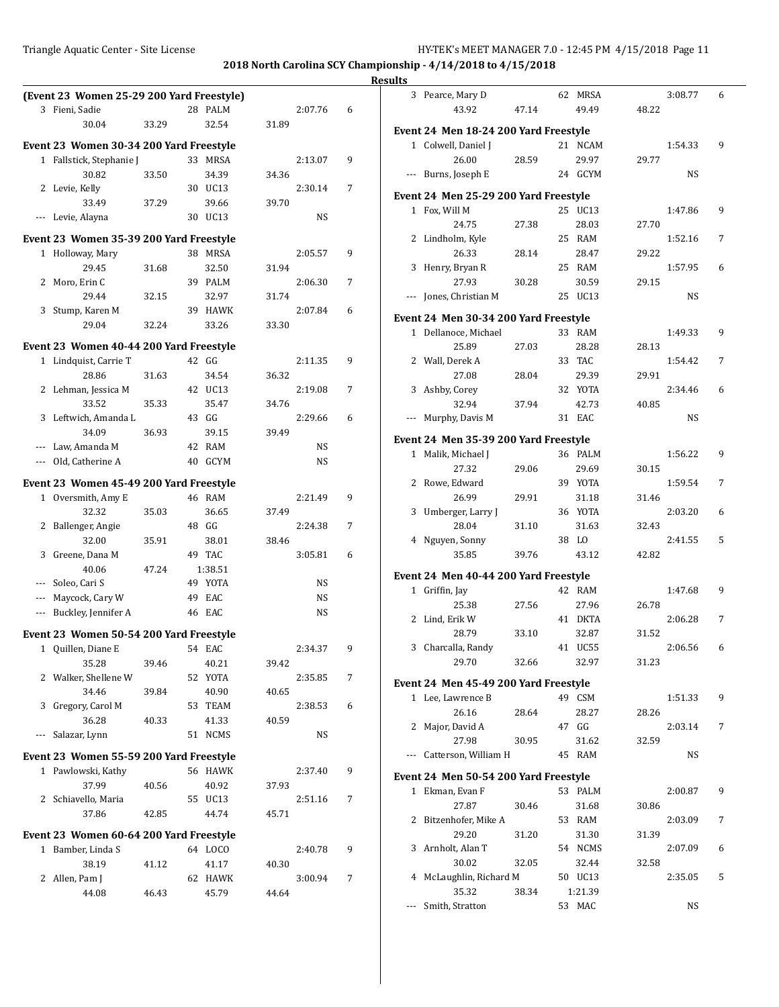**2018 North Carolina SCY Championship - 4/14/2018 to 4/15/2018**

### **Results**

| (Event 23 Women 25-29 200 Yard Freestyle) |       |                |       |           |   | 3 Pearce, Mary D                      |       | 62 MRSA           |       | 3:08.77 | 6 |
|-------------------------------------------|-------|----------------|-------|-----------|---|---------------------------------------|-------|-------------------|-------|---------|---|
| 3 Fieni, Sadie                            |       | 28 PALM        |       | 2:07.76   | 6 | 43.92                                 | 47.14 | 49.49             | 48.22 |         |   |
| 30.04                                     | 33.29 | 32.54          | 31.89 |           |   | Event 24 Men 18-24 200 Yard Freestyle |       |                   |       |         |   |
| Event 23 Women 30-34 200 Yard Freestyle   |       |                |       |           |   | 1 Colwell, Daniel J                   |       | 21 NCAM           |       | 1:54.33 | 9 |
| 1 Fallstick, Stephanie J                  |       | 33 MRSA        |       | 2:13.07   | 9 | 26.00                                 | 28.59 | 29.97             | 29.77 |         |   |
| 30.82                                     | 33.50 | 34.39          | 34.36 |           |   | --- Burns, Joseph E                   |       | 24 GCYM           |       | NS      |   |
| 2 Levie, Kelly                            |       | 30 UC13        |       | 2:30.14   | 7 |                                       |       |                   |       |         |   |
| 33.49                                     | 37.29 | 39.66          | 39.70 |           |   | Event 24 Men 25-29 200 Yard Freestyle |       |                   |       |         |   |
| --- Levie, Alayna                         |       | 30 UC13        |       | NS        |   | 1 Fox, Will M<br>24.75                | 27.38 | 25 UC13<br>28.03  | 27.70 | 1:47.86 | 9 |
| Event 23 Women 35-39 200 Yard Freestyle   |       |                |       |           |   | 2 Lindholm, Kyle                      |       | 25 RAM            |       | 1:52.16 | 7 |
| 1 Holloway, Mary                          |       | 38 MRSA        |       | 2:05.57   | 9 | 26.33                                 | 28.14 | 28.47             | 29.22 |         |   |
| 29.45                                     | 31.68 | 32.50          | 31.94 |           |   | 3 Henry, Bryan R                      |       | 25 RAM            |       | 1:57.95 | 6 |
| 2 Moro, Erin C                            |       | 39 PALM        |       | 2:06.30   | 7 | 27.93                                 | 30.28 | 30.59             | 29.15 |         |   |
| 29.44                                     | 32.15 | 32.97          | 31.74 |           |   | --- Jones, Christian M                |       | 25 UC13           |       | NS      |   |
| 3 Stump, Karen M                          |       | 39 HAWK        |       | 2:07.84   | 6 |                                       |       |                   |       |         |   |
| 29.04                                     | 32.24 | 33.26          | 33.30 |           |   | Event 24 Men 30-34 200 Yard Freestyle |       |                   |       |         |   |
|                                           |       |                |       |           |   | 1 Dellanoce, Michael                  |       | 33 RAM            |       | 1:49.33 | 9 |
| Event 23 Women 40-44 200 Yard Freestyle   |       |                |       |           |   | 25.89                                 | 27.03 | 28.28             | 28.13 |         |   |
| 1 Lindquist, Carrie T                     |       | 42 GG          |       | 2:11.35   | 9 | 2 Wall, Derek A                       |       | 33 TAC            |       | 1:54.42 | 7 |
| 28.86                                     | 31.63 | 34.54          | 36.32 |           |   | 27.08                                 | 28.04 | 29.39             | 29.91 |         |   |
| 2 Lehman, Jessica M                       |       | 42 UC13        |       | 2:19.08   | 7 | 3 Ashby, Corey                        |       | 32 YOTA           |       | 2:34.46 | 6 |
| 33.52                                     | 35.33 | 35.47<br>43 GG | 34.76 | 2:29.66   |   | 32.94<br>--- Murphy, Davis M          | 37.94 | 42.73<br>31 EAC   | 40.85 |         |   |
| 3 Leftwich, Amanda L<br>34.09             | 36.93 | 39.15          | 39.49 |           | 6 |                                       |       |                   |       | NS      |   |
| --- Law, Amanda M                         |       | 42 RAM         |       | NS        |   | Event 24 Men 35-39 200 Yard Freestyle |       |                   |       |         |   |
| --- Old, Catherine A                      |       | 40 GCYM        |       | NS        |   | 1 Malik, Michael J                    |       | 36 PALM           |       | 1:56.22 | 9 |
|                                           |       |                |       |           |   | 27.32                                 | 29.06 | 29.69             | 30.15 |         |   |
| Event 23 Women 45-49 200 Yard Freestyle   |       |                |       |           |   | 2 Rowe, Edward                        |       | 39 YOTA           |       | 1:59.54 | 7 |
| 1 Oversmith, Amy E                        |       | 46 RAM         |       | 2:21.49   | 9 | 26.99                                 | 29.91 | 31.18             | 31.46 |         |   |
| 32.32                                     | 35.03 | 36.65          | 37.49 |           |   | 3 Umberger, Larry J                   |       | 36 YOTA           |       | 2:03.20 | 6 |
| 2 Ballenger, Angie                        |       | 48 GG          |       | 2:24.38   | 7 | 28.04                                 | 31.10 | 31.63             | 32.43 |         |   |
| 32.00                                     | 35.91 | 38.01          | 38.46 |           |   | 4 Nguyen, Sonny                       |       | 38 LO             |       | 2:41.55 | 5 |
| 3 Greene, Dana M                          |       | 49 TAC         |       | 3:05.81   | 6 | 35.85                                 | 39.76 | 43.12             | 42.82 |         |   |
| 40.06                                     | 47.24 | 1:38.51        |       |           |   | Event 24 Men 40-44 200 Yard Freestyle |       |                   |       |         |   |
| --- Soleo, Cari S                         |       | 49 YOTA        |       | NS        |   | 1 Griffin, Jay                        |       | 42 RAM            |       | 1:47.68 | 9 |
| --- Maycock, Cary W                       |       | 49 EAC         |       | NS        |   | 25.38                                 | 27.56 | 27.96             | 26.78 |         |   |
| --- Buckley, Jennifer A                   |       | 46 EAC         |       | <b>NS</b> |   | 2 Lind, Erik W                        |       | 41 DKTA           |       | 2:06.28 | 7 |
| Event 23 Women 50-54 200 Yard Freestyle   |       |                |       |           |   | 28.79                                 | 33.10 | 32.87             | 31.52 |         |   |
| 1 Quillen, Diane E                        |       | 54 EAC         |       | 2:34.37   | 9 | 3 Charcalla, Randy                    |       | 41 UC55           |       | 2:06.56 | 6 |
| 35.28                                     | 39.46 | 40.21          | 39.42 |           |   | 29.70                                 | 32.66 | 32.97             | 31.23 |         |   |
| 2 Walker, Shellene W                      |       | 52 YOTA        |       | 2:35.85   | 7 | Event 24 Men 45-49 200 Yard Freestyle |       |                   |       |         |   |
| 34.46                                     | 39.84 | 40.90          | 40.65 |           |   | 1 Lee, Lawrence B                     |       | 49 CSM            |       | 1:51.33 | 9 |
| 3 Gregory, Carol M                        |       | 53 TEAM        |       | 2:38.53   | 6 | 26.16                                 | 28.64 | 28.27             | 28.26 |         |   |
| 36.28                                     | 40.33 | 41.33          | 40.59 |           |   | 2 Major, David A                      |       | 47 GG             |       | 2:03.14 | 7 |
| --- Salazar, Lynn                         |       | 51 NCMS        |       | NS        |   | 27.98                                 | 30.95 | 31.62             | 32.59 |         |   |
| Event 23 Women 55-59 200 Yard Freestyle   |       |                |       |           |   | --- Catterson, William H              |       | 45 RAM            |       | NS      |   |
| 1 Pawlowski, Kathy                        |       | 56 HAWK        |       | 2:37.40   | 9 |                                       |       |                   |       |         |   |
| 37.99                                     | 40.56 | 40.92          | 37.93 |           |   | Event 24 Men 50-54 200 Yard Freestyle |       |                   |       |         |   |
| 2 Schiavello, Maria                       |       | 55 UC13        |       | 2:51.16   | 7 | 1 Ekman, Evan F                       |       | 53 PALM           |       | 2:00.87 | 9 |
| 37.86                                     | 42.85 | 44.74          | 45.71 |           |   | 27.87                                 | 30.46 | 31.68             | 30.86 |         |   |
|                                           |       |                |       |           |   | 2 Bitzenhofer, Mike A                 |       | 53 RAM            |       | 2:03.09 | 7 |
| Event 23 Women 60-64 200 Yard Freestyle   |       |                |       |           |   | 29.20                                 | 31.20 | 31.30             | 31.39 |         |   |
| 1 Bamber, Linda S                         |       | 64 LOCO        |       | 2:40.78   | 9 | 3 Arnholt, Alan T                     |       | 54 NCMS           |       | 2:07.09 | 6 |
| 38.19                                     | 41.12 | 41.17          | 40.30 |           |   | 30.02                                 | 32.05 | 32.44             | 32.58 |         |   |
| 2 Allen, Pam J                            |       | 62 HAWK        |       | 3:00.94   | 7 | 4 McLaughlin, Richard M               |       | 50 UC13           |       | 2:35.05 | 5 |
| 44.08                                     | 46.43 | 45.79          | 44.64 |           |   | 35.32<br>--- Smith, Stratton          | 38.34 | 1:21.39<br>53 MAC |       | NS      |   |
|                                           |       |                |       |           |   |                                       |       |                   |       |         |   |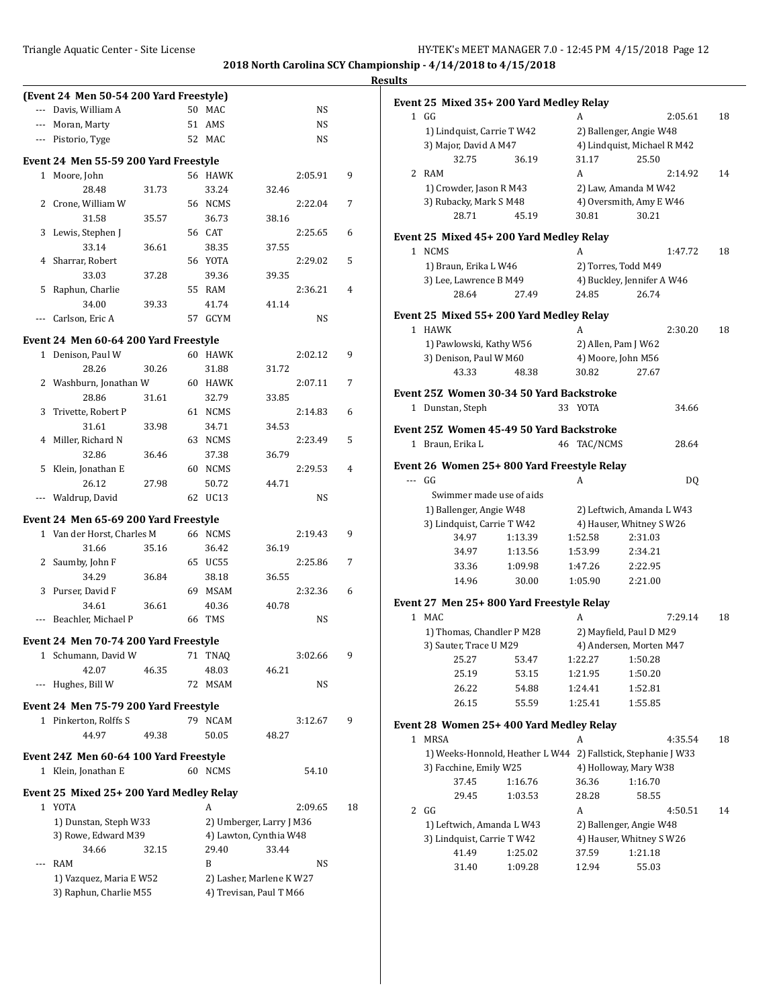### **Results (Event 24 Men 50-54 200 Yard Freestyle)** --- Davis, William A 50 MAC NS --- Moran, Marty 51 AMS NS --- Pistorio, Tyge 52 MAC NS **Event 24 Men 55-59 200 Yard Freestyle** 1 Moore, John 56 HAWK 2:05.91 9 28.48 31.73 33.24 32.46 2 Crone, William W 56 NCMS 2:22.04 7 31.58 35.57 36.73 38.16 3 Lewis, Stephen J 56 CAT 2:25.65 6 33.14 36.61 38.35 37.55 4 Sharrar, Robert 56 YOTA 2:29.02 5 33.03 37.28 39.36 39.35 5 Raphun, Charlie 55 RAM 2:36.21 4 34.00 39.33 41.74 41.14 --- Carlson, Eric A 57 GCYM NS **Event 24 Men 60-64 200 Yard Freestyle** 1 Denison, Paul W 60 HAWK 2:02.12 9 28.26 30.26 31.88 31.72 2 Washburn, Jonathan W 60 HAWK 2:07.11 7 28.86 31.61 32.79 33.85 3 Trivette, Robert P 61 NCMS 2:14.83 6 31.61 33.98 34.71 34.53 4 Miller, Richard N 63 NCMS 2:23.49 5 32.86 36.46 37.38 36.79 5 Klein, Jonathan E 60 NCMS 2:29.53 4 26.12 27.98 50.72 44.71 --- Waldrup, David 62 UC13 **Event 24 Men 65-69 200 Yard Freestyle** 1 Van der Horst, Charles M 66 NCMS 2:19.43 9 31.66 35.16 36.42 36.19 2 Saumby, John F 65 UC55 2:25.86 7 34.29 36.84 38.18 36.55 3 Purser, David F 69 MSAM 2:32.36 6 34.61 36.61 40.36 40.78 --- Beachler, Michael P 66 TMS NS **Event 24 Men 70-74 200 Yard Freestyle** 1 Schumann, David W 71 TNAQ 3:02.66 9 42.07 46.35 48.03 46.21 Hughes, Bill W 72 MSAM NS **Event 24 Men 75-79 200 Yard Freestyle** 1 Pinkerton, Rolffs S 79 NCAM 3:12.67 9 44.97 49.38 50.05 48.27 **Event 24Z Men 60-64 100 Yard Freestyle** 1 Klein, Jonathan E 60 NCMS 54.10 **Event 25 Mixed 25+ 200 Yard Medley Relay** 1 YOTA A 2:09.65 18 1) Dunstan, Steph W33 2) Umberger, Larry J M36 3) Rowe, Edward M39 4) Lawton, Cynthia W48 34.66 32.15 29.40 33.44 -- RAM B NS 1) Vazquez, Maria E W52 2) Lasher, Marlene K W27 3) Raphun, Charlie M55 4) Trevisan, Paul T M66

|   | Event 25 Mixed 35+ 200 Yard Medley Relay<br>1 GG              |         | A                                                             | 2:05.61                     | 18 |
|---|---------------------------------------------------------------|---------|---------------------------------------------------------------|-----------------------------|----|
|   | 1) Lindquist, Carrie T W42                                    |         | 2) Ballenger, Angie W48                                       |                             |    |
|   | 3) Major, David A M47                                         |         |                                                               | 4) Lindquist, Michael R M42 |    |
|   | 32.75                                                         | 36.19   | 31.17                                                         | 25.50                       |    |
| 2 | RAM                                                           |         | A                                                             | 2:14.92                     | 14 |
|   | 1) Crowder, Jason R M43                                       |         | 2) Law, Amanda M W42                                          |                             |    |
|   | 3) Rubacky, Mark S M48                                        |         |                                                               | 4) Oversmith, Amy E W46     |    |
|   | 28.71                                                         | 45.19   | 30.81                                                         | 30.21                       |    |
|   | Event 25 Mixed 45+ 200 Yard Medley Relay                      |         |                                                               |                             |    |
| 1 | NCMS                                                          |         | A                                                             | 1:47.72                     | 18 |
|   | 1) Braun, Erika L W46                                         |         | 2) Torres, Todd M49                                           |                             |    |
|   | 3) Lee, Lawrence B M49                                        |         |                                                               | 4) Buckley, Jennifer A W46  |    |
|   | 28.64                                                         | 27.49   | 24.85                                                         | 26.74                       |    |
|   | Event 25 Mixed 55+ 200 Yard Medley Relay                      |         |                                                               |                             |    |
| 1 | HAWK                                                          |         | A                                                             | 2:30.20                     | 18 |
|   | 1) Pawlowski, Kathy W56                                       |         | 2) Allen, Pam J W62                                           |                             |    |
|   | 3) Denison, Paul W M60                                        |         | 4) Moore, John M56                                            |                             |    |
|   | 43.33                                                         | 48.38   | 30.82                                                         | 27.67                       |    |
|   |                                                               |         |                                                               |                             |    |
|   | Event 25Z  Women 30-34 50 Yard Backstroke<br>1 Dunstan, Steph |         | 33 YOTA                                                       | 34.66                       |    |
|   |                                                               |         |                                                               |                             |    |
|   | Event 25Z  Women 45-49 50 Yard Backstroke                     |         |                                                               |                             |    |
|   | 1 Braun, Erika L                                              |         | 46 TAC/NCMS                                                   | 28.64                       |    |
|   | Event 26  Women 25+ 800 Yard Freestyle Relay                  |         |                                                               |                             |    |
|   | --- GG                                                        |         | A                                                             | DQ                          |    |
|   | Swimmer made use of aids                                      |         |                                                               |                             |    |
|   | 1) Ballenger, Angie W48                                       |         |                                                               | 2) Leftwich, Amanda L W43   |    |
|   | 3) Lindquist, Carrie T W42                                    |         |                                                               | 4) Hauser, Whitney S W26    |    |
|   | 34.97                                                         | 1:13.39 | 1:52.58                                                       | 2:31.03                     |    |
|   | 34.97                                                         | 1:13.56 | 1:53.99                                                       | 2:34.21                     |    |
|   | 33.36                                                         | 1:09.98 | 1:47.26                                                       | 2:22.95                     |    |
|   | 14.96                                                         | 30.00   | 1:05.90                                                       | 2:21.00                     |    |
|   | Event 27 Men 25+ 800 Yard Freestyle Relay                     |         |                                                               |                             |    |
| 1 | MAC                                                           |         | A                                                             | 7:29.14                     | 18 |
|   | 1) Thomas, Chandler P M28                                     |         | 2) Mayfield, Paul D M29                                       |                             |    |
|   | 3) Sauter, Trace U M29                                        |         |                                                               | 4) Andersen, Morten M47     |    |
|   | 25.27                                                         | 53.47   | 1:22.27 1:50.28                                               |                             |    |
|   | 25.19                                                         | 53.15   | 1:21.95                                                       | 1:50.20                     |    |
|   | 26.22                                                         | 54.88   | 1:24.41                                                       | 1:52.81                     |    |
|   | 26.15                                                         | 55.59   | 1:25.41                                                       | 1:55.85                     |    |
|   | Event 28 Women 25+400 Yard Medley Relay                       |         |                                                               |                             |    |
| 1 | <b>MRSA</b>                                                   |         | A                                                             | 4:35.54                     | 18 |
|   |                                                               |         | 1) Weeks-Honnold, Heather L W44 2) Fallstick, Stephanie J W33 |                             |    |
|   | 3) Facchine, Emily W25                                        |         | 4) Holloway, Mary W38                                         |                             |    |
|   | 37.45                                                         | 1:16.76 | 36.36                                                         | 1:16.70                     |    |
|   | 29.45                                                         | 1:03.53 | 28.28                                                         | 58.55                       |    |
| 2 | GG                                                            |         | A                                                             | 4:50.51                     | 14 |
|   | 1) Leftwich, Amanda L W43                                     |         | 2) Ballenger, Angie W48                                       |                             |    |
|   | 3) Lindquist, Carrie T W42                                    |         |                                                               | 4) Hauser, Whitney S W26    |    |
|   | 41.49                                                         | 1:25.02 | 37.59                                                         | 1:21.18                     |    |
|   | 31.40                                                         | 1:09.28 | 12.94                                                         | 55.03                       |    |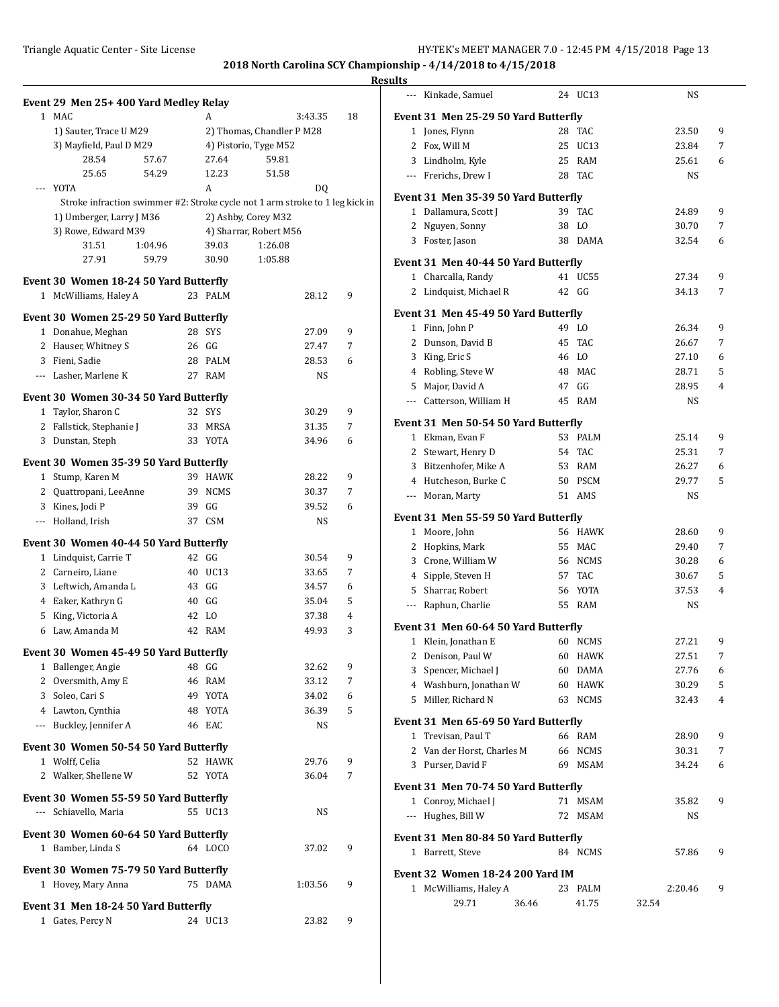|                     |                                                                              |         |                           |    | <b>Results</b>                          |       |             |           |   |
|---------------------|------------------------------------------------------------------------------|---------|---------------------------|----|-----------------------------------------|-------|-------------|-----------|---|
|                     | Event 29 Men 25+400 Yard Medley Relay                                        |         |                           |    | --- Kinkade, Samuel                     |       | 24 UC13     | <b>NS</b> |   |
|                     | 1 MAC                                                                        | A       | 3:43.35                   | 18 | Event 31 Men 25-29 50 Yard Butterfly    |       |             |           |   |
|                     | 1) Sauter, Trace U M29                                                       |         | 2) Thomas, Chandler P M28 |    | 1 Jones, Flynn                          |       | 28 TAC      | 23.50     | 9 |
|                     | 3) Mayfield, Paul D M29                                                      |         | 4) Pistorio, Tyge M52     |    | 2 Fox, Will M                           |       | 25 UC13     | 23.84     | 7 |
|                     | 28.54<br>57.67                                                               | 27.64   | 59.81                     |    | Lindholm, Kyle<br>3                     |       | 25 RAM      | 25.61     | 6 |
|                     | 25.65<br>54.29                                                               | 12.23   | 51.58                     |    | Frerichs, Drew I<br>---                 |       | 28 TAC      | <b>NS</b> |   |
|                     | --- YOTA                                                                     | A       | DQ                        |    | Event 31 Men 35-39 50 Yard Butterfly    |       |             |           |   |
|                     | Stroke infraction swimmer #2: Stroke cycle not 1 arm stroke to 1 leg kick in |         |                           |    | 1 Dallamura, Scott J                    |       | 39 TAC      | 24.89     | 9 |
|                     | 1) Umberger, Larry J M36                                                     |         | 2) Ashby, Corey M32       |    | 2 Nguyen, Sonny                         |       | 38 LO       | 30.70     | 7 |
|                     | 3) Rowe, Edward M39                                                          |         | 4) Sharrar, Robert M56    |    | 3 Foster, Jason                         |       | 38 DAMA     | 32.54     | 6 |
|                     | 31.51<br>1:04.96<br>27.91                                                    | 39.03   | 1:26.08<br>1:05.88        |    |                                         |       |             |           |   |
|                     | 59.79                                                                        | 30.90   |                           |    | Event 31 Men 40-44 50 Yard Butterfly    |       |             |           |   |
|                     | Event 30 Women 18-24 50 Yard Butterfly                                       |         |                           |    | 1 Charcalla, Randy                      |       | 41 UC55     | 27.34     | 9 |
|                     | 1 McWilliams, Haley A                                                        | 23 PALM | 28.12                     | 9  | 2 Lindquist, Michael R                  |       | 42 GG       | 34.13     | 7 |
|                     | Event 30 Women 25-29 50 Yard Butterfly                                       |         |                           |    | Event 31 Men 45-49 50 Yard Butterfly    |       |             |           |   |
|                     | 1 Donahue, Meghan                                                            | 28 SYS  | 27.09                     | 9  | 1 Finn, John P                          |       | 49 LO       | 26.34     | 9 |
|                     | 2 Hauser, Whitney S                                                          | 26 GG   | 27.47                     | 7  | 2 Dunson, David B                       |       | 45 TAC      | 26.67     | 7 |
|                     | 3 Fieni, Sadie                                                               | 28 PALM | 28.53                     | 6  | King, Eric S<br>3                       |       | 46 LO       | 27.10     | 6 |
|                     | --- Lasher, Marlene K                                                        | 27 RAM  | NS                        |    | Robling, Steve W<br>4                   |       | 48 MAC      | 28.71     | 5 |
|                     |                                                                              |         |                           |    | Major, David A<br>5                     |       | 47 GG       | 28.95     | 4 |
|                     | Event 30 Women 30-34 50 Yard Butterfly                                       |         |                           |    | --- Catterson, William H                |       | 45 RAM      | <b>NS</b> |   |
|                     | 1 Taylor, Sharon C                                                           | 32 SYS  | 30.29                     | 9  | Event 31 Men 50-54 50 Yard Butterfly    |       |             |           |   |
|                     | 2 Fallstick, Stephanie J                                                     | 33 MRSA | 31.35                     | 7  | 1 Ekman, Evan F                         |       | 53 PALM     | 25.14     | 9 |
|                     | 3 Dunstan, Steph                                                             | 33 YOTA | 34.96                     | 6  | 2 Stewart, Henry D                      |       | 54 TAC      | 25.31     | 7 |
|                     | Event 30 Women 35-39 50 Yard Butterfly                                       |         |                           |    | Bitzenhofer, Mike A<br>3                | 53    | <b>RAM</b>  | 26.27     | 6 |
|                     | 1 Stump, Karen M                                                             | 39 HAWK | 28.22                     | 9  | Hutcheson, Burke C<br>4                 | 50    | <b>PSCM</b> | 29.77     | 5 |
|                     | 2 Quattropani, LeeAnne                                                       | 39 NCMS | 30.37                     | 7  | --- Moran, Marty                        |       | 51 AMS      | <b>NS</b> |   |
| 3                   | Kines, Jodi P                                                                | 39 GG   | 39.52                     | 6  |                                         |       |             |           |   |
| $\cdots$            | Holland, Irish                                                               | 37 CSM  | NS                        |    | Event 31 Men 55-59 50 Yard Butterfly    |       |             |           |   |
|                     | Event 30 Women 40-44 50 Yard Butterfly                                       |         |                           |    | 1 Moore, John                           |       | 56 HAWK     | 28.60     | 9 |
|                     | 1 Lindquist, Carrie T                                                        | 42 GG   | 30.54                     | 9  | 2 Hopkins, Mark                         |       | 55 MAC      | 29.40     | 7 |
|                     | 2 Carneiro, Liane                                                            | 40 UC13 | 33.65                     | 7  | Crone, William W<br>3                   |       | 56 NCMS     | 30.28     | 6 |
|                     | 3 Leftwich, Amanda L                                                         | 43 GG   | 34.57                     | 6  | Sipple, Steven H<br>4                   |       | 57 TAC      | 30.67     | 5 |
|                     | 4 Eaker, Kathryn G                                                           | 40 GG   | 35.04                     | 5  | Sharrar, Robert<br>5                    |       | 56 YOTA     | 37.53     | 4 |
| 5                   | King, Victoria A                                                             | 42 LO   | 37.38                     | 4  | Raphun, Charlie<br>---                  |       | 55 RAM      | <b>NS</b> |   |
|                     | 6 Law, Amanda M                                                              | 42 RAM  | 49.93                     | 3  | Event 31 Men 60-64 50 Yard Butterfly    |       |             |           |   |
|                     |                                                                              |         |                           |    | 1 Klein, Jonathan E                     |       | 60 NCMS     | 27.21     | 9 |
|                     | Event 30 Women 45-49 50 Yard Butterfly                                       |         |                           |    | 2 Denison, Paul W                       |       | 60 HAWK     | 27.51     | 7 |
|                     | 1 Ballenger, Angie                                                           | 48 GG   | 32.62                     | 9  | 3 Spencer, Michael J                    |       | 60 DAMA     | 27.76     | 6 |
|                     | 2 Oversmith, Amy E                                                           | 46 RAM  | 33.12                     | 7  | 4 Washburn, Jonathan W                  |       | 60 HAWK     | 30.29     | 5 |
|                     | 3 Soleo, Cari S                                                              | 49 YOTA | 34.02                     | 6  | 5 Miller, Richard N                     |       | 63 NCMS     | 32.43     | 4 |
|                     | 4 Lawton, Cynthia                                                            | 48 YOTA | 36.39                     | 5  | Event 31 Men 65-69 50 Yard Butterfly    |       |             |           |   |
| $\qquad \qquad - -$ | Buckley, Jennifer A                                                          | 46 EAC  | NS                        |    | 1 Trevisan, Paul T                      |       | 66 RAM      | 28.90     | 9 |
|                     | Event 30 Women 50-54 50 Yard Butterfly                                       |         |                           |    | 2 Van der Horst, Charles M              |       | 66 NCMS     | 30.31     | 7 |
|                     | 1 Wolff, Celia                                                               | 52 HAWK | 29.76                     | 9  | 3 Purser, David F                       |       | 69 MSAM     | 34.24     | 6 |
|                     | 2 Walker, Shellene W                                                         | 52 YOTA | 36.04                     | 7  |                                         |       |             |           |   |
|                     | Event 30 Women 55-59 50 Yard Butterfly                                       |         |                           |    | Event 31 Men 70-74 50 Yard Butterfly    |       |             |           |   |
|                     | --- Schiavello, Maria                                                        | 55 UC13 | NS                        |    | 1 Conroy, Michael J                     |       | 71 MSAM     | 35.82     | 9 |
|                     |                                                                              |         |                           |    | --- Hughes, Bill W                      |       | 72 MSAM     | NS        |   |
|                     | Event 30 Women 60-64 50 Yard Butterfly                                       |         |                           |    | Event 31 Men 80-84 50 Yard Butterfly    |       |             |           |   |
|                     | 1 Bamber, Linda S                                                            | 64 LOCO | 37.02                     | 9  | 1 Barrett, Steve                        |       | 84 NCMS     | 57.86     | 9 |
|                     | Event 30 Women 75-79 50 Yard Butterfly                                       |         |                           |    | <b>Event 32 Women 18-24 200 Yard IM</b> |       |             |           |   |
|                     | 1 Hovey, Mary Anna                                                           | 75 DAMA | 1:03.56                   | 9  | 1 McWilliams, Haley A                   |       | 23 PALM     | 2:20.46   | 9 |
|                     |                                                                              |         |                           |    | 29.71                                   | 36.46 | 41.75       | 32.54     |   |
|                     | Event 31 Men 18-24 50 Yard Butterfly                                         |         |                           |    |                                         |       |             |           |   |
|                     | 1 Gates, Percy N                                                             | 24 UC13 | 23.82                     | 9  |                                         |       |             |           |   |
|                     |                                                                              |         |                           |    |                                         |       |             |           |   |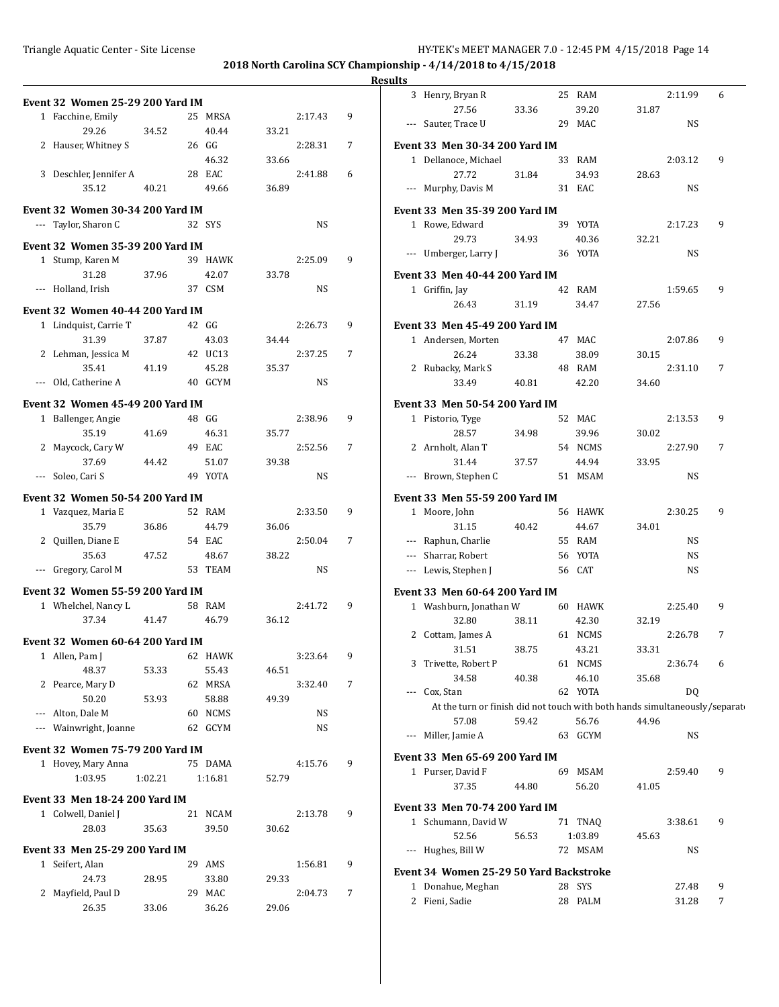**2018 North Carolina SCY Championship - 4/14/2018 to 4/15/2018**

### **Results**  $\overline{\phantom{0}}$

|              | <b>Event 32 Women 25-29 200 Yard IM</b>                   |         |    |             |       |           |   |
|--------------|-----------------------------------------------------------|---------|----|-------------|-------|-----------|---|
|              | 1 Facchine, Emily                                         |         |    | 25 MRSA     |       | 2:17.43   | 9 |
|              | 29.26                                                     | 34.52   |    | 40.44       | 33.21 |           |   |
|              | 2 Hauser, Whitney S                                       |         |    | 26 GG       |       | 2:28.31   | 7 |
|              |                                                           |         |    | 46.32       | 33.66 |           |   |
|              | 3 Deschler, Jennifer A                                    |         |    | 28 EAC      |       | 2:41.88   | 6 |
|              | 35.12                                                     | 40.21   |    | 49.66       | 36.89 |           |   |
|              |                                                           |         |    |             |       |           |   |
|              | <b>Event 32 Women 30-34 200 Yard IM</b>                   |         |    |             |       |           |   |
| $\cdots$     | Taylor, Sharon C                                          |         |    | 32 SYS      |       | NS        |   |
|              | <b>Event 32 Women 35-39 200 Yard IM</b>                   |         |    |             |       |           |   |
| $\mathbf{1}$ | Stump, Karen M                                            |         |    | 39 HAWK     |       | 2:25.09   | 9 |
|              | 31.28                                                     | 37.96   |    | 42.07       | 33.78 |           |   |
|              | --- Holland, Irish                                        |         |    | 37 CSM      |       | NS        |   |
|              |                                                           |         |    |             |       |           |   |
|              | Event 32 Women 40-44 200 Yard IM<br>1 Lindquist, Carrie T |         |    | 42 GG       |       | 2:26.73   | 9 |
|              | 31.39                                                     |         |    | 43.03       | 34.44 |           |   |
| 2            | Lehman, Jessica M                                         | 37.87   |    | 42 UC13     |       | 2:37.25   | 7 |
|              | 35.41                                                     |         |    | 45.28       |       |           |   |
|              |                                                           | 41.19   |    |             | 35.37 |           |   |
|              | --- Old, Catherine A                                      |         |    | 40 GCYM     |       | NS        |   |
|              | <b>Event 32 Women 45-49 200 Yard IM</b>                   |         |    |             |       |           |   |
| $\mathbf{1}$ | Ballenger, Angie                                          |         |    | 48 GG       |       | 2:38.96   | 9 |
|              | 35.19                                                     | 41.69   |    | 46.31       | 35.77 |           |   |
| 2            | Maycock, Cary W                                           |         |    | 49 EAC      |       | 2:52.56   | 7 |
|              | 37.69                                                     | 44.42   |    | 51.07       | 39.38 |           |   |
| $---$        | Soleo, Cari S                                             |         |    | 49 YOTA     |       | NS        |   |
|              | <b>Event 32 Women 50-54 200 Yard IM</b>                   |         |    |             |       |           |   |
|              | 1 Vazquez, Maria E                                        |         |    | 52 RAM      |       | 2:33.50   | 9 |
|              | 35.79                                                     | 36.86   |    | 44.79       | 36.06 |           |   |
|              | 2 Quillen, Diane E                                        |         |    | 54 EAC      |       | 2:50.04   | 7 |
|              | 35.63                                                     | 47.52   |    | 48.67       | 38.22 |           |   |
| ---          | Gregory, Carol M                                          |         |    | 53 TEAM     |       | <b>NS</b> |   |
|              |                                                           |         |    |             |       |           |   |
|              | <b>Event 32 Women 55-59 200 Yard IM</b>                   |         |    |             |       |           |   |
|              | 1 Whelchel, Nancy L                                       |         |    | 58 RAM      |       | 2:41.72   | 9 |
|              | 37.34                                                     | 41.47   |    | 46.79       | 36.12 |           |   |
|              | Event 32 Women 60-64 200 Yard IM                          |         |    |             |       |           |   |
|              | 1 Allen, Pam J                                            |         |    | 62 HAWK     |       | 3:23.64   | 9 |
|              | 48.37                                                     | 53.33   |    | 55.43       | 46.51 |           |   |
| 2            | Pearce, Mary D                                            |         | 62 | MRSA        |       | 3:32.40   | 7 |
|              | 50.20                                                     | 53.93   |    | 58.88       | 49.39 |           |   |
| $\cdots$     | Alton, Dale M                                             |         | 60 | <b>NCMS</b> |       | NS        |   |
|              | --- Wainwright, Joanne                                    |         | 62 | <b>GCYM</b> |       | NS        |   |
|              | <b>Event 32 Women 75-79 200 Yard IM</b>                   |         |    |             |       |           |   |
| 1            | Hovey, Mary Anna                                          |         |    | 75 DAMA     |       | 4:15.76   | 9 |
|              | 1:03.95                                                   | 1:02.21 |    | 1:16.81     | 52.79 |           |   |
|              |                                                           |         |    |             |       |           |   |
|              | Event 33 Men 18-24 200 Yard IM                            |         |    |             |       |           |   |
|              | 1 Colwell, Daniel J                                       |         | 21 | NCAM        |       | 2:13.78   | 9 |
|              | 28.03                                                     | 35.63   |    | 39.50       | 30.62 |           |   |
|              | Event 33 Men 25-29 200 Yard IM                            |         |    |             |       |           |   |
| $\mathbf{1}$ | Seifert, Alan                                             |         | 29 | AMS         |       | 1:56.81   | 9 |
|              | 24.73                                                     | 28.95   |    | 33.80       | 29.33 |           |   |
| 2            | Mayfield, Paul D                                          |         | 29 | MAC         |       | 2:04.73   | 7 |
|              | 26.35                                                     | 33.06   |    | 36.26       | 29.06 |           |   |
|              |                                                           |         |    |             |       |           |   |

|     | 3 Henry, Bryan R                                                           |       | 25 RAM           |       | 2:11.99 | 6 |  |
|-----|----------------------------------------------------------------------------|-------|------------------|-------|---------|---|--|
|     | 27.56                                                                      | 33.36 | 39.20            | 31.87 |         |   |  |
| --- | Sauter, Trace U                                                            |       | 29 MAC           |       | NS      |   |  |
|     | Event 33  Men 30-34 200 Yard IM                                            |       |                  |       |         |   |  |
|     | 1 Dellanoce, Michael                                                       |       | 33 RAM           |       | 2:03.12 | 9 |  |
|     | 27.72                                                                      | 31.84 | 34.93            | 28.63 |         |   |  |
|     | --- Murphy, Davis M                                                        |       | 31 EAC           |       | NS      |   |  |
|     | Event 33  Men 35-39 200 Yard IM                                            |       |                  |       |         |   |  |
|     | 1 Rowe, Edward                                                             |       | 39 YOTA          |       | 2:17.23 | 9 |  |
|     | 29.73                                                                      | 34.93 | 40.36            | 32.21 |         |   |  |
|     | --- Umberger, Larry J                                                      |       | 36 YOTA          |       | NS      |   |  |
|     | Event 33  Men 40-44 200 Yard IM                                            |       |                  |       |         |   |  |
|     | 1 Griffin, Jay                                                             |       | 42 RAM           |       | 1:59.65 | 9 |  |
|     | 26.43                                                                      | 31.19 | 34.47            | 27.56 |         |   |  |
|     |                                                                            |       |                  |       |         |   |  |
|     | Event 33  Men 45-49 200 Yard IM                                            |       |                  |       |         |   |  |
|     | 1 Andersen, Morten                                                         |       | 47 MAC           |       | 2:07.86 | 9 |  |
|     | 26.24                                                                      | 33.38 | 38.09            | 30.15 |         |   |  |
|     | 2 Rubacky, Mark S                                                          |       | 48 RAM           |       | 2:31.10 | 7 |  |
|     | 33.49                                                                      | 40.81 | 42.20            | 34.60 |         |   |  |
|     | Event 33 Men 50-54 200 Yard IM                                             |       |                  |       |         |   |  |
|     | 1 Pistorio, Tyge                                                           |       | 52 MAC           |       | 2:13.53 | 9 |  |
|     | 28.57                                                                      | 34.98 | 39.96            | 30.02 |         |   |  |
|     | 2 Arnholt, Alan T                                                          |       | 54 NCMS          |       | 2:27.90 | 7 |  |
|     | 31.44                                                                      | 37.57 | 44.94            | 33.95 |         |   |  |
|     | --- Brown, Stephen C                                                       |       | 51 MSAM          |       | NS      |   |  |
|     | Event 33  Men 55-59 200 Yard IM                                            |       |                  |       |         |   |  |
|     | 1 Moore, John                                                              |       | 56 HAWK          |       | 2:30.25 | 9 |  |
|     | 31.15                                                                      | 40.42 | 44.67            | 34.01 |         |   |  |
|     | --- Raphun, Charlie                                                        |       | 55 RAM           |       | NS      |   |  |
|     | --- Sharrar, Robert                                                        |       | 56 YOTA          |       | NS      |   |  |
|     | --- Lewis, Stephen J                                                       |       | 56 CAT           |       | NS      |   |  |
|     |                                                                            |       |                  |       |         |   |  |
|     | Event 33  Men 60-64 200 Yard IM                                            |       |                  |       |         |   |  |
|     | 1 Washburn, Jonathan W                                                     |       | 60 HAWK          |       | 2:25.40 | 9 |  |
|     | 32.80                                                                      | 38.11 | 42.30            | 32.19 |         |   |  |
|     | 2 Cottam, James A                                                          |       | 61 NCMS          |       | 2:26.78 | 7 |  |
|     | 31.51                                                                      | 38.75 | 43.21            | 33.31 |         |   |  |
|     | 3 Trivette, Robert P                                                       |       | 61 NCMS          |       | 2:36.74 | 6 |  |
|     | 34.58<br>--- Cox, Stan                                                     | 40.38 | 46.10<br>62 YOTA | 35.68 | DQ      |   |  |
|     | At the turn or finish did not touch with both hands simultaneously/separat |       |                  |       |         |   |  |
|     | 57.08                                                                      | 59.42 | 56.76            | 44.96 |         |   |  |
|     | --- Miller, Jamie A                                                        |       | 63 GCYM          |       | NS      |   |  |
|     |                                                                            |       |                  |       |         |   |  |
|     | Event 33  Men 65-69 200 Yard IM                                            |       | 69 MSAM          |       | 2:59.40 | 9 |  |
|     | 1 Purser, David F                                                          |       |                  |       |         |   |  |
|     | 37.35                                                                      | 44.80 | 56.20            | 41.05 |         |   |  |
|     | Event 33  Men 70-74 200 Yard IM                                            |       |                  |       |         |   |  |
|     | 1 Schumann, David W                                                        |       | 71 TNAQ          |       | 3:38.61 | 9 |  |
|     | 52.56                                                                      | 56.53 | 1:03.89          | 45.63 |         |   |  |
|     | --- Hughes, Bill W                                                         |       | 72 MSAM          |       | NS      |   |  |
|     | Event 34  Women 25-29 50 Yard Backstroke                                   |       |                  |       |         |   |  |
|     | 1 Donahue, Meghan                                                          |       | 28 SYS           |       | 27.48   | 9 |  |
|     | 2 Fieni, Sadie                                                             |       | 28 PALM          |       | 31.28   | 7 |  |
|     |                                                                            |       |                  |       |         |   |  |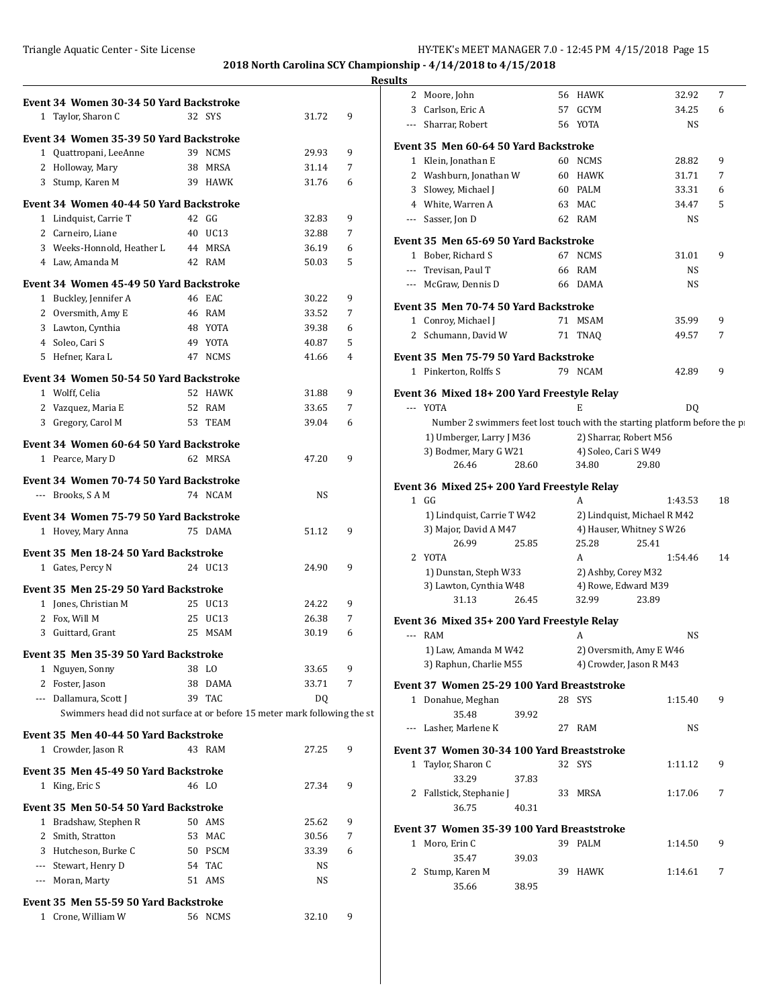|                                                                           |                    |                |                | <b>Results</b>                                                            |                             |                |                |
|---------------------------------------------------------------------------|--------------------|----------------|----------------|---------------------------------------------------------------------------|-----------------------------|----------------|----------------|
| Event 34 Women 30-34 50 Yard Backstroke                                   |                    |                |                | 2 Moore, John                                                             | 56 HAWK                     | 32.92          | $\overline{7}$ |
| 1 Taylor, Sharon C                                                        | 32 SYS             | 31.72          | 9              | 3 Carlson, Eric A                                                         | 57 GCYM                     | 34.25          | 6              |
|                                                                           |                    |                |                | Sharrar, Robert                                                           | 56 YOTA                     | <b>NS</b>      |                |
| Event 34 Women 35-39 50 Yard Backstroke                                   |                    |                |                | Event 35 Men 60-64 50 Yard Backstroke                                     |                             |                |                |
| 1 Quattropani, LeeAnne                                                    | 39 NCMS            | 29.93          | 9              | 1 Klein, Jonathan E                                                       | 60 NCMS                     | 28.82          | 9              |
| 2 Holloway, Mary                                                          | 38 MRSA            | 31.14          | 7              | 2 Washburn, Jonathan W                                                    | 60 HAWK                     | 31.71          | 7              |
| 3 Stump, Karen M                                                          | 39 HAWK            | 31.76          | 6              | 3 Slowey, Michael J                                                       | 60 PALM                     | 33.31          | 6              |
| Event 34 Women 40-44 50 Yard Backstroke                                   |                    |                |                | White, Warren A<br>4                                                      | 63 MAC                      | 34.47          | 5              |
| 1 Lindquist, Carrie T                                                     | 42 GG              | 32.83          | 9              | Sasser, Jon D<br>$\cdots$                                                 | 62 RAM                      | NS             |                |
| 2 Carneiro, Liane                                                         | 40 UC13            | 32.88          | 7              |                                                                           |                             |                |                |
| 3 Weeks-Honnold, Heather L                                                | 44 MRSA            | 36.19          | 6              | Event 35 Men 65-69 50 Yard Backstroke                                     |                             |                |                |
| 4 Law, Amanda M                                                           | 42 RAM             | 50.03          | 5              | 1 Bober, Richard S                                                        | 67 NCMS                     | 31.01          | 9              |
| Event 34 Women 45-49 50 Yard Backstroke                                   |                    |                |                | --- Trevisan, Paul T                                                      | 66 RAM                      | <b>NS</b>      |                |
| 1 Buckley, Jennifer A                                                     | 46 EAC             | 30.22          | 9              | --- McGraw, Dennis D                                                      | 66 DAMA                     | <b>NS</b>      |                |
|                                                                           | 46 RAM             | 33.52          | $\overline{7}$ | Event 35 Men 70-74 50 Yard Backstroke                                     |                             |                |                |
| 2 Oversmith, Amy E                                                        |                    |                | 6              | 1 Conroy, Michael J                                                       | 71 MSAM                     | 35.99          | 9              |
| 3 Lawton, Cynthia<br>4 Soleo, Cari S                                      | 48 YOTA<br>49 YOTA | 39.38<br>40.87 | 5              | 2 Schumann, David W                                                       | 71 TNAQ                     | 49.57          | 7              |
|                                                                           | 47 NCMS            | 41.66          | $\overline{4}$ | Event 35 Men 75-79 50 Yard Backstroke                                     |                             |                |                |
| 5 Hefner, Kara L                                                          |                    |                |                | 1 Pinkerton, Rolffs S                                                     | 79 NCAM                     | 42.89          | 9              |
| Event 34 Women 50-54 50 Yard Backstroke                                   |                    |                |                |                                                                           |                             |                |                |
| 1 Wolff, Celia                                                            | 52 HAWK            | 31.88          | 9              | Event 36 Mixed 18+200 Yard Freestyle Relay                                |                             |                |                |
| 2 Vazquez, Maria E                                                        | 52 RAM             | 33.65          | $\overline{7}$ | --- YOTA                                                                  | E                           | D <sub>0</sub> |                |
| 3 Gregory, Carol M                                                        | 53 TEAM            | 39.04          | 6              | Number 2 swimmers feet lost touch with the starting platform before the p |                             |                |                |
| Event 34 Women 60-64 50 Yard Backstroke                                   |                    |                |                | 1) Umberger, Larry J M36                                                  | 2) Sharrar, Robert M56      |                |                |
| 1 Pearce, Mary D                                                          | 62 MRSA            | 47.20          | 9              | 3) Bodmer, Mary G W21                                                     | 4) Soleo, Cari S W49        |                |                |
|                                                                           |                    |                |                | 26.46<br>28.60                                                            | 34.80                       | 29.80          |                |
| Event 34 Women 70-74 50 Yard Backstroke                                   |                    |                |                | Event 36 Mixed 25+200 Yard Freestyle Relay                                |                             |                |                |
| --- Brooks, SAM                                                           | 74 NCAM            | NS             |                | $1$ GG                                                                    | A                           | 1:43.53        | 18             |
| Event 34 Women 75-79 50 Yard Backstroke                                   |                    |                |                | 1) Lindquist, Carrie T W42                                                | 2) Lindquist, Michael R M42 |                |                |
| 1 Hovey, Mary Anna                                                        | 75 DAMA            | 51.12          | 9              | 3) Major, David A M47                                                     | 4) Hauser, Whitney S W26    |                |                |
|                                                                           |                    |                |                | 26.99<br>25.85                                                            | 25.28                       | 25.41          |                |
| Event 35 Men 18-24 50 Yard Backstroke                                     |                    |                |                | 2 YOTA                                                                    | A                           | 1:54.46        | 14             |
| 1 Gates, Percy N                                                          | 24 UC13            | 24.90          | 9              | 1) Dunstan, Steph W33                                                     | 2) Ashby, Corey M32         |                |                |
| Event 35 Men 25-29 50 Yard Backstroke                                     |                    |                |                | 3) Lawton, Cynthia W48                                                    | 4) Rowe, Edward M39         |                |                |
| 1 Jones, Christian M                                                      | 25 UC13            | 24.22          | 9              | 31.13<br>26.45                                                            | 32.99                       | 23.89          |                |
| 2 Fox, Will M                                                             | 25 UC13            | 26.38          | 7              | Event 36 Mixed 35+200 Yard Freestyle Relay                                |                             |                |                |
| 3 Guittard, Grant                                                         | 25 MSAM            | 30.19          | 6              | --- RAM                                                                   | A                           | <b>NS</b>      |                |
|                                                                           |                    |                |                | 1) Law, Amanda M W42                                                      | 2) Oversmith, Amy E W46     |                |                |
| Event 35 Men 35-39 50 Yard Backstroke                                     |                    |                |                | 3) Raphun, Charlie M55                                                    | 4) Crowder, Jason R M43     |                |                |
| 1 Nguyen, Sonny<br>2 Foster, Jason                                        | 38 LO              | 33.65          | 9              |                                                                           |                             |                |                |
|                                                                           | 38 DAMA<br>39 TAC  | 33.71          | 7              | Event 37 Women 25-29 100 Yard Breaststroke                                |                             |                |                |
| --- Dallamura, Scott J                                                    |                    | DQ             |                | 1 Donahue, Meghan                                                         | 28 SYS                      | 1:15.40        | 9              |
| Swimmers head did not surface at or before 15 meter mark following the st |                    |                |                | 35.48<br>39.92                                                            |                             |                |                |
| Event 35 Men 40-44 50 Yard Backstroke                                     |                    |                |                | --- Lasher, Marlene K                                                     | 27 RAM                      | NS             |                |
| 1 Crowder, Jason R                                                        | 43 RAM             | 27.25          | 9              | Event 37 Women 30-34 100 Yard Breaststroke                                |                             |                |                |
| Event 35 Men 45-49 50 Yard Backstroke                                     |                    |                |                | 1 Taylor, Sharon C                                                        | 32 SYS                      | 1:11.12        | 9              |
| 1 King, Eric S                                                            | 46 LO              | 27.34          | 9              | 33.29<br>37.83                                                            |                             |                |                |
|                                                                           |                    |                |                | 2 Fallstick, Stephanie J                                                  | 33 MRSA                     | 1:17.06        | 7              |
| Event 35 Men 50-54 50 Yard Backstroke                                     |                    |                |                | 36.75<br>40.31                                                            |                             |                |                |
| 1 Bradshaw, Stephen R                                                     | 50 AMS             | 25.62          | 9              | Event 37 Women 35-39 100 Yard Breaststroke                                |                             |                |                |
| 2 Smith, Stratton                                                         | 53 MAC             | 30.56          | 7              | 1 Moro, Erin C                                                            | 39 PALM                     | 1:14.50        | 9              |
| 3 Hutcheson, Burke C                                                      | 50 PSCM            | 33.39          | 6              | 35.47<br>39.03                                                            |                             |                |                |
| --- Stewart, Henry D                                                      | 54 TAC             | NS             |                | 2 Stump, Karen M                                                          | 39 HAWK                     | 1:14.61        | 7              |
| --- Moran, Marty                                                          | 51 AMS             | NS             |                | 35.66<br>38.95                                                            |                             |                |                |
| Event 35 Men 55-59 50 Yard Backstroke                                     |                    |                |                |                                                                           |                             |                |                |
| 1 Crone, William W                                                        | 56 NCMS            | 32.10          | 9              |                                                                           |                             |                |                |
|                                                                           |                    |                |                |                                                                           |                             |                |                |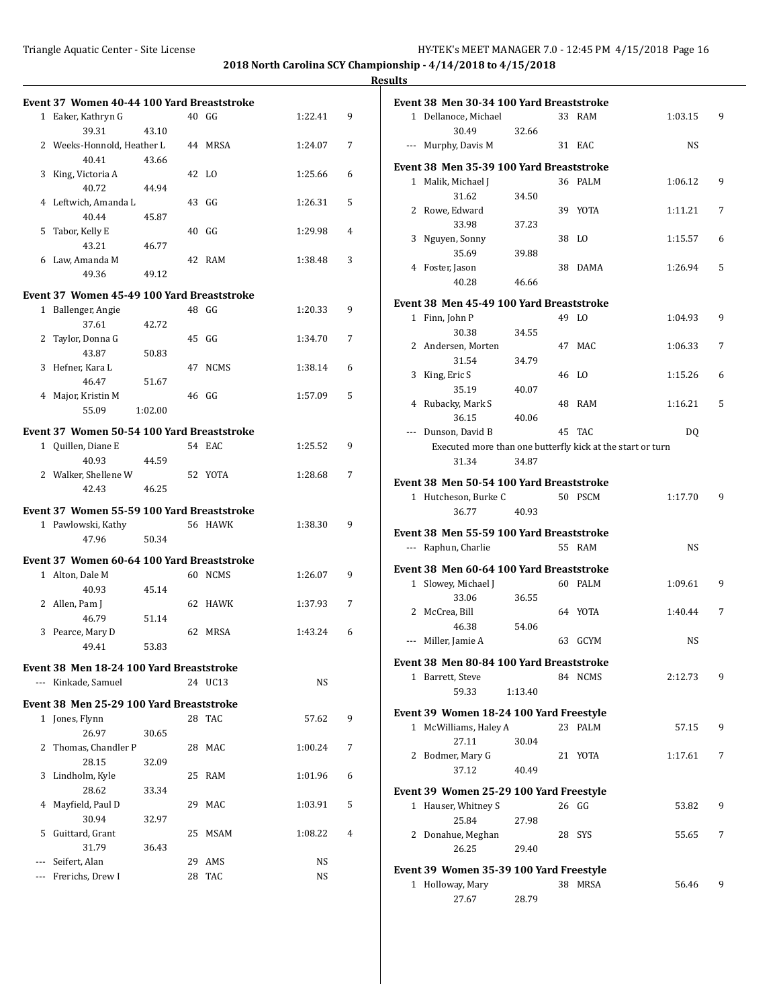# **Results**

|     | Event 37 Women 40-44 100 Yard Breaststroke |         |    |             |         |   |
|-----|--------------------------------------------|---------|----|-------------|---------|---|
|     | 1 Eaker, Kathryn G                         |         |    | 40 GG       | 1:22.41 | 9 |
|     | 39.31                                      | 43.10   |    |             |         |   |
|     | 2 Weeks-Honnold, Heather L                 |         |    | 44 MRSA     | 1:24.07 | 7 |
|     | 40.41                                      | 43.66   |    |             |         |   |
| 3   | King, Victoria A                           |         | 42 | - LO        | 1:25.66 | 6 |
|     | 40.72                                      | 44.94   |    |             |         |   |
|     | 4 Leftwich, Amanda L                       |         |    | 43 GG       | 1:26.31 | 5 |
|     | 40.44                                      | 45.87   |    |             |         |   |
| 5   | Tabor, Kelly E                             |         |    | 40 GG       | 1:29.98 | 4 |
|     | 43.21                                      | 46.77   |    |             |         |   |
|     | 6 Law, Amanda M                            |         |    | 42 RAM      | 1:38.48 | 3 |
|     | 49.36                                      | 49.12   |    |             |         |   |
|     | Event 37 Women 45-49 100 Yard Breaststroke |         |    |             |         |   |
|     | 1 Ballenger, Angie                         |         |    | 48 GG       | 1:20.33 | 9 |
|     | 37.61                                      | 42.72   |    |             |         |   |
| 2   | Taylor, Donna G                            |         |    | 45 GG       | 1:34.70 | 7 |
|     | 43.87                                      | 50.83   |    |             |         |   |
|     | 3 Hefner, Kara L                           |         | 47 | NCMS        | 1:38.14 | 6 |
|     | 46.47                                      | 51.67   |    |             |         |   |
|     | 4 Major, Kristin M                         |         |    | 46 GG       | 1:57.09 | 5 |
|     |                                            |         |    |             |         |   |
|     | 55.09                                      | 1:02.00 |    |             |         |   |
|     | Event 37 Women 50-54 100 Yard Breaststroke |         |    |             |         |   |
|     | 1 Quillen, Diane E                         |         |    | 54 EAC      | 1:25.52 | 9 |
|     | 40.93                                      | 44.59   |    |             |         |   |
|     | 2 Walker, Shellene W                       |         |    | 52 YOTA     | 1:28.68 | 7 |
|     | 42.43                                      | 46.25   |    |             |         |   |
|     | Event 37 Women 55-59 100 Yard Breaststroke |         |    |             |         |   |
|     | 1 Pawlowski, Kathy                         |         |    | 56 HAWK     | 1:38.30 | 9 |
|     | 47.96                                      | 50.34   |    |             |         |   |
|     |                                            |         |    |             |         |   |
|     | Event 37 Women 60-64 100 Yard Breaststroke |         |    |             |         |   |
|     | 1 Alton, Dale M                            |         |    | 60 NCMS     | 1:26.07 | 9 |
|     | 40.93                                      | 45.14   |    |             |         |   |
|     | 2 Allen, Pam J                             |         | 62 | HAWK        | 1:37.93 | 7 |
|     | 46.79                                      | 51.14   |    |             |         |   |
| 3   | Pearce, Mary D                             |         | 62 | <b>MRSA</b> | 1:43.24 | 6 |
|     | 49.41                                      | 53.83   |    |             |         |   |
|     | Event 38 Men 18-24 100 Yard Breaststroke   |         |    |             |         |   |
|     | --- Kinkade, Samuel                        |         |    | 24 UC13     | NS      |   |
|     |                                            |         |    |             |         |   |
|     | Event 38 Men 25-29 100 Yard Breaststroke   |         |    |             |         |   |
|     | 1 Jones, Flynn                             |         | 28 | TAC         | 57.62   | 9 |
|     | 26.97                                      | 30.65   |    |             |         |   |
| 2   | Thomas, Chandler P                         |         | 28 | MAC         | 1:00.24 | 7 |
|     | 28.15                                      | 32.09   |    |             |         |   |
| 3   | Lindholm, Kyle                             |         | 25 | RAM         | 1:01.96 | 6 |
|     | 28.62                                      | 33.34   |    |             |         |   |
| 4   | Mayfield, Paul D                           |         | 29 | MAC         | 1:03.91 | 5 |
|     | 30.94                                      | 32.97   |    |             |         |   |
| 5   | Guittard, Grant                            |         | 25 | MSAM        | 1:08.22 | 4 |
|     | 31.79                                      | 36.43   |    |             |         |   |
| --- | Seifert, Alan                              |         | 29 | AMS         | NS      |   |
|     | Frerichs, Drew I                           |         | 28 | TAC         | NS      |   |
|     |                                            |         |    |             |         |   |

| Event 38 Men 30-34 100 Yard Breaststroke |         |    |                                                            |           |   |
|------------------------------------------|---------|----|------------------------------------------------------------|-----------|---|
| 1 Dellanoce, Michael                     |         |    | 33 RAM                                                     | 1:03.15   | 9 |
| 30.49                                    | 32.66   |    |                                                            |           |   |
| --- Murphy, Davis M                      |         |    | 31 EAC                                                     | <b>NS</b> |   |
| Event 38 Men 35-39 100 Yard Breaststroke |         |    |                                                            |           |   |
| 1 Malik, Michael J                       |         |    | 36 PALM                                                    | 1:06.12   | 9 |
| 31.62                                    | 34.50   |    |                                                            |           |   |
| 2 Rowe, Edward                           |         |    | 39 YOTA                                                    | 1:11.21   | 7 |
| 33.98                                    | 37.23   |    |                                                            |           |   |
| 3 Nguyen, Sonny                          |         | 38 | LO.                                                        | 1:15.57   | 6 |
|                                          |         |    |                                                            |           |   |
| 35.69                                    | 39.88   |    |                                                            |           |   |
| 4 Foster, Jason                          |         | 38 | DAMA                                                       | 1:26.94   | 5 |
| 40.28                                    | 46.66   |    |                                                            |           |   |
| Event 38 Men 45-49 100 Yard Breaststroke |         |    |                                                            |           |   |
| 1 Finn, John P                           |         |    | 49 LO                                                      | 1:04.93   | 9 |
| 30.38                                    | 34.55   |    |                                                            |           |   |
| 2 Andersen, Morten                       |         |    | 47 MAC                                                     | 1:06.33   | 7 |
| 31.54                                    | 34.79   |    |                                                            |           |   |
| 3 King, Eric S                           |         |    | 46 LO                                                      | 1:15.26   | 6 |
| 35.19                                    | 40.07   |    |                                                            |           |   |
| 4 Rubacky, Mark S                        |         |    | 48 RAM                                                     | 1:16.21   | 5 |
| 36.15                                    | 40.06   |    |                                                            |           |   |
| --- Dunson, David B                      |         |    | 45 TAC                                                     | DQ        |   |
|                                          |         |    | Executed more than one butterfly kick at the start or turn |           |   |
| 31.34                                    | 34.87   |    |                                                            |           |   |
|                                          |         |    |                                                            |           |   |
| Event 38 Men 50-54 100 Yard Breaststroke |         |    |                                                            |           |   |
| 1 Hutcheson, Burke C                     |         |    | 50 PSCM                                                    | 1:17.70   | 9 |
|                                          |         |    |                                                            |           |   |
| 36.77                                    | 40.93   |    |                                                            |           |   |
|                                          |         |    |                                                            |           |   |
| Event 38 Men 55-59 100 Yard Breaststroke |         |    |                                                            |           |   |
| --- Raphun, Charlie                      |         |    | 55 RAM                                                     | NS        |   |
| Event 38 Men 60-64 100 Yard Breaststroke |         |    |                                                            |           |   |
| 1 Slowey, Michael J                      |         |    | 60 PALM                                                    | 1:09.61   | 9 |
| 33.06                                    | 36.55   |    |                                                            |           |   |
| 2 McCrea, Bill                           |         |    | 64 YOTA                                                    | 1:40.44   | 7 |
| 46.38                                    | 54.06   |    |                                                            |           |   |
| --- Miller, Jamie A                      |         |    | 63 GCYM                                                    | NS        |   |
|                                          |         |    |                                                            |           |   |
| Event 38 Men 80-84 100 Yard Breaststroke |         |    |                                                            |           |   |
| 1 Barrett, Steve                         |         |    | 84 NCMS                                                    | 2:12.73   | 9 |
| 59.33                                    | 1:13.40 |    |                                                            |           |   |
|                                          |         |    |                                                            |           |   |
| Event 39 Women 18-24 100 Yard Freestyle  |         |    | 23 PALM                                                    |           | 9 |
| 1 McWilliams, Haley A                    |         |    |                                                            | 57.15     |   |
| 27.11                                    | 30.04   |    |                                                            |           |   |
| 2 Bodmer, Mary G                         |         |    | 21 YOTA                                                    | 1:17.61   | 7 |
| 37.12                                    | 40.49   |    |                                                            |           |   |
| Event 39 Women 25-29 100 Yard Freestyle  |         |    |                                                            |           |   |
| 1 Hauser, Whitney S                      |         |    | 26 GG                                                      | 53.82     | 9 |
| 25.84                                    | 27.98   |    |                                                            |           |   |
| 2 Donahue, Meghan                        |         |    | 28 SYS                                                     | 55.65     | 7 |
| 26.25                                    | 29.40   |    |                                                            |           |   |
|                                          |         |    |                                                            |           |   |
| Event 39 Women 35-39 100 Yard Freestyle  |         |    |                                                            |           |   |
| 1 Holloway, Mary<br>27.67                | 28.79   | 38 | MRSA                                                       | 56.46     | 9 |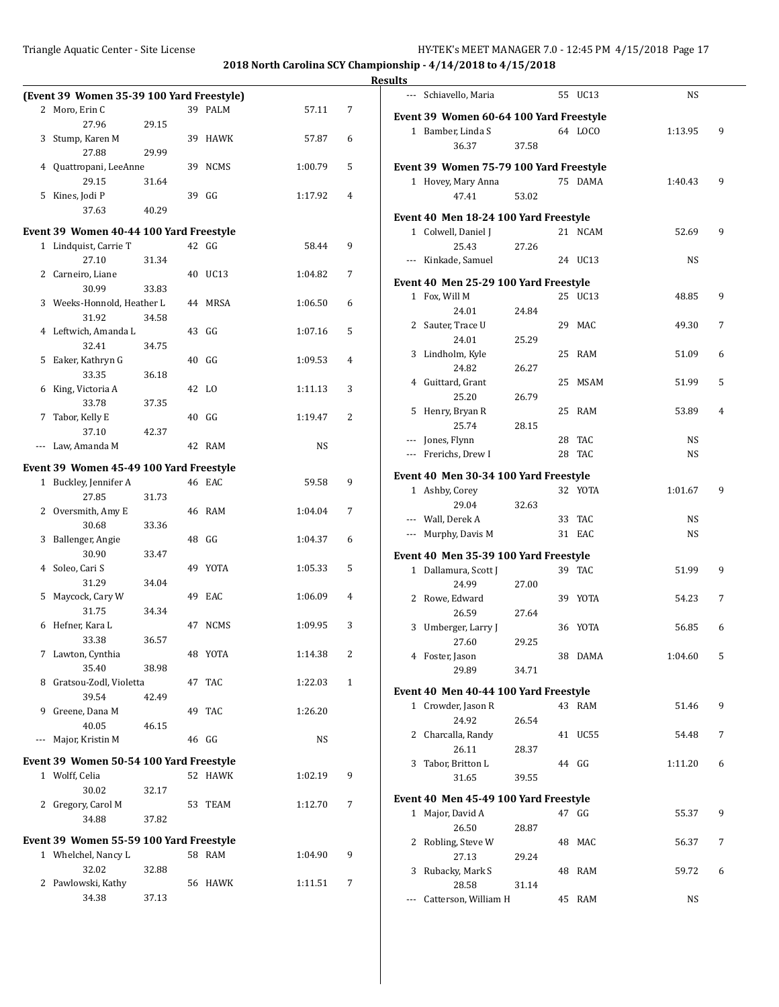|          | (Event 39 Women 35-39 100 Yard Freestyle) |       |    |             |         |   |
|----------|-------------------------------------------|-------|----|-------------|---------|---|
|          | 2 Moro, Erin C                            |       |    | 39 PALM     | 57.11   | 7 |
|          | 27.96                                     | 29.15 |    |             |         |   |
| 3        | Stump, Karen M                            |       |    | 39 HAWK     | 57.87   | 6 |
|          | 27.88                                     | 29.99 |    |             |         |   |
| 4        | Quattropani, LeeAnne                      |       |    | 39 NCMS     | 1:00.79 | 5 |
|          | 29.15                                     | 31.64 |    |             |         |   |
|          | 5 Kines, Jodi P                           |       |    | 39 GG       | 1:17.92 | 4 |
|          | 37.63                                     | 40.29 |    |             |         |   |
|          | Event 39 Women 40-44 100 Yard Freestyle   |       |    |             |         |   |
|          | 1 Lindquist, Carrie T                     |       |    | $42$ GG     | 58.44   | 9 |
|          | 27.10                                     | 31.34 |    |             |         |   |
|          | 2 Carneiro, Liane                         |       | 40 | UC13        | 1:04.82 | 7 |
|          | 30.99                                     | 33.83 |    |             |         |   |
|          | 3 Weeks-Honnold, Heather L                |       |    | 44 MRSA     | 1:06.50 | 6 |
|          | 31.92                                     | 34.58 |    |             |         |   |
|          | 4 Leftwich, Amanda L                      |       | 43 | GG          | 1:07.16 | 5 |
|          | 32.41                                     | 34.75 |    |             |         |   |
| 5        | Eaker, Kathryn G                          |       |    | 40 GG       | 1:09.53 | 4 |
|          | 33.35                                     | 36.18 |    |             |         |   |
| 6        | King, Victoria A                          |       |    | 42 LO       | 1:11.13 | 3 |
|          | 33.78                                     | 37.35 |    |             |         |   |
| 7        | Tabor, Kelly E                            |       |    | 40 GG       | 1:19.47 | 2 |
|          | 37.10                                     | 42.37 |    |             |         |   |
|          | Law, Amanda M                             |       |    | 42 RAM      | NS      |   |
| $\cdots$ |                                           |       |    |             |         |   |
|          | Event 39 Women 45-49 100 Yard Freestyle   |       |    |             |         |   |
|          | 1 Buckley, Jennifer A                     |       |    | 46 EAC      | 59.58   | 9 |
|          | 27.85                                     | 31.73 |    |             |         |   |
|          | 2 Oversmith, Amy E                        |       |    | 46 RAM      | 1:04.04 | 7 |
|          | 30.68                                     | 33.36 |    |             |         |   |
| 3        | Ballenger, Angie                          |       |    | 48 GG       | 1:04.37 | 6 |
|          | 30.90                                     | 33.47 |    |             |         |   |
|          | 4 Soleo, Cari S                           |       | 49 | YOTA        | 1:05.33 | 5 |
|          | 31.29                                     | 34.04 |    |             |         |   |
| 5        | Maycock, Cary W                           |       | 49 | EAC         | 1:06.09 | 4 |
|          | 31.75                                     | 34.34 |    |             |         |   |
| 6        | Hefner, Kara L                            |       | 47 | <b>NCMS</b> | 1:09.95 | 3 |
|          | 33.38                                     | 36.57 |    |             |         |   |
|          | 7 Lawton, Cynthia                         |       |    | 48 YOTA     | 1:14.38 | 2 |
|          | 35.40                                     | 38.98 |    |             |         |   |
| 8        | Gratsou-Zodl, Violetta                    |       | 47 | TAC         | 1:22.03 | 1 |
|          | 39.54                                     | 42.49 |    |             |         |   |
| 9        | Greene, Dana M                            |       | 49 | <b>TAC</b>  | 1:26.20 |   |
|          | 40.05                                     | 46.15 |    |             |         |   |
| ---      | Major, Kristin M                          |       |    | 46 GG       | NS      |   |
|          |                                           |       |    |             |         |   |
|          | Event 39 Women 50-54 100 Yard Freestyle   |       |    |             |         |   |
|          | 1 Wolff, Celia                            |       |    | 52 HAWK     | 1:02.19 | 9 |
|          | 30.02                                     | 32.17 |    |             |         |   |
| 2        | Gregory, Carol M                          |       | 53 | TEAM        | 1:12.70 | 7 |
|          | 34.88                                     | 37.82 |    |             |         |   |
|          |                                           |       |    |             |         |   |
|          | Event 39 Women 55-59 100 Yard Freestyle   |       |    |             |         |   |
|          | 1 Whelchel, Nancy L                       |       |    | 58 RAM      | 1:04.90 | 9 |
|          | 32.02                                     | 32.88 |    |             |         |   |
| 2        | Pawlowski, Kathy                          |       | 56 | HAWK        | 1:11.51 | 7 |

34.38 37.13

| <b>Results</b> |                                                        |       |         |           |   |
|----------------|--------------------------------------------------------|-------|---------|-----------|---|
|                | --- Schiavello, Maria                                  |       | 55 UC13 | NS        |   |
|                | Event 39 Women 60-64 100 Yard Freestyle                |       |         |           |   |
|                | 1 Bamber, Linda S                                      |       | 64 LOCO | 1:13.95   | 9 |
|                | 36.37                                                  | 37.58 |         |           |   |
|                |                                                        |       |         |           |   |
|                | Event 39 Women 75-79 100 Yard Freestyle                |       |         |           |   |
|                | 1 Hovey, Mary Anna                                     |       | 75 DAMA | 1:40.43   | 9 |
|                | 47.41                                                  | 53.02 |         |           |   |
|                | Event 40 Men 18-24 100 Yard Freestyle                  |       |         |           |   |
|                | 1 Colwell, Daniel J                                    |       | 21 NCAM | 52.69     | 9 |
|                | 25.43                                                  | 27.26 |         |           |   |
|                | --- Kinkade, Samuel                                    |       | 24 UC13 | <b>NS</b> |   |
|                |                                                        |       |         |           |   |
|                | Event 40 Men 25-29 100 Yard Freestyle<br>1 Fox, Will M |       | 25 UC13 | 48.85     | 9 |
|                | 24.01                                                  | 24.84 |         |           |   |
|                | 2 Sauter, Trace U                                      |       | 29 MAC  | 49.30     | 7 |
|                | 24.01                                                  | 25.29 |         |           |   |
|                | 3 Lindholm, Kyle                                       |       | 25 RAM  | 51.09     | 6 |
|                | 24.82                                                  | 26.27 |         |           |   |
|                | 4 Guittard, Grant                                      |       | 25 MSAM | 51.99     | 5 |
|                | 25.20                                                  | 26.79 |         |           |   |
|                | 5 Henry, Bryan R                                       |       | 25 RAM  | 53.89     | 4 |
|                | 25.74                                                  | 28.15 |         |           |   |
|                | --- Jones, Flynn                                       |       | 28 TAC  | NS        |   |
|                | --- Frerichs, Drew I                                   |       | 28 TAC  | <b>NS</b> |   |
|                |                                                        |       |         |           |   |
|                | Event 40 Men 30-34 100 Yard Freestyle                  |       |         |           |   |
|                | 1 Ashby, Corey                                         |       | 32 YOTA | 1:01.67   | 9 |
|                | 29.04                                                  | 32.63 |         |           |   |
|                | --- Wall, Derek A                                      |       | 33 TAC  | NS        |   |
|                | --- Murphy, Davis M                                    |       | 31 EAC  | NS        |   |
|                |                                                        |       |         |           |   |
|                | Event 40 Men 35-39 100 Yard Freestyle                  |       | 39 TAC  |           |   |
|                | 1 Dallamura, Scott J<br>24.99                          |       |         | 51.99     | 9 |
|                |                                                        | 27.00 |         | 54.23     |   |
|                | 2 Rowe, Edward<br>26.59                                |       | 39 YOTA |           | 7 |
|                |                                                        | 27.64 | 36 YOTA |           |   |
|                | 3 Umberger, Larry J                                    |       |         | 56.85     | 6 |
|                | 27.60                                                  | 29.25 |         |           |   |
|                | 4 Foster, Jason                                        |       | 38 DAMA | 1:04.60   | 5 |
|                | 29.89                                                  | 34.71 |         |           |   |
|                | Event 40 Men 40-44 100 Yard Freestyle                  |       |         |           |   |
|                | 1 Crowder, Jason R                                     |       | 43 RAM  | 51.46     | 9 |
|                | 24.92                                                  | 26.54 |         |           |   |
|                | 2 Charcalla, Randy                                     |       | 41 UC55 | 54.48     | 7 |
|                | 26.11                                                  | 28.37 |         |           |   |
|                | 3 Tabor, Britton L                                     |       | 44 GG   | 1:11.20   | 6 |
|                | 31.65                                                  | 39.55 |         |           |   |
|                |                                                        |       |         |           |   |
|                | Event 40 Men 45-49 100 Yard Freestyle                  |       | 47 GG   |           | 9 |
|                | 1 Major, David A                                       |       |         | 55.37     |   |
|                | 26.50                                                  | 28.87 |         |           |   |
|                | 2 Robling, Steve W                                     |       | 48 MAC  | 56.37     | 7 |
|                | 27.13                                                  | 29.24 |         |           |   |
|                | 3 Rubacky, Mark S<br>28.58                             |       | 48 RAM  | 59.72     | 6 |
| $---$          | Catterson, William H                                   | 31.14 | 45 RAM  | NS        |   |
|                |                                                        |       |         |           |   |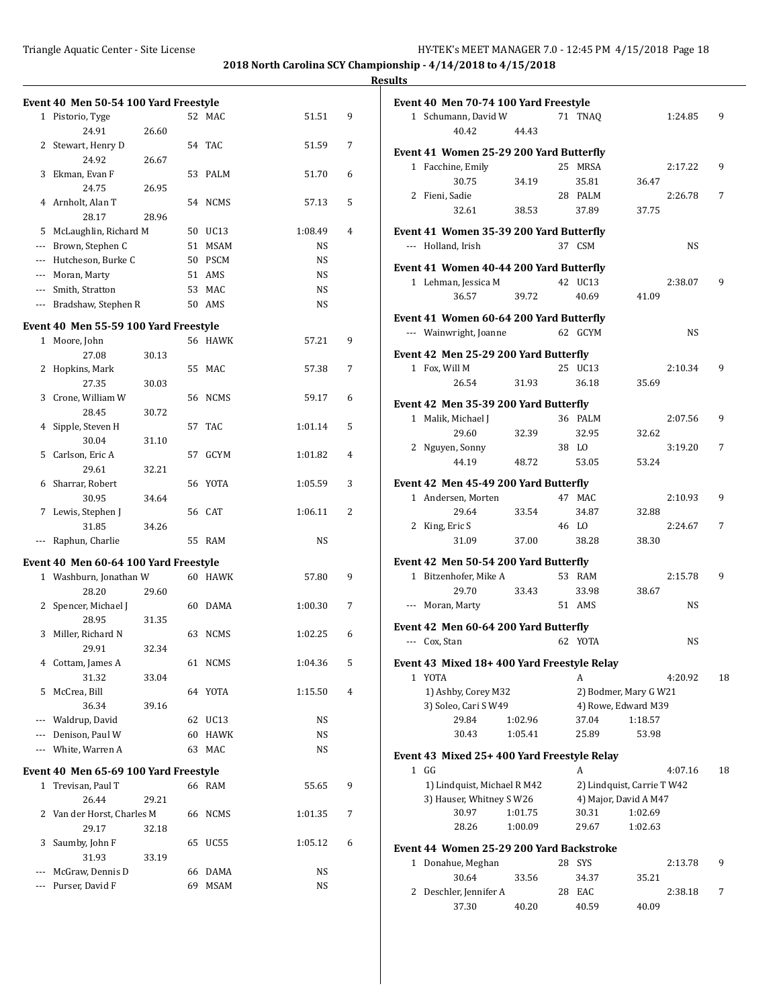### **Results**

|                          | Event 40 Men 50-54 100 Yard Freestyle                           |       |    |             |         |   |
|--------------------------|-----------------------------------------------------------------|-------|----|-------------|---------|---|
|                          | 1 Pistorio, Tyge                                                |       |    | 52 MAC      | 51.51   | 9 |
|                          | 24.91                                                           |       |    |             |         |   |
| 2                        | Stewart, Henry D                                                | 26.60 | 54 | TAC         |         | 7 |
|                          |                                                                 |       |    |             | 51.59   |   |
| 3                        | 24.92                                                           | 26.67 |    |             |         |   |
|                          | Ekman, Evan F                                                   |       | 53 | PALM        | 51.70   | 6 |
|                          | 24.75                                                           | 26.95 |    |             |         |   |
|                          | 4 Arnholt, Alan T                                               |       |    | 54 NCMS     | 57.13   | 5 |
|                          | 28.17                                                           | 28.96 |    |             |         |   |
| 5                        | McLaughlin, Richard M                                           |       |    | 50 UC13     | 1:08.49 | 4 |
| $\cdots$                 | Brown, Stephen C                                                |       | 51 | MSAM        | NS      |   |
|                          | --- Hutcheson, Burke C                                          |       |    | 50 PSCM     | NS      |   |
| $\overline{\phantom{a}}$ | Moran, Marty                                                    |       |    | 51 AMS      | NS      |   |
|                          | --- Smith, Stratton                                             |       | 53 | MAC         | NS      |   |
|                          | --- Bradshaw, Stephen R                                         |       |    | 50 AMS      | NS      |   |
|                          | Event 40 Men 55-59 100 Yard Freestyle                           |       |    |             |         |   |
| $1\,$                    | Moore, John                                                     |       |    | 56 HAWK     | 57.21   | 9 |
|                          | 27.08                                                           | 30.13 |    |             |         |   |
| 2                        | Hopkins, Mark                                                   |       | 55 | MAC         | 57.38   | 7 |
|                          | 27.35                                                           | 30.03 |    |             |         |   |
| 3                        | Crone, William W                                                |       | 56 | NCMS        | 59.17   | 6 |
|                          | 28.45                                                           | 30.72 |    |             |         |   |
| 4                        | Sipple, Steven H                                                |       | 57 | <b>TAC</b>  | 1:01.14 | 5 |
|                          | 30.04                                                           | 31.10 |    |             |         |   |
| 5                        | Carlson, Eric A                                                 |       | 57 | GCYM        | 1:01.82 | 4 |
|                          | 29.61                                                           | 32.21 |    |             |         |   |
| 6                        | Sharrar, Robert                                                 |       | 56 | YOTA        | 1:05.59 | 3 |
|                          | 30.95                                                           | 34.64 |    |             |         |   |
| 7                        | Lewis, Stephen J                                                |       | 56 | <b>CAT</b>  | 1:06.11 | 2 |
|                          | 31.85                                                           | 34.26 |    |             |         |   |
|                          | Raphun, Charlie                                                 |       | 55 | RAM         | NS      |   |
|                          |                                                                 |       |    |             |         |   |
|                          | Event 40 Men 60-64 100 Yard Freestyle<br>1 Washburn, Jonathan W |       |    | 60 HAWK     | 57.80   | 9 |
|                          | 28.20                                                           |       |    |             |         |   |
| 2                        | Spencer, Michael J                                              | 29.60 | 60 | DAMA        | 1:00.30 | 7 |
|                          | 28.95                                                           | 31.35 |    |             |         |   |
| 3                        | Miller, Richard N                                               |       | 63 | <b>NCMS</b> | 1:02.25 | 6 |
|                          | 29.91                                                           | 32.34 |    |             |         |   |
|                          | 4 Cottam, James A                                               |       |    | 61 NCMS     | 1:04.36 | 5 |
|                          | 31.32                                                           | 33.04 |    |             |         |   |
| 5                        | McCrea, Bill                                                    |       |    | 64 YOTA     | 1:15.50 | 4 |
|                          | 36.34                                                           |       |    |             |         |   |
| ---                      | Waldrup, David                                                  | 39.16 |    | 62 UC13     | NS      |   |
|                          | --- Denison, Paul W                                             |       | 60 | HAWK        |         |   |
| $---$                    | White, Warren A                                                 |       |    | MAC         | NS      |   |
|                          |                                                                 |       | 63 |             | NS      |   |
|                          | Event 40 Men 65-69 100 Yard Freestyle                           |       |    |             |         |   |
|                          | 1 Trevisan, Paul T                                              |       |    | 66 RAM      | 55.65   | 9 |
|                          | 26.44                                                           | 29.21 |    |             |         |   |
| 2                        | Van der Horst, Charles M                                        |       | 66 | NCMS        | 1:01.35 | 7 |
|                          | 29.17                                                           | 32.18 |    |             |         |   |
| 3                        | Saumby, John F                                                  |       | 65 | UC55        | 1:05.12 | 6 |
|                          | 31.93                                                           | 33.19 |    |             |         |   |
| $---$                    | McGraw, Dennis D                                                |       | 66 | DAMA        | NS      |   |
|                          | Purser, David F                                                 |       | 69 | <b>MSAM</b> | NS      |   |
|                          |                                                                 |       |    |             |         |   |

|   | Event 40 Men 70-74 100 Yard Freestyle                   |         |    |                                                     |         |           |    |
|---|---------------------------------------------------------|---------|----|-----------------------------------------------------|---------|-----------|----|
|   | 1 Schumann, David W                                     |         |    | 71 TNAO                                             |         | 1:24.85   | 9  |
|   | 40.42                                                   | 44.43   |    |                                                     |         |           |    |
|   |                                                         |         |    |                                                     |         |           |    |
|   | Event 41 Women 25-29 200 Yard Butterfly                 |         |    |                                                     |         |           |    |
|   | 1 Facchine, Emily                                       |         |    | 25 MRSA                                             |         | 2:17.22   | 9  |
|   | 30.75                                                   | 34.19   |    | 35.81                                               | 36.47   |           |    |
|   | 2 Fieni, Sadie                                          |         |    | 28 PALM                                             |         | 2:26.78   | 7  |
|   | 32.61                                                   | 38.53   |    | 37.89                                               | 37.75   |           |    |
|   | Event 41 Women 35-39 200 Yard Butterfly                 |         |    |                                                     |         |           |    |
|   | --- Holland, Irish                                      |         |    | 37 CSM                                              |         | NS        |    |
|   | Event 41 Women 40-44 200 Yard Butterfly                 |         |    |                                                     |         |           |    |
|   | 1 Lehman, Jessica M                                     |         |    | 42 UC13                                             |         | 2:38.07   | 9  |
|   | 36.57                                                   | 39.72   |    | 40.69                                               | 41.09   |           |    |
|   |                                                         |         |    |                                                     |         |           |    |
|   | Event 41 Women 60-64 200 Yard Butterfly                 |         |    |                                                     |         |           |    |
|   | --- Wainwright, Joanne                                  |         |    | 62 GCYM                                             |         | <b>NS</b> |    |
|   | Event 42 Men 25-29 200 Yard Butterfly                   |         |    |                                                     |         |           |    |
|   | 1 Fox, Will M                                           |         |    | 25 UC13                                             |         | 2:10.34   | 9  |
|   | 26.54                                                   | 31.93   |    | 36.18                                               | 35.69   |           |    |
|   |                                                         |         |    |                                                     |         |           |    |
|   | Event 42 Men 35-39 200 Yard Butterfly                   |         |    |                                                     |         |           |    |
|   | 1 Malik, Michael J                                      |         |    | 36 PALM                                             |         | 2:07.56   | 9  |
|   | 29.60                                                   | 32.39   |    | 32.95                                               | 32.62   |           |    |
|   | 2 Nguyen, Sonny                                         |         |    | 38 LO                                               |         | 3:19.20   | 7  |
|   | 44.19                                                   | 48.72   |    | 53.05                                               | 53.24   |           |    |
|   | Event 42 Men 45-49 200 Yard Butterfly                   |         |    |                                                     |         |           |    |
|   | 1 Andersen, Morten                                      |         |    | 47 MAC                                              |         | 2:10.93   | 9  |
|   | 29.64                                                   | 33.54   |    | 34.87                                               | 32.88   |           |    |
|   | 2 King, Eric S                                          |         |    | 46 LO                                               |         | 2:24.67   | 7  |
|   | 31.09                                                   | 37.00   |    | 38.28                                               | 38.30   |           |    |
|   | Event 42 Men 50-54 200 Yard Butterfly                   |         |    |                                                     |         |           |    |
|   | 1 Bitzenhofer, Mike A                                   |         |    | 53 RAM                                              |         | 2:15.78   | 9  |
|   | 29.70                                                   | 33.43   |    | 33.98                                               | 38.67   |           |    |
|   | Moran, Marty                                            |         |    | 51 AMS                                              |         | NS        |    |
|   |                                                         |         |    |                                                     |         |           |    |
|   | Event 42 Men 60-64 200 Yard Butterfly                   |         |    |                                                     |         |           |    |
|   | --- Cox, Stan                                           |         |    | 62 YOTA                                             |         | NS        |    |
|   | Event 43 Mixed 18+400 Yard Freestyle Relay              |         |    |                                                     |         |           |    |
|   | 1 YOTA                                                  |         |    | A                                                   |         | 4:20.92   | 18 |
|   | 1) Ashby, Corey M32                                     |         |    | 2) Bodmer, Mary G W21                               |         |           |    |
|   | 3) Soleo, Cari S W49                                    |         |    | 4) Rowe, Edward M39                                 |         |           |    |
|   | 29.84                                                   | 1:02.96 |    | 37.04                                               | 1:18.57 |           |    |
|   | 30.43                                                   | 1:05.41 |    | 25.89                                               | 53.98   |           |    |
|   |                                                         |         |    |                                                     |         |           |    |
|   | Event 43 Mixed 25+400 Yard Freestyle Relay              |         |    |                                                     |         |           |    |
|   | 1 GG                                                    |         |    | A                                                   |         | 4:07.16   | 18 |
|   | 1) Lindquist, Michael R M42<br>3) Hauser, Whitney S W26 |         |    | 2) Lindquist, Carrie T W42<br>4) Major, David A M47 |         |           |    |
|   | 30.97                                                   | 1:01.75 |    | 30.31                                               | 1:02.69 |           |    |
|   | 28.26                                                   | 1:00.09 |    | 29.67                                               | 1:02.63 |           |    |
|   |                                                         |         |    |                                                     |         |           |    |
|   | Event 44 Women 25-29 200 Yard Backstroke                |         |    |                                                     |         |           |    |
| 1 | Donahue, Meghan                                         |         | 28 | SYS                                                 |         | 2:13.78   | 9  |
|   | 30.64                                                   | 33.56   |    | 34.37                                               | 35.21   |           |    |
| 2 | Deschler, Jennifer A                                    |         | 28 | EAC                                                 |         | 2:38.18   | 7  |
|   | 37.30                                                   | 40.20   |    | 40.59                                               | 40.09   |           |    |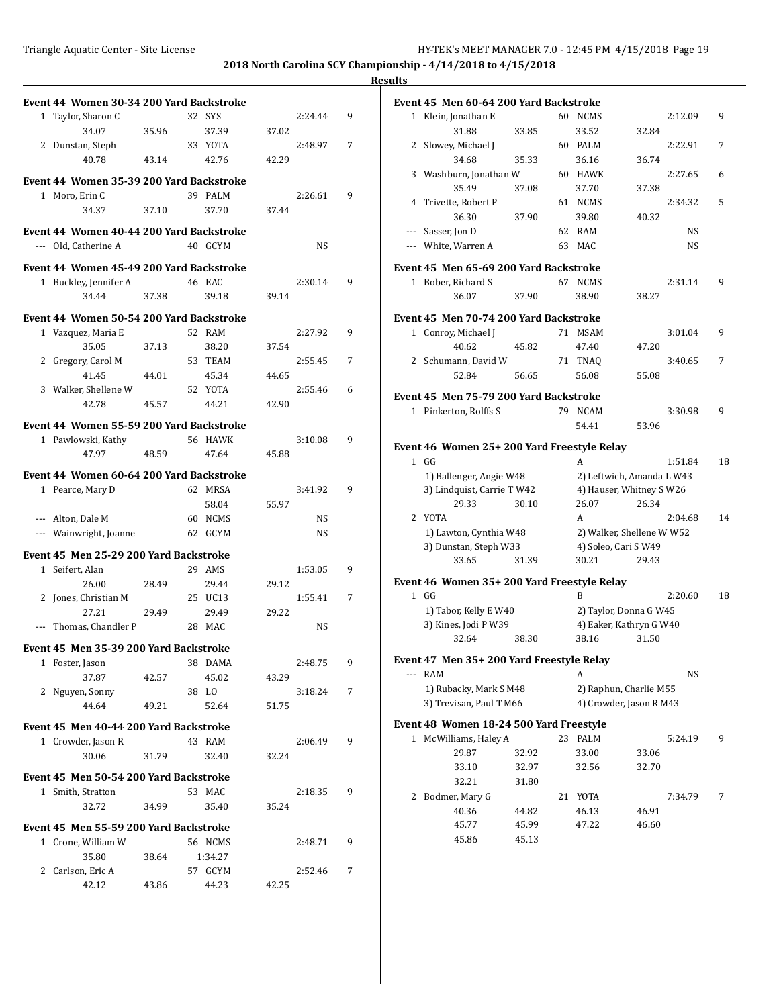| Triangle Aquatic Center - Site License | HY-TEK's MEET MANAGER 7.0 - 12:45 PM 4/15/2018 Page 19<br>,但是,我们的人们都会不会不会。""我们,我们的人们,我们的人们,我们的人们,我们的人们,我们的人们,我们的人们,我们的人们,我们的人们,我们的人们,我们的人们 |
|----------------------------------------|--------------------------------------------------------------------------------------------------------------------------------------------|

| Event 44 Women 30-34 200 Yard Backstroke |       |         |       |         |   |
|------------------------------------------|-------|---------|-------|---------|---|
| 1 Taylor, Sharon C                       |       | 32 SYS  |       | 2:24.44 | 9 |
| 34.07                                    | 35.96 | 37.39   | 37.02 |         |   |
| 2 Dunstan, Steph                         |       | 33 YOTA |       | 2:48.97 | 7 |
| 40.78                                    | 43.14 | 42.76   | 42.29 |         |   |
| Event 44 Women 35-39 200 Yard Backstroke |       |         |       |         |   |
| 1 Moro, Erin C                           |       | 39 PALM |       | 2:26.61 | 9 |
| 34.37                                    | 37.10 | 37.70   | 37.44 |         |   |
|                                          |       |         |       |         |   |
| Event 44 Women 40-44 200 Yard Backstroke |       |         |       |         |   |
| --- Old, Catherine A                     |       | 40 GCYM |       | NS      |   |
| Event 44 Women 45-49 200 Yard Backstroke |       |         |       |         |   |
| 1 Buckley, Jennifer A                    |       | 46 EAC  |       | 2:30.14 | 9 |
| 34.44                                    | 37.38 | 39.18   | 39.14 |         |   |
| Event 44 Women 50-54 200 Yard Backstroke |       |         |       |         |   |
| 1 Vazquez, Maria E                       |       | 52 RAM  |       | 2:27.92 | 9 |
| 35.05                                    | 37.13 | 38.20   | 37.54 |         |   |
| 2 Gregory, Carol M                       |       | 53 TEAM |       | 2:55.45 | 7 |
| 41.45                                    | 44.01 | 45.34   | 44.65 |         |   |
| 3 Walker, Shellene W                     |       | 52 YOTA |       | 2:55.46 | 6 |
| 42.78                                    | 45.57 | 44.21   | 42.90 |         |   |
|                                          |       |         |       |         |   |
| Event 44 Women 55-59 200 Yard Backstroke |       |         |       |         |   |
| 1 Pawlowski, Kathy                       |       | 56 HAWK |       | 3:10.08 | 9 |
| 47.97                                    | 48.59 | 47.64   | 45.88 |         |   |
| Event 44 Women 60-64 200 Yard Backstroke |       |         |       |         |   |
| 1 Pearce, Mary D                         |       | 62 MRSA |       | 3:41.92 | 9 |
|                                          |       | 58.04   | 55.97 |         |   |
| --- Alton, Dale M                        |       | 60 NCMS |       | NS      |   |
| --- Wainwright, Joanne                   |       | 62 GCYM |       | NS      |   |
| Event 45 Men 25-29 200 Yard Backstroke   |       |         |       |         |   |
| 1 Seifert, Alan                          |       | 29 AMS  |       | 1:53.05 | 9 |
| 26.00                                    | 28.49 | 29.44   | 29.12 |         |   |
| 2 Jones, Christian M                     |       | 25 UC13 |       | 1:55.41 | 7 |
| 27.21                                    | 29.49 | 29.49   | 29.22 |         |   |
| Thomas, Chandler P                       |       | 28 MAC  |       | NS      |   |
|                                          |       |         |       |         |   |
| Event 45 Men 35-39 200 Yard Backstroke   |       |         |       |         |   |
| 1 Foster, Jason                          |       | 38 DAMA |       | 2:48.75 | 9 |
| 37.87                                    | 42.57 | 45.02   | 43.29 |         |   |
| 2 Nguyen, Sonny                          |       | 38 LO   |       | 3:18.24 | 7 |
| 44.64                                    | 49.21 | 52.64   | 51.75 |         |   |
| Event 45 Men 40-44 200 Yard Backstroke   |       |         |       |         |   |
| 1 Crowder, Jason R                       |       | 43 RAM  |       | 2:06.49 | 9 |
| 30.06                                    | 31.79 | 32.40   | 32.24 |         |   |
| Event 45 Men 50-54 200 Yard Backstroke   |       |         |       |         |   |
| 1 Smith, Stratton                        |       | 53 MAC  |       | 2:18.35 | 9 |
| 32.72                                    | 34.99 | 35.40   | 35.24 |         |   |
|                                          |       |         |       |         |   |
| Event 45 Men 55-59 200 Yard Backstroke   |       |         |       |         |   |
| 1 Crone, William W                       |       | 56 NCMS |       | 2:48.71 | 9 |
| 35.80                                    | 38.64 | 1:34.27 |       |         |   |
| 2 Carlson, Eric A                        |       | 57 GCYM |       | 2:52.46 | 7 |
| 42.12                                    | 43.86 | 44.23   | 42.25 |         |   |

|              | Event 45  Men 60-64 200 Yard Backstroke     |                |    |                           |       |         |    |
|--------------|---------------------------------------------|----------------|----|---------------------------|-------|---------|----|
| $\mathbf{1}$ | Klein, Jonathan E                           |                |    | 60 NCMS                   |       | 2:12.09 | 9  |
|              | 31.88                                       | 33.85          |    | 33.52                     | 32.84 |         |    |
|              | 2 Slowey, Michael J                         |                |    | 60 PALM                   |       | 2:22.91 | 7  |
|              | 34.68                                       | 35.33          |    | 36.16                     | 36.74 |         |    |
| 3            | Washburn, Jonathan W                        |                |    | 60 HAWK                   |       | 2:27.65 | 6  |
|              | 35.49                                       | 37.08          |    | 37.70                     | 37.38 |         |    |
| 4            | Trivette, Robert P                          |                |    | 61 NCMS                   |       | 2:34.32 | 5  |
|              | 36.30                                       | 37.90          |    | 39.80                     | 40.32 |         |    |
|              | --- Sasser, Jon D                           |                |    | 62 RAM                    |       | NS      |    |
|              | --- White, Warren A                         |                |    | 63 MAC                    |       | NS      |    |
|              |                                             |                |    |                           |       |         |    |
|              | Event 45 Men 65-69 200 Yard Backstroke      |                |    |                           |       |         |    |
|              | 1 Bober, Richard S                          |                |    | 67 NCMS                   |       | 2:31.14 | 9  |
|              | 36.07                                       | 37.90          |    | 38.90                     | 38.27 |         |    |
|              | Event 45  Men 70-74 200 Yard Backstroke     |                |    |                           |       |         |    |
|              | 1 Conroy, Michael J                         |                |    | 71 MSAM                   |       | 3:01.04 | 9  |
|              | 40.62                                       | 45.82          |    | 47.40                     | 47.20 |         |    |
|              | 2 Schumann, David W                         |                |    | 71 TNAQ                   |       | 3:40.65 | 7  |
|              | 52.84                                       | 56.65          |    | 56.08                     | 55.08 |         |    |
|              | Event 45 Men 75-79 200 Yard Backstroke      |                |    |                           |       |         |    |
|              | 1 Pinkerton, Rolffs S                       |                |    | 79 NCAM                   |       | 3:30.98 | 9  |
|              |                                             |                |    | 54.41                     | 53.96 |         |    |
|              |                                             |                |    |                           |       |         |    |
|              | Event 46 Women 25+ 200 Yard Freestyle Relay |                |    |                           |       |         |    |
|              | 1 GG                                        |                |    | A                         |       | 1:51.84 | 18 |
|              | 1) Ballenger, Angie W48                     |                |    | 2) Leftwich, Amanda L W43 |       |         |    |
|              | 3) Lindquist, Carrie T W42                  |                |    | 4) Hauser, Whitney S W26  |       |         |    |
|              | 29.33                                       | 30.10          |    | 26.07                     | 26.34 |         |    |
| 2            | YOTA                                        |                |    | A                         |       | 2:04.68 | 14 |
|              | 1) Lawton, Cynthia W48                      |                |    | 2) Walker, Shellene W W52 |       |         |    |
|              | 3) Dunstan, Steph W33                       |                |    | 4) Soleo, Cari S W49      |       |         |    |
|              | 33.65                                       | 31.39          |    | 30.21                     | 29.43 |         |    |
|              | Event 46 Women 35+ 200 Yard Freestyle Relay |                |    |                           |       |         |    |
|              | $1$ GG                                      |                |    | B                         |       | 2:20.60 | 18 |
|              | 1) Tabor, Kelly E W40                       |                |    | 2) Taylor, Donna G W45    |       |         |    |
|              | 3) Kines, Jodi P W39                        |                |    | 4) Eaker, Kathryn G W40   |       |         |    |
|              | 32.64                                       | 38.30          |    | 38.16                     | 31.50 |         |    |
|              | Event 47  Men 35+ 200 Yard Freestyle Relay  |                |    |                           |       |         |    |
| ---          | RAM                                         |                |    | A                         |       | NS      |    |
|              | 1) Rubacky, Mark S M48                      |                |    | 2) Raphun, Charlie M55    |       |         |    |
|              | 3) Trevisan, Paul T M66                     |                |    | 4) Crowder, Jason R M43   |       |         |    |
|              | Event 48 Women 18-24 500 Yard Freestyle     |                |    |                           |       |         |    |
| $\mathbf 1$  | McWilliams, Haley A                         |                | 23 | PALM                      |       | 5:24.19 | 9  |
|              | 29.87                                       | 32.92          |    | 33.00                     | 33.06 |         |    |
|              | 33.10                                       | 32.97          |    | 32.56                     | 32.70 |         |    |
|              | 32.21                                       | 31.80          |    |                           |       |         |    |
| 2            | Bodmer, Mary G                              |                | 21 | YOTA                      |       | 7:34.79 | 7  |
|              | 40.36                                       |                |    | 46.13                     | 46.91 |         |    |
|              | 45.77                                       | 44.82<br>45.99 |    | 47.22                     | 46.60 |         |    |
|              | 45.86                                       | 45.13          |    |                           |       |         |    |
|              |                                             |                |    |                           |       |         |    |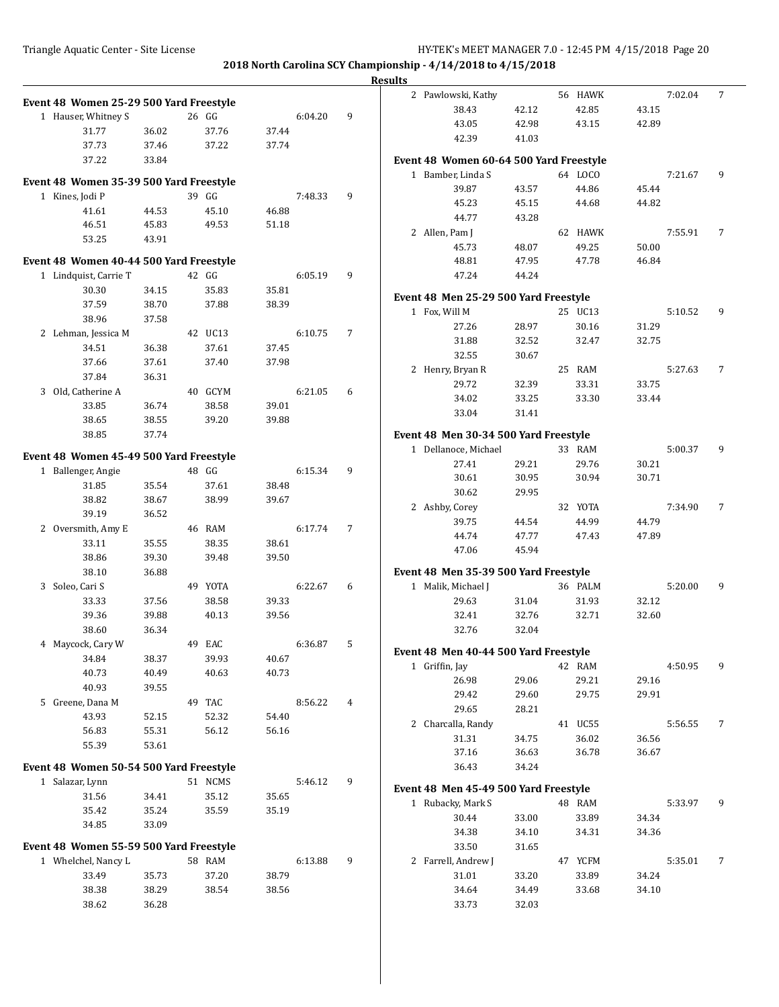|                                         |       |       |         |       |         |   | <b>Results</b> |                                                             |       |         |                |         |   |
|-----------------------------------------|-------|-------|---------|-------|---------|---|----------------|-------------------------------------------------------------|-------|---------|----------------|---------|---|
| Event 48 Women 25-29 500 Yard Freestyle |       |       |         |       |         |   |                | 2 Pawlowski, Kathy                                          |       | 56 HAWK |                | 7:02.04 | 7 |
| 1 Hauser, Whitney S                     |       | 26 GG |         |       | 6:04.20 | 9 |                | 38.43                                                       | 42.12 | 42.85   | 43.15          |         |   |
| 31.77                                   | 36.02 |       | 37.76   | 37.44 |         |   |                | 43.05                                                       | 42.98 | 43.15   | 42.89          |         |   |
| 37.73                                   | 37.46 |       | 37.22   | 37.74 |         |   |                | 42.39                                                       | 41.03 |         |                |         |   |
| 37.22                                   | 33.84 |       |         |       |         |   |                | Event 48 Women 60-64 500 Yard Freestyle                     |       |         |                |         |   |
|                                         |       |       |         |       |         |   |                | 1 Bamber, Linda S                                           |       | 64 LOCO |                | 7:21.67 | 9 |
| Event 48 Women 35-39 500 Yard Freestyle |       |       |         |       |         |   |                | 39.87                                                       | 43.57 | 44.86   | 45.44          |         |   |
| 1 Kines, Jodi P                         |       | 39 GG |         |       | 7:48.33 | 9 |                | 45.23                                                       | 45.15 | 44.68   | 44.82          |         |   |
| 41.61                                   | 44.53 |       | 45.10   | 46.88 |         |   |                | 44.77                                                       | 43.28 |         |                |         |   |
| 46.51                                   | 45.83 |       | 49.53   | 51.18 |         |   |                | 2 Allen, Pam J                                              |       | 62 HAWK |                | 7:55.91 | 7 |
| 53.25                                   | 43.91 |       |         |       |         |   |                | 45.73                                                       | 48.07 | 49.25   | 50.00          |         |   |
| Event 48 Women 40-44 500 Yard Freestyle |       |       |         |       |         |   |                | 48.81                                                       | 47.95 | 47.78   | 46.84          |         |   |
| 1 Lindquist, Carrie T                   |       | 42 GG |         |       | 6:05.19 | 9 |                | 47.24                                                       | 44.24 |         |                |         |   |
| 30.30                                   | 34.15 |       | 35.83   | 35.81 |         |   |                |                                                             |       |         |                |         |   |
| 37.59                                   | 38.70 |       | 37.88   | 38.39 |         |   |                | Event 48 Men 25-29 500 Yard Freestyle                       |       |         |                |         |   |
| 38.96                                   | 37.58 |       |         |       |         |   |                | 1 Fox, Will M                                               |       | 25 UC13 |                | 5:10.52 | 9 |
| 2 Lehman, Jessica M                     |       |       | 42 UC13 |       | 6:10.75 | 7 |                | 27.26                                                       | 28.97 | 30.16   | 31.29          |         |   |
| 34.51                                   | 36.38 |       | 37.61   | 37.45 |         |   |                | 31.88                                                       | 32.52 | 32.47   | 32.75          |         |   |
| 37.66                                   | 37.61 |       | 37.40   | 37.98 |         |   |                | 32.55                                                       | 30.67 |         |                |         |   |
| 37.84                                   | 36.31 |       |         |       |         |   |                | 2 Henry, Bryan R                                            |       | 25 RAM  |                | 5:27.63 | 7 |
| 3 Old, Catherine A                      |       |       | 40 GCYM |       | 6:21.05 | 6 |                | 29.72                                                       | 32.39 | 33.31   | 33.75          |         |   |
| 33.85                                   | 36.74 |       | 38.58   | 39.01 |         |   |                | 34.02                                                       | 33.25 | 33.30   | 33.44          |         |   |
| 38.65                                   | 38.55 |       | 39.20   | 39.88 |         |   |                | 33.04                                                       | 31.41 |         |                |         |   |
| 38.85                                   | 37.74 |       |         |       |         |   |                | Event 48 Men 30-34 500 Yard Freestyle                       |       |         |                |         |   |
|                                         |       |       |         |       |         |   |                | 1 Dellanoce, Michael                                        |       | 33 RAM  |                | 5:00.37 | 9 |
| Event 48 Women 45-49 500 Yard Freestyle |       |       |         |       |         |   |                | 27.41                                                       | 29.21 | 29.76   | 30.21          |         |   |
| 1 Ballenger, Angie                      |       | 48 GG |         |       | 6:15.34 | 9 |                | 30.61                                                       | 30.95 | 30.94   | 30.71          |         |   |
| 31.85                                   | 35.54 |       | 37.61   | 38.48 |         |   |                | 30.62                                                       | 29.95 |         |                |         |   |
| 38.82                                   | 38.67 |       | 38.99   | 39.67 |         |   |                | 2 Ashby, Corey                                              |       | 32 YOTA |                | 7:34.90 | 7 |
| 39.19                                   | 36.52 |       |         |       |         |   |                | 39.75                                                       | 44.54 | 44.99   | 44.79          |         |   |
| 2 Oversmith, Amy E                      |       |       | 46 RAM  |       | 6:17.74 | 7 |                | 44.74                                                       | 47.77 | 47.43   | 47.89          |         |   |
| 33.11                                   | 35.55 |       | 38.35   | 38.61 |         |   |                | 47.06                                                       | 45.94 |         |                |         |   |
| 38.86                                   | 39.30 |       | 39.48   | 39.50 |         |   |                |                                                             |       |         |                |         |   |
| 38.10<br>3 Soleo, Cari S                | 36.88 |       | 49 YOTA |       | 6:22.67 | 6 |                | Event 48 Men 35-39 500 Yard Freestyle<br>1 Malik, Michael J |       | 36 PALM |                | 5:20.00 | 9 |
| 33.33                                   | 37.56 |       | 38.58   | 39.33 |         |   |                | 29.63                                                       | 31.04 | 31.93   |                |         |   |
| 39.36                                   | 39.88 |       | 40.13   | 39.56 |         |   |                | 32.41                                                       | 32.76 | 32.71   | 32.12<br>32.60 |         |   |
| 38.60                                   | 36.34 |       |         |       |         |   |                | 32.76                                                       | 32.04 |         |                |         |   |
| 4 Maycock, Cary W                       |       |       | 49 EAC  |       | 6:36.87 | 5 |                |                                                             |       |         |                |         |   |
| 34.84                                   | 38.37 |       | 39.93   | 40.67 |         |   |                | Event 48 Men 40-44 500 Yard Freestyle                       |       |         |                |         |   |
| 40.73                                   | 40.49 |       | 40.63   | 40.73 |         |   |                | 1 Griffin, Jay                                              |       | 42 RAM  |                | 4:50.95 | 9 |
| 40.93                                   | 39.55 |       |         |       |         |   |                | 26.98                                                       | 29.06 | 29.21   | 29.16          |         |   |
| 5 Greene, Dana M                        |       |       | 49 TAC  |       | 8:56.22 | 4 |                | 29.42                                                       | 29.60 | 29.75   | 29.91          |         |   |
| 43.93                                   | 52.15 |       | 52.32   | 54.40 |         |   |                | 29.65                                                       | 28.21 |         |                |         |   |
| 56.83                                   | 55.31 |       | 56.12   | 56.16 |         |   |                | 2 Charcalla, Randy                                          |       | 41 UC55 |                | 5:56.55 | 7 |
| 55.39                                   | 53.61 |       |         |       |         |   |                | 31.31                                                       | 34.75 | 36.02   | 36.56          |         |   |
|                                         |       |       |         |       |         |   |                | 37.16                                                       | 36.63 | 36.78   | 36.67          |         |   |
| Event 48 Women 50-54 500 Yard Freestyle |       |       |         |       |         |   |                | 36.43                                                       | 34.24 |         |                |         |   |
| 1 Salazar, Lynn                         |       |       | 51 NCMS |       | 5:46.12 | 9 |                | Event 48 Men 45-49 500 Yard Freestyle                       |       |         |                |         |   |
| 31.56                                   | 34.41 |       | 35.12   | 35.65 |         |   |                | 1 Rubacky, Mark S                                           |       | 48 RAM  |                | 5:33.97 | 9 |
| 35.42                                   | 35.24 |       | 35.59   | 35.19 |         |   |                | 30.44                                                       | 33.00 | 33.89   | 34.34          |         |   |
| 34.85                                   | 33.09 |       |         |       |         |   |                | 34.38                                                       | 34.10 | 34.31   | 34.36          |         |   |
| Event 48 Women 55-59 500 Yard Freestyle |       |       |         |       |         |   |                | 33.50                                                       | 31.65 |         |                |         |   |
| 1 Whelchel, Nancy L                     |       |       | 58 RAM  |       | 6:13.88 | 9 |                | 2 Farrell, Andrew J                                         |       | 47 YCFM |                | 5:35.01 | 7 |
| 33.49                                   | 35.73 |       | 37.20   | 38.79 |         |   |                | 31.01                                                       | 33.20 | 33.89   | 34.24          |         |   |
| 38.38                                   | 38.29 |       | 38.54   | 38.56 |         |   |                | 34.64                                                       | 34.49 | 33.68   | 34.10          |         |   |
| 38.62                                   | 36.28 |       |         |       |         |   |                | 33.73                                                       | 32.03 |         |                |         |   |
|                                         |       |       |         |       |         |   |                |                                                             |       |         |                |         |   |